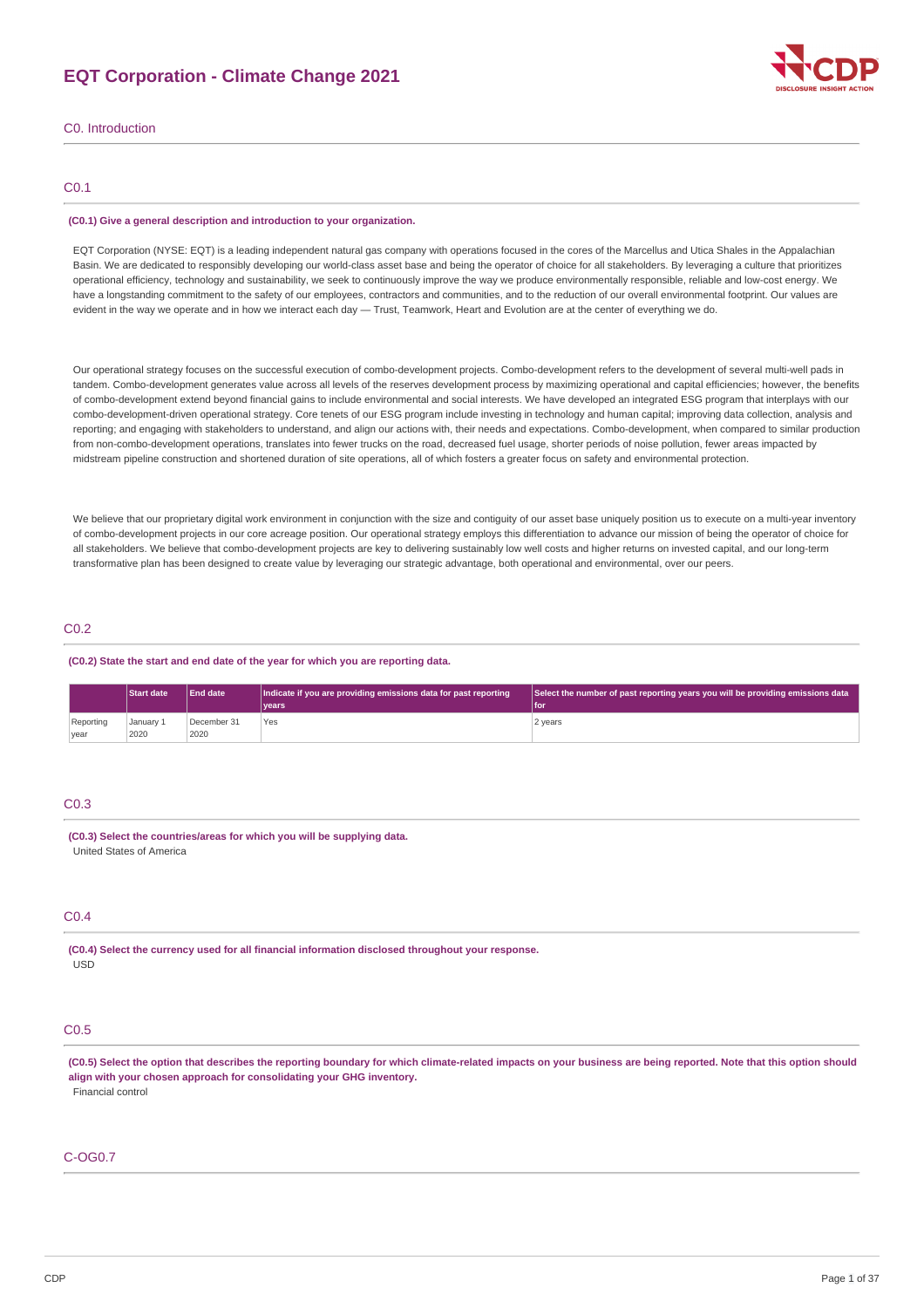# **EQT Corporation - Climate Change 2021**



C0. Introduction

# C0.1

#### **(C0.1) Give a general description and introduction to your organization.**

EOT Corporation (NYSE: EOT) is a leading independent natural gas company with operations focused in the cores of the Marcellus and Utica Shales in the Appalachian Basin. We are dedicated to responsibly developing our world-class asset base and being the operator of choice for all stakeholders. By leveraging a culture that prioritizes operational efficiency, technology and sustainability, we seek to continuously improve the way we produce environmentally responsible, reliable and low-cost energy. We have a longstanding commitment to the safety of our employees, contractors and communities, and to the reduction of our overall environmental footprint. Our values are evident in the way we operate and in how we interact each day — Trust, Teamwork, Heart and Evolution are at the center of everything we do.

Our operational strategy focuses on the successful execution of combo-development projects. Combo-development refers to the development of several multi-well pads in tandem. Combo-development generates value across all levels of the reserves development process by maximizing operational and capital efficiencies; however, the benefits of combo-development extend beyond financial gains to include environmental and social interests. We have developed an integrated ESG program that interplays with our combo-development-driven operational strategy. Core tenets of our ESG program include investing in technology and human capital; improving data collection, analysis and reporting; and engaging with stakeholders to understand, and align our actions with, their needs and expectations. Combo-development, when compared to similar production from non-combo-development operations, translates into fewer trucks on the road, decreased fuel usage, shorter periods of noise pollution, fewer areas impacted by midstream pipeline construction and shortened duration of site operations, all of which fosters a greater focus on safety and environmental protection.

We believe that our proprietary digital work environment in conjunction with the size and contiguity of our asset base uniquely position us to execute on a multi-year inventory of combo-development projects in our core acreage position. Our operational strategy employs this differentiation to advance our mission of being the operator of choice for all stakeholders. We believe that combo-development projects are key to delivering sustainably low well costs and higher returns on invested capital, and our long-term transformative plan has been designed to create value by leveraging our strategic advantage, both operational and environmental, over our peers.

## C0.2

#### **(C0.2) State the start and end date of the year for which you are reporting data.**

| <b>End date</b><br><b>Start date</b> |                   |                     | Indicate if you are providing emissions data for past reporting | Select the number of past reporting years you will be providing emissions data |
|--------------------------------------|-------------------|---------------------|-----------------------------------------------------------------|--------------------------------------------------------------------------------|
|                                      |                   |                     | vears                                                           | l for                                                                          |
| Reporting<br>year                    | January 1<br>2020 | December 31<br>2020 | Yes                                                             | 2 years                                                                        |

# C0.3

#### **(C0.3) Select the countries/areas for which you will be supplying data.** United States of America

# C0.4

**(C0.4) Select the currency used for all financial information disclosed throughout your response.** USD

# C0.5

(C0.5) Select the option that describes the reporting boundary for which climate-related impacts on your business are being reported. Note that this option should **align with your chosen approach for consolidating your GHG inventory.** Financial control

## C-OG0.7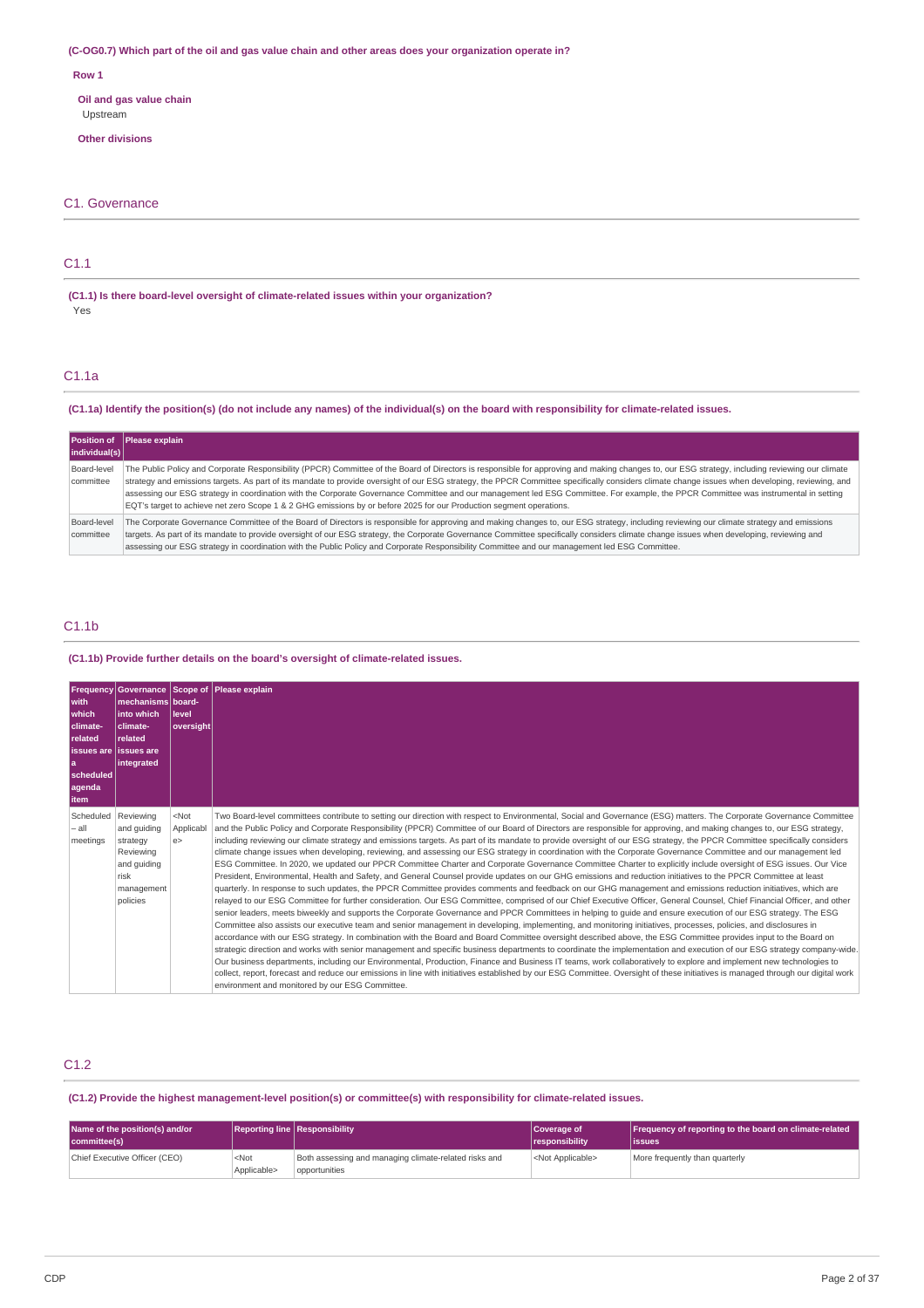## (C-OG0.7) Which part of the oil and gas value chain and other areas does your organization operate in?

#### **Row 1**

**Oil and gas value chain** Upstream

**Other divisions**

## C1. Governance

# C1.1

**(C1.1) Is there board-level oversight of climate-related issues within your organization?** Yes

# C1.1a

## (C1.1a) Identify the position(s) (do not include any names) of the individual(s) on the board with responsibility for climate-related issues.

| individual(s)            | Position of Please explain                                                                                                                                                                                                                                                                                                                                                                                                                                                                                                                                                                                                                                                                                         |
|--------------------------|--------------------------------------------------------------------------------------------------------------------------------------------------------------------------------------------------------------------------------------------------------------------------------------------------------------------------------------------------------------------------------------------------------------------------------------------------------------------------------------------------------------------------------------------------------------------------------------------------------------------------------------------------------------------------------------------------------------------|
| Board-level<br>committee | The Public Policy and Corporate Responsibility (PPCR) Committee of the Board of Directors is responsible for approving and making changes to, our ESG strategy, including reviewing our climate<br>strategy and emissions targets. As part of its mandate to provide oversight of our ESG strategy, the PPCR Committee specifically considers climate change issues when developing, reviewing, and<br>assessing our ESG strategy in coordination with the Corporate Governance Committee and our management led ESG Committee. For example, the PPCR Committee was instrumental in setting<br>EQT's target to achieve net zero Scope 1 & 2 GHG emissions by or before 2025 for our Production segment operations. |
| Board-level<br>committee | The Corporate Governance Committee of the Board of Directors is responsible for approving and making changes to, our ESG strategy, including reviewing our climate strategy and emissions<br>targets. As part of its mandate to provide oversight of our ESG strategy, the Corporate Governance Committee specifically considers climate change issues when developing, reviewing and<br>assessing our ESG strategy in coordination with the Public Policy and Corporate Responsibility Committee and our management led ESG Committee.                                                                                                                                                                            |

# C1.1b

## **(C1.1b) Provide further details on the board's oversight of climate-related issues.**

| with<br><b>which</b><br>climate-<br><b>related</b><br>l issues are lissues are<br>۱a<br>scheduled<br>agenda<br>l item | mechanisms board-<br>into which<br>climate-<br>related<br>integrated                               | llevel<br> oversight      | Frequency Governance Scope of Please explain                                                                                                                                                                                                                                                                                                                                                                                                                                                                                                                                                                                                                                                                                                                                                                                                                                                                                                                                                                                                                                                                                                                                                                                                                                                                                                                                                                                                                                                                                                                                                                                                                                                                                                                                                                                                                                                                                                                                                                                                                                                                                                                                                                                                                                                                                                                                                                                                                                          |
|-----------------------------------------------------------------------------------------------------------------------|----------------------------------------------------------------------------------------------------|---------------------------|---------------------------------------------------------------------------------------------------------------------------------------------------------------------------------------------------------------------------------------------------------------------------------------------------------------------------------------------------------------------------------------------------------------------------------------------------------------------------------------------------------------------------------------------------------------------------------------------------------------------------------------------------------------------------------------------------------------------------------------------------------------------------------------------------------------------------------------------------------------------------------------------------------------------------------------------------------------------------------------------------------------------------------------------------------------------------------------------------------------------------------------------------------------------------------------------------------------------------------------------------------------------------------------------------------------------------------------------------------------------------------------------------------------------------------------------------------------------------------------------------------------------------------------------------------------------------------------------------------------------------------------------------------------------------------------------------------------------------------------------------------------------------------------------------------------------------------------------------------------------------------------------------------------------------------------------------------------------------------------------------------------------------------------------------------------------------------------------------------------------------------------------------------------------------------------------------------------------------------------------------------------------------------------------------------------------------------------------------------------------------------------------------------------------------------------------------------------------------------------|
| Scheduled<br>$-$ all<br>meetings                                                                                      | Reviewing<br>and quiding<br>strategy<br>Reviewing<br>and guiding<br>risk<br>management<br>policies | $<$ Not<br>Applicabl<br>e | Two Board-level committees contribute to setting our direction with respect to Environmental, Social and Governance (ESG) matters. The Corporate Governance Committee<br>and the Public Policy and Corporate Responsibility (PPCR) Committee of our Board of Directors are responsible for approving, and making changes to, our ESG strategy,<br>including reviewing our climate strategy and emissions targets. As part of its mandate to provide oversight of our ESG strategy, the PPCR Committee specifically considers<br>climate change issues when developing, reviewing, and assessing our ESG strategy in coordination with the Corporate Governance Committee and our management led<br>ESG Committee. In 2020, we updated our PPCR Committee Charter and Corporate Governance Committee Charter to explicitly include oversight of ESG issues. Our Vice<br>President, Environmental, Health and Safety, and General Counsel provide updates on our GHG emissions and reduction initiatives to the PPCR Committee at least<br>quarterly. In response to such updates, the PPCR Committee provides comments and feedback on our GHG management and emissions reduction initiatives, which are<br>relayed to our ESG Committee for further consideration. Our ESG Committee, comprised of our Chief Executive Officer, General Counsel, Chief Financial Officer, and other<br>senior leaders, meets biweekly and supports the Corporate Governance and PPCR Committees in helping to quide and ensure execution of our ESG strategy. The ESG<br>Committee also assists our executive team and senior management in developing, implementing, and monitoring initiatives, processes, policies, and disclosures in<br>accordance with our ESG strategy. In combination with the Board and Board Committee oversight described above, the ESG Committee provides input to the Board on<br>strategic direction and works with senior management and specific business departments to coordinate the implementation and execution of our ESG strategy company-wide.<br>Our business departments, including our Environmental, Production, Finance and Business IT teams, work collaboratively to explore and implement new technologies to<br>collect, report, forecast and reduce our emissions in line with initiatives established by our ESG Committee. Oversight of these initiatives is managed through our digital work<br>environment and monitored by our ESG Committee. |

# C1.2

## **(C1.2) Provide the highest management-level position(s) or committee(s) with responsibility for climate-related issues.**

| Name of the position(s) and/or<br>committee(s) |                        | Reporting line Responsibility                                          | Coverage of<br><i><u><b>I</b></u></i> responsibility | <b>Frequency of reporting to the board on climate-related</b><br>lissues |
|------------------------------------------------|------------------------|------------------------------------------------------------------------|------------------------------------------------------|--------------------------------------------------------------------------|
| Chief Executive Officer (CEO)                  | $<$ Not<br>Applicable> | Both assessing and managing climate-related risks and<br>opportunities | <not applicable=""></not>                            | More frequently than quarterly                                           |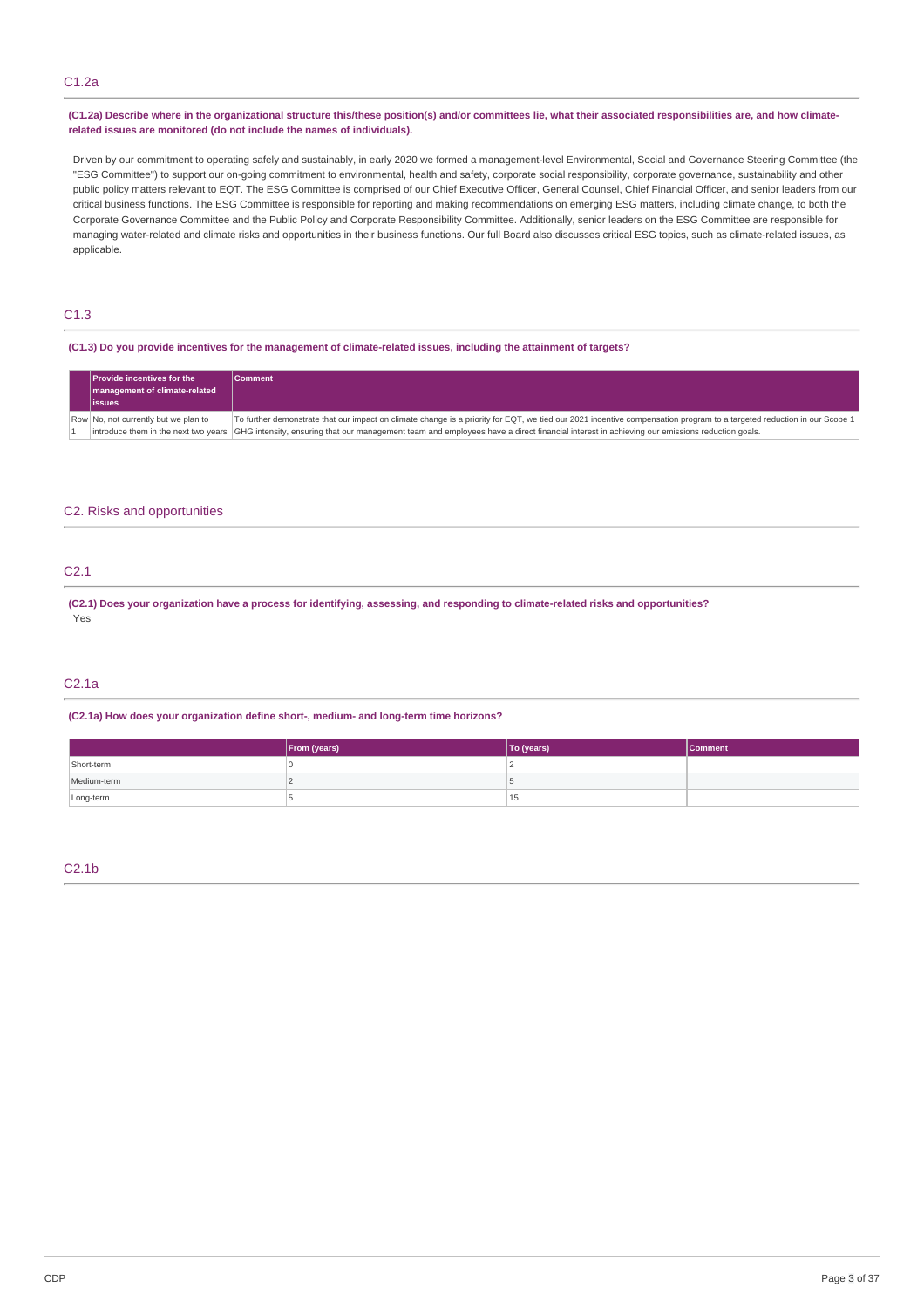# C1.2a

## (C1.2a) Describe where in the organizational structure this/these position(s) and/or committees lie, what their associated responsibilities are, and how climate**related issues are monitored (do not include the names of individuals).**

Driven by our commitment to operating safely and sustainably, in early 2020 we formed a management-level Environmental, Social and Governance Steering Committee (the "ESG Committee") to support our on-going commitment to environmental, health and safety, corporate social responsibility, corporate governance, sustainability and other public policy matters relevant to EQT. The ESG Committee is comprised of our Chief Executive Officer, General Counsel, Chief Financial Officer, and senior leaders from our critical business functions. The ESG Committee is responsible for reporting and making recommendations on emerging ESG matters, including climate change, to both the Corporate Governance Committee and the Public Policy and Corporate Responsibility Committee. Additionally, senior leaders on the ESG Committee are responsible for managing water-related and climate risks and opportunities in their business functions. Our full Board also discusses critical ESG topics, such as climate-related issues, as applicable.

# C1.3

## (C1.3) Do you provide incentives for the management of climate-related issues, including the attainment of targets?

| <b>Provide incentives for the</b><br>management of climate-related<br><b>issues</b> | <b>Comment</b>                                                                                                                                                                   |
|-------------------------------------------------------------------------------------|----------------------------------------------------------------------------------------------------------------------------------------------------------------------------------|
| Row No, not currently but we plan to                                                | To further demonstrate that our impact on climate change is a priority for EQT, we tied our 2021 incentive compensation program to a targeted reduction in our Scope 1           |
|                                                                                     | introduce them in the next two years GHG intensity, ensuring that our management team and employees have a direct financial interest in achieving our emissions reduction goals. |

## C2. Risks and opportunities

# C2.1

(C2.1) Does your organization have a process for identifying, assessing, and responding to climate-related risks and opportunities? Yes

#### C2.1a

#### **(C2.1a) How does your organization define short-, medium- and long-term time horizons?**

|             | From (years) | To (years) | Comment |
|-------------|--------------|------------|---------|
| Short-term  |              |            |         |
| Medium-term |              |            |         |
| Long-term   |              | 15         |         |

## C2.1b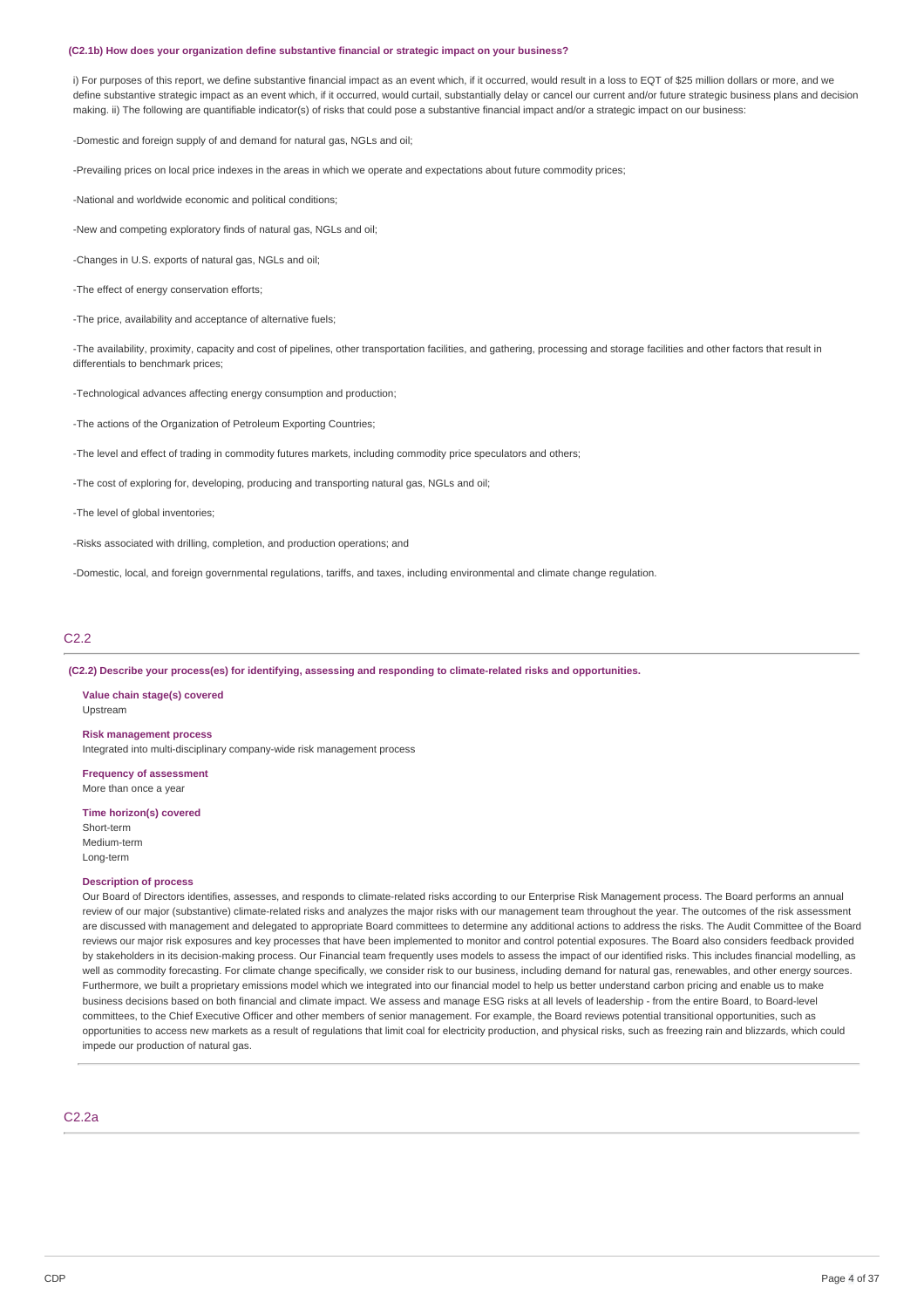#### **(C2.1b) How does your organization define substantive financial or strategic impact on your business?**

i) For purposes of this report, we define substantive financial impact as an event which, if it occurred, would result in a loss to EQT of \$25 million dollars or more, and we define substantive strategic impact as an event which, if it occurred, would curtail, substantially delay or cancel our current and/or future strategic business plans and decision making. ii) The following are quantifiable indicator(s) of risks that could pose a substantive financial impact and/or a strategic impact on our business:

-Domestic and foreign supply of and demand for natural gas, NGLs and oil;

-Prevailing prices on local price indexes in the areas in which we operate and expectations about future commodity prices;

-National and worldwide economic and political conditions;

-New and competing exploratory finds of natural gas, NGLs and oil;

-Changes in U.S. exports of natural gas, NGLs and oil;

-The effect of energy conservation efforts;

-The price, availability and acceptance of alternative fuels;

-The availability, proximity, capacity and cost of pipelines, other transportation facilities, and gathering, processing and storage facilities and other factors that result in differentials to benchmark prices;

-Technological advances affecting energy consumption and production;

-The actions of the Organization of Petroleum Exporting Countries;

-The level and effect of trading in commodity futures markets, including commodity price speculators and others;

-The cost of exploring for, developing, producing and transporting natural gas, NGLs and oil;

-The level of global inventories;

-Risks associated with drilling, completion, and production operations; and

-Domestic, local, and foreign governmental regulations, tariffs, and taxes, including environmental and climate change regulation.

# C2.2

**(C2.2) Describe your process(es) for identifying, assessing and responding to climate-related risks and opportunities.**

**Value chain stage(s) covered** Upstream

**Risk management process**

Integrated into multi-disciplinary company-wide risk management process

**Frequency of assessment** More than once a year

**Time horizon(s) covered** Short-term Medium-term Long-term

#### **Description of process**

Our Board of Directors identifies, assesses, and responds to climate-related risks according to our Enterprise Risk Management process. The Board performs an annual review of our major (substantive) climate-related risks and analyzes the major risks with our management team throughout the year. The outcomes of the risk assessment are discussed with management and delegated to appropriate Board committees to determine any additional actions to address the risks. The Audit Committee of the Board reviews our major risk exposures and key processes that have been implemented to monitor and control potential exposures. The Board also considers feedback provided by stakeholders in its decision-making process. Our Financial team frequently uses models to assess the impact of our identified risks. This includes financial modelling, as well as commodity forecasting. For climate change specifically, we consider risk to our business, including demand for natural gas, renewables, and other energy sources. Furthermore, we built a proprietary emissions model which we integrated into our financial model to help us better understand carbon pricing and enable us to make business decisions based on both financial and climate impact. We assess and manage ESG risks at all levels of leadership - from the entire Board, to Board-level committees, to the Chief Executive Officer and other members of senior management. For example, the Board reviews potential transitional opportunities, such as opportunities to access new markets as a result of regulations that limit coal for electricity production, and physical risks, such as freezing rain and blizzards, which could impede our production of natural gas.

# C2.2a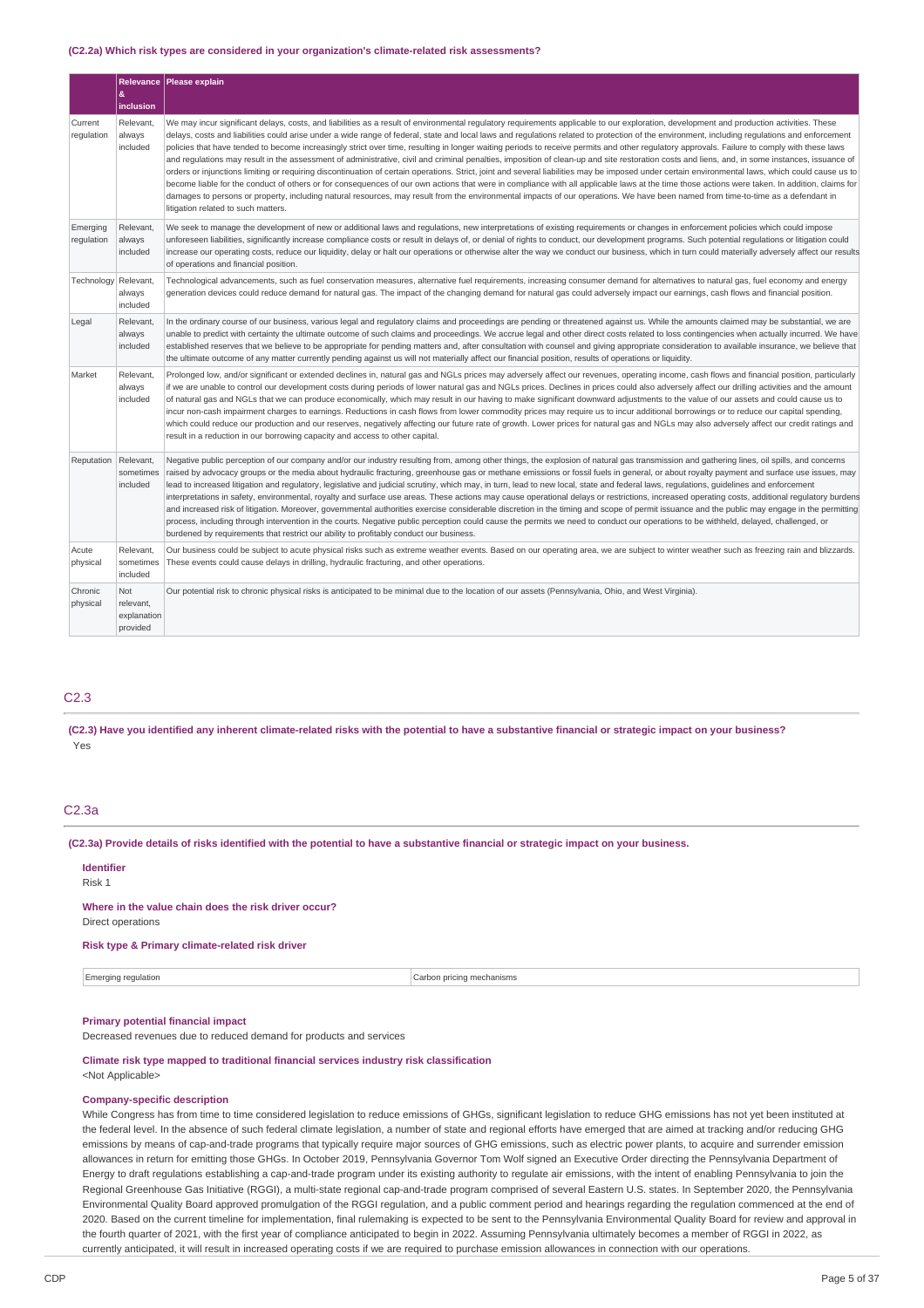#### **(C2.2a) Which risk types are considered in your organization's climate-related risk assessments?**

|                        | &                                           | Relevance Please explain                                                                                                                                                                                                                                                                                                                                                                                                                                                                                                                                                                                                                                                                                                                                                                                                                                                                                                                                                                                                                                                                                                                                                                                                                                                                                                                                                                                                    |
|------------------------|---------------------------------------------|-----------------------------------------------------------------------------------------------------------------------------------------------------------------------------------------------------------------------------------------------------------------------------------------------------------------------------------------------------------------------------------------------------------------------------------------------------------------------------------------------------------------------------------------------------------------------------------------------------------------------------------------------------------------------------------------------------------------------------------------------------------------------------------------------------------------------------------------------------------------------------------------------------------------------------------------------------------------------------------------------------------------------------------------------------------------------------------------------------------------------------------------------------------------------------------------------------------------------------------------------------------------------------------------------------------------------------------------------------------------------------------------------------------------------------|
|                        | inclusion                                   |                                                                                                                                                                                                                                                                                                                                                                                                                                                                                                                                                                                                                                                                                                                                                                                                                                                                                                                                                                                                                                                                                                                                                                                                                                                                                                                                                                                                                             |
| Current<br>regulation  | Relevant<br>always<br>included              | We may incur significant delays, costs, and liabilities as a result of environmental regulatory reguirements applicable to our exploration, development and production activities. These<br>delays, costs and liabilities could arise under a wide range of federal, state and local laws and regulations related to protection of the environment, including regulations and enforcement<br>policies that have tended to become increasingly strict over time, resulting in longer waiting periods to receive permits and other regulatory approvals. Failure to comply with these laws<br>and regulations may result in the assessment of administrative, civil and criminal penalties, imposition of clean-up and site restoration costs and liens, and, in some instances, issuance of<br>orders or injunctions limiting or requiring discontinuation of certain operations. Strict, joint and several liabilities may be imposed under certain environmental laws, which could cause us to<br>become liable for the conduct of others or for consequences of our own actions that were in compliance with all applicable laws at the time those actions were taken. In addition, claims for<br>damages to persons or property, including natural resources, may result from the environmental impacts of our operations. We have been named from time-to-time as a defendant in<br>litigation related to such matters. |
| Emerging<br>regulation | Relevant,<br>always<br>included             | We seek to manage the development of new or additional laws and regulations, new interpretations of existing requirements or changes in enforcement policies which could impose<br>unforeseen liabilities, significantly increase compliance costs or result in delays of, or denial of rights to conduct, our development programs. Such potential regulations or litigation could<br>increase our operating costs, reduce our liquidity, delay or halt our operations or otherwise alter the way we conduct our business, which in turn could materially adversely affect our results<br>of operations and financial position.                                                                                                                                                                                                                                                                                                                                                                                                                                                                                                                                                                                                                                                                                                                                                                                            |
| Technology             | Relevant,<br>always<br>included             | Technological advancements, such as fuel conservation measures, alternative fuel requirements, increasing consumer demand for alternatives to natural gas, fuel economy and energy<br>generation devices could reduce demand for natural gas. The impact of the changing demand for natural gas could adversely impact our earnings, cash flows and financial position.                                                                                                                                                                                                                                                                                                                                                                                                                                                                                                                                                                                                                                                                                                                                                                                                                                                                                                                                                                                                                                                     |
| Legal                  | Relevant.<br>always<br>included             | In the ordinary course of our business, various legal and regulatory claims and proceedings are pending or threatened against us. While the amounts claimed may be substantial, we are<br>unable to predict with certainty the ultimate outcome of such claims and proceedings. We accrue legal and other direct costs related to loss contingencies when actually incurred. We have<br>established reserves that we believe to be appropriate for pending matters and, after consultation with counsel and giving appropriate consideration to available insurance, we believe that<br>the ultimate outcome of any matter currently pending against us will not materially affect our financial position, results of operations or liquidity.                                                                                                                                                                                                                                                                                                                                                                                                                                                                                                                                                                                                                                                                              |
| Market                 | Relevant,<br>always<br>included             | Prolonged low, and/or significant or extended declines in, natural gas and NGLs prices may adversely affect our revenues, operating income, cash flows and financial position, particularly<br>if we are unable to control our development costs during periods of lower natural gas and NGLs prices. Declines in prices could also adversely affect our drilling activities and the amount<br>of natural gas and NGLs that we can produce economically, which may result in our having to make significant downward adjustments to the value of our assets and could cause us to<br>incur non-cash impairment charges to earnings. Reductions in cash flows from lower commodity prices may require us to incur additional borrowings or to reduce our capital spending,<br>which could reduce our production and our reserves, negatively affecting our future rate of growth. Lower prices for natural gas and NGLs may also adversely affect our credit ratings and<br>result in a reduction in our borrowing capacity and access to other capital.                                                                                                                                                                                                                                                                                                                                                                     |
| Reputation             | Relevant.<br>sometimes<br>included          | Negative public perception of our company and/or our industry resulting from, among other things, the explosion of natural gas transmission and gathering lines, oil spills, and concerns<br>raised by advocacy groups or the media about hydraulic fracturing, greenhouse gas or methane emissions or fossil fuels in general, or about royalty payment and surface use issues, may<br>lead to increased litigation and regulatory, legislative and judicial scrutiny, which may, in turn, lead to new local, state and federal laws, regulations, guidelines and enforcement<br>interpretations in safety, environmental, royalty and surface use areas. These actions may cause operational delays or restrictions, increased operating costs, additional regulatory burdens<br>and increased risk of litigation. Moreover, governmental authorities exercise considerable discretion in the timing and scope of permit issuance and the public may engage in the permitting<br>process, including through intervention in the courts. Negative public perception could cause the permits we need to conduct our operations to be withheld, delayed, challenged, or<br>burdened by requirements that restrict our ability to profitably conduct our business.                                                                                                                                                            |
| Acute<br>physical      | Relevant.<br>sometimes<br>included          | Our business could be subject to acute physical risks such as extreme weather events. Based on our operating area, we are subject to winter weather such as freezing rain and blizzards.<br>These events could cause delays in drilling, hydraulic fracturing, and other operations.                                                                                                                                                                                                                                                                                                                                                                                                                                                                                                                                                                                                                                                                                                                                                                                                                                                                                                                                                                                                                                                                                                                                        |
| Chronic<br>physical    | Not<br>relevant,<br>explanation<br>provided | Our potential risk to chronic physical risks is anticipated to be minimal due to the location of our assets (Pennsylvania, Ohio, and West Virginia).                                                                                                                                                                                                                                                                                                                                                                                                                                                                                                                                                                                                                                                                                                                                                                                                                                                                                                                                                                                                                                                                                                                                                                                                                                                                        |

# C2.3

(C2.3) Have you identified any inherent climate-related risks with the potential to have a substantive financial or strategic impact on your business? Yes

## C2.3a

(C2.3a) Provide details of risks identified with the potential to have a substantive financial or strategic impact on your business.

#### **Identifier**

Risk 1

# **Where in the value chain does the risk driver occur?**

Direct operations

# **Risk type & Primary climate-related risk driver**

Emerging regulation Carbon pricing mechanisms

#### **Primary potential financial impact**

Decreased revenues due to reduced demand for products and services

# **Climate risk type mapped to traditional financial services industry risk classification**

# <Not Applicable>

## **Company-specific description**

While Congress has from time to time considered legislation to reduce emissions of GHGs, significant legislation to reduce GHG emissions has not yet been instituted at the federal level. In the absence of such federal climate legislation, a number of state and regional efforts have emerged that are aimed at tracking and/or reducing GHG emissions by means of cap-and-trade programs that typically require major sources of GHG emissions, such as electric power plants, to acquire and surrender emission allowances in return for emitting those GHGs. In October 2019, Pennsylvania Governor Tom Wolf signed an Executive Order directing the Pennsylvania Department of Energy to draft regulations establishing a cap-and-trade program under its existing authority to regulate air emissions, with the intent of enabling Pennsylvania to join the Regional Greenhouse Gas Initiative (RGGI), a multi-state regional cap-and-trade program comprised of several Eastern U.S. states. In September 2020, the Pennsylvania Environmental Quality Board approved promulgation of the RGGI regulation, and a public comment period and hearings regarding the regulation commenced at the end of 2020. Based on the current timeline for implementation, final rulemaking is expected to be sent to the Pennsylvania Environmental Quality Board for review and approval in the fourth quarter of 2021, with the first year of compliance anticipated to begin in 2022. Assuming Pennsylvania ultimately becomes a member of RGGI in 2022, as currently anticipated, it will result in increased operating costs if we are required to purchase emission allowances in connection with our operations.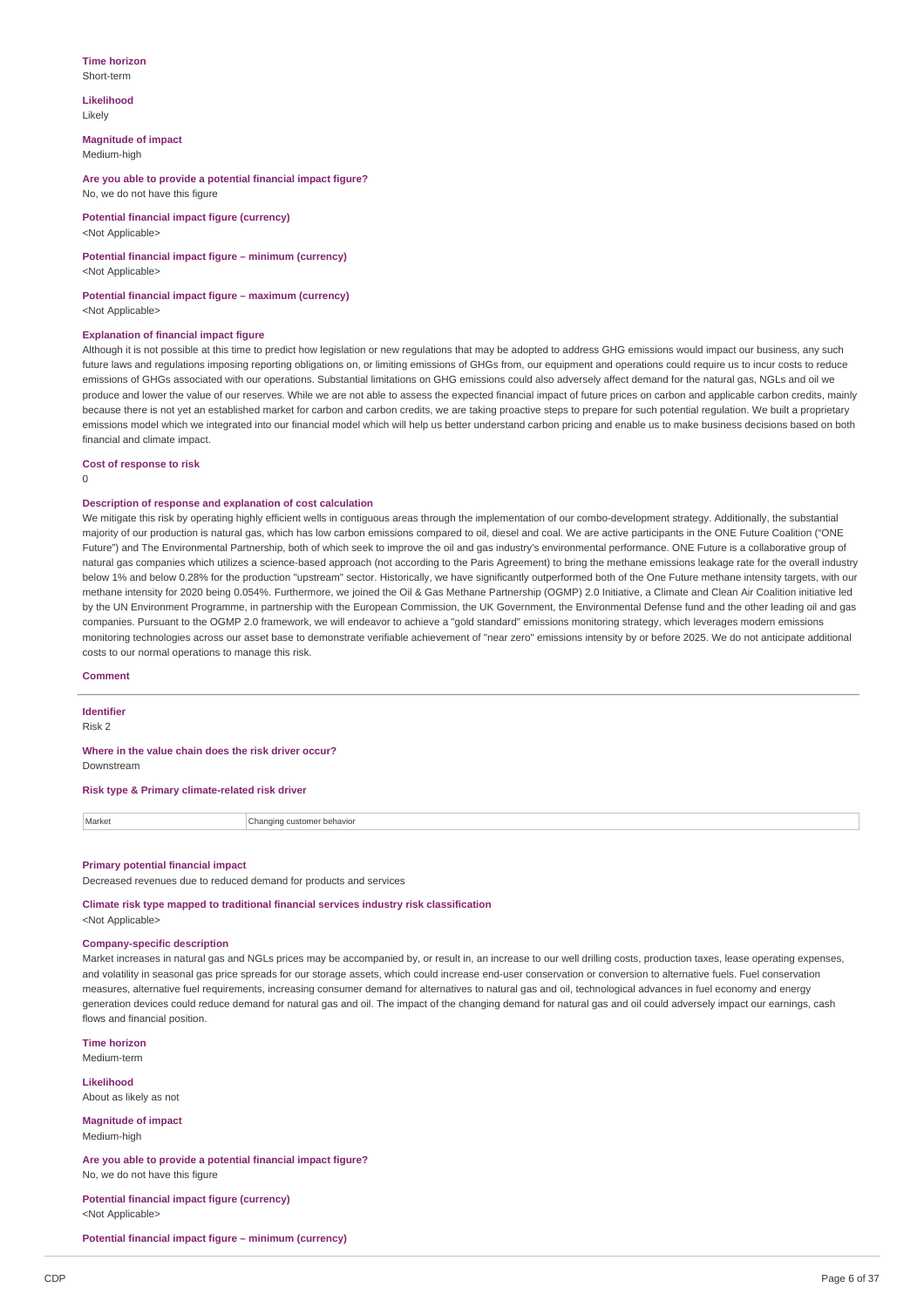#### **Time horizon** Short-term

**Likelihood**

Likely

**Magnitude of impact** Medium-high

**Are you able to provide a potential financial impact figure?** No, we do not have this figure

**Potential financial impact figure (currency)** <Not Applicable>

#### **Potential financial impact figure – minimum (currency)** <Not Applicable>

# **Potential financial impact figure – maximum (currency)**

<Not Applicable>

# **Explanation of financial impact figure**

Although it is not possible at this time to predict how legislation or new regulations that may be adopted to address GHG emissions would impact our business, any such future laws and regulations imposing reporting obligations on, or limiting emissions of GHGs from, our equipment and operations could require us to incur costs to reduce emissions of GHGs associated with our operations. Substantial limitations on GHG emissions could also adversely affect demand for the natural gas, NGLs and oil we produce and lower the value of our reserves. While we are not able to assess the expected financial impact of future prices on carbon and applicable carbon credits, mainly because there is not yet an established market for carbon and carbon credits, we are taking proactive steps to prepare for such potential regulation. We built a proprietary emissions model which we integrated into our financial model which will help us better understand carbon pricing and enable us to make business decisions based on both financial and climate impact.

**Cost of response to risk**

 $\Omega$ 

# **Description of response and explanation of cost calculation**

We mitigate this risk by operating highly efficient wells in contiguous areas through the implementation of our combo-development strategy. Additionally, the substantial majority of our production is natural gas, which has low carbon emissions compared to oil, diesel and coal. We are active participants in the ONE Future Coalition ("ONE Future") and The Environmental Partnership, both of which seek to improve the oil and gas industry's environmental performance. ONE Future is a collaborative group of natural gas companies which utilizes a science-based approach (not according to the Paris Agreement) to bring the methane emissions leakage rate for the overall industry below 1% and below 0.28% for the production "upstream" sector. Historically, we have significantly outperformed both of the One Future methane intensity targets, with our methane intensity for 2020 being 0.054%. Furthermore, we joined the Oil & Gas Methane Partnership (OGMP) 2.0 Initiative, a Climate and Clean Air Coalition initiative led by the UN Environment Programme, in partnership with the European Commission, the UK Government, the Environmental Defense fund and the other leading oil and gas companies. Pursuant to the OGMP 2.0 framework, we will endeavor to achieve a "gold standard" emissions monitoring strategy, which leverages modern emissions monitoring technologies across our asset base to demonstrate verifiable achievement of "near zero" emissions intensity by or before 2025. We do not anticipate additional costs to our normal operations to manage this risk.

#### **Comment**

**Identifier**

Risk 2

# **Where in the value chain does the risk driver occur?**

Downstream

## **Risk type & Primary climate-related risk driver**

Market **Changing customer behavior** 

#### **Primary potential financial impact**

Decreased revenues due to reduced demand for products and services

**Climate risk type mapped to traditional financial services industry risk classification** <Not Applicable>

#### **Company-specific description**

Market increases in natural gas and NGLs prices may be accompanied by, or result in, an increase to our well drilling costs, production taxes, lease operating expenses, and volatility in seasonal gas price spreads for our storage assets, which could increase end-user conservation or conversion to alternative fuels. Fuel conservation measures, alternative fuel requirements, increasing consumer demand for alternatives to natural gas and oil, technological advances in fuel economy and energy generation devices could reduce demand for natural gas and oil. The impact of the changing demand for natural gas and oil could adversely impact our earnings, cash flows and financial position.

**Time horizon** Medium-term

**Likelihood**

About as likely as not

**Magnitude of impact** Medium-high

**Are you able to provide a potential financial impact figure?** No, we do not have this figure

**Potential financial impact figure (currency)** <Not Applicable>

**Potential financial impact figure – minimum (currency)**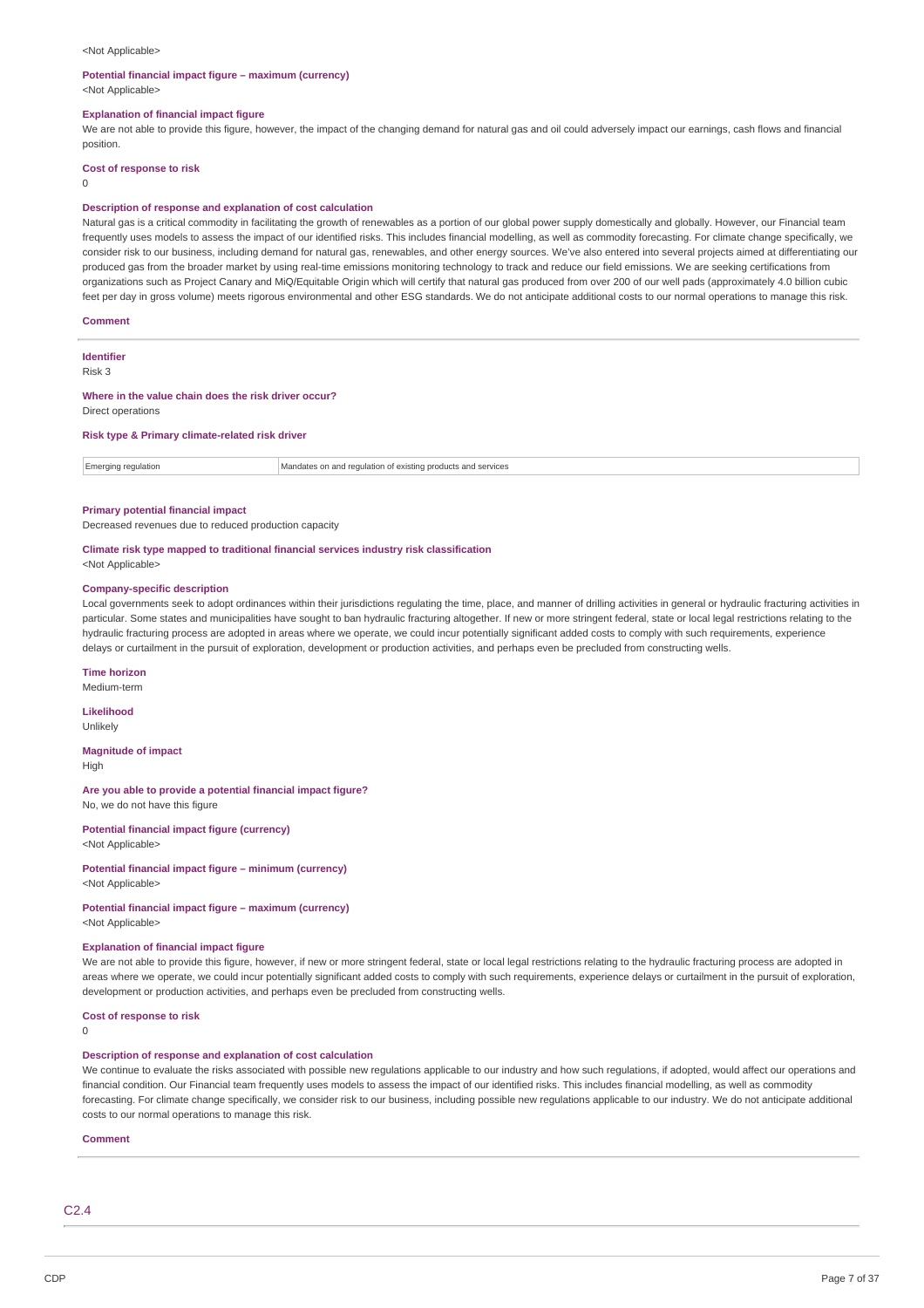#### <Not Applicable>

#### **Potential financial impact figure – maximum (currency)**

<Not Applicable>

## **Explanation of financial impact figure**

We are not able to provide this figure, however, the impact of the changing demand for natural gas and oil could adversely impact our earnings, cash flows and financial position.

**Cost of response to risk**

 $\Omega$ 

#### **Description of response and explanation of cost calculation**

Natural gas is a critical commodity in facilitating the growth of renewables as a portion of our global power supply domestically and globally. However, our Financial team frequently uses models to assess the impact of our identified risks. This includes financial modelling, as well as commodity forecasting. For climate change specifically, we consider risk to our business, including demand for natural gas, renewables, and other energy sources. We've also entered into several projects aimed at differentiating our produced gas from the broader market by using real-time emissions monitoring technology to track and reduce our field emissions. We are seeking certifications from organizations such as Project Canary and MiQ/Equitable Origin which will certify that natural gas produced from over 200 of our well pads (approximately 4.0 billion cubic feet per day in gross volume) meets rigorous environmental and other ESG standards. We do not anticipate additional costs to our normal operations to manage this risk.

#### **Comment**

**Identifier**

Risk 3

#### **Where in the value chain does the risk driver occur?**

Direct operations

#### **Risk type & Primary climate-related risk driver**

| <b>Emerging regulation</b> | Mandates on and regulation of existing products and services<br>. |
|----------------------------|-------------------------------------------------------------------|
|                            |                                                                   |

#### **Primary potential financial impact**

Decreased revenues due to reduced production capacity

#### **Climate risk type mapped to traditional financial services industry risk classification**

<Not Applicable>

#### **Company-specific description**

Local governments seek to adopt ordinances within their jurisdictions regulating the time, place, and manner of drilling activities in general or hydraulic fracturing activities in particular. Some states and municipalities have sought to ban hydraulic fracturing altogether. If new or more stringent federal, state or local legal restrictions relating to the hydraulic fracturing process are adopted in areas where we operate, we could incur potentially significant added costs to comply with such requirements, experience delays or curtailment in the pursuit of exploration, development or production activities, and perhaps even be precluded from constructing wells.

**Time horizon**

Medium-term

**Likelihood** Unlikely

**Magnitude of impact**

High

**Are you able to provide a potential financial impact figure?** No, we do not have this figure

**Potential financial impact figure (currency)**

<Not Applicable>

**Potential financial impact figure – minimum (currency)**

<Not Applicable>

#### **Potential financial impact figure – maximum (currency)** <Not Applicable>

## **Explanation of financial impact figure**

We are not able to provide this figure, however, if new or more stringent federal, state or local legal restrictions relating to the hydraulic fracturing process are adopted in areas where we operate, we could incur potentially significant added costs to comply with such requirements, experience delays or curtailment in the pursuit of exploration, development or production activities, and perhaps even be precluded from constructing wells.

#### **Cost of response to risk**

 $\Omega$ 

## **Description of response and explanation of cost calculation**

We continue to evaluate the risks associated with possible new regulations applicable to our industry and how such regulations, if adopted, would affect our operations and financial condition. Our Financial team frequently uses models to assess the impact of our identified risks. This includes financial modelling, as well as commodity forecasting. For climate change specifically, we consider risk to our business, including possible new regulations applicable to our industry. We do not anticipate additional costs to our normal operations to manage this risk.

#### **Comment**

C2.4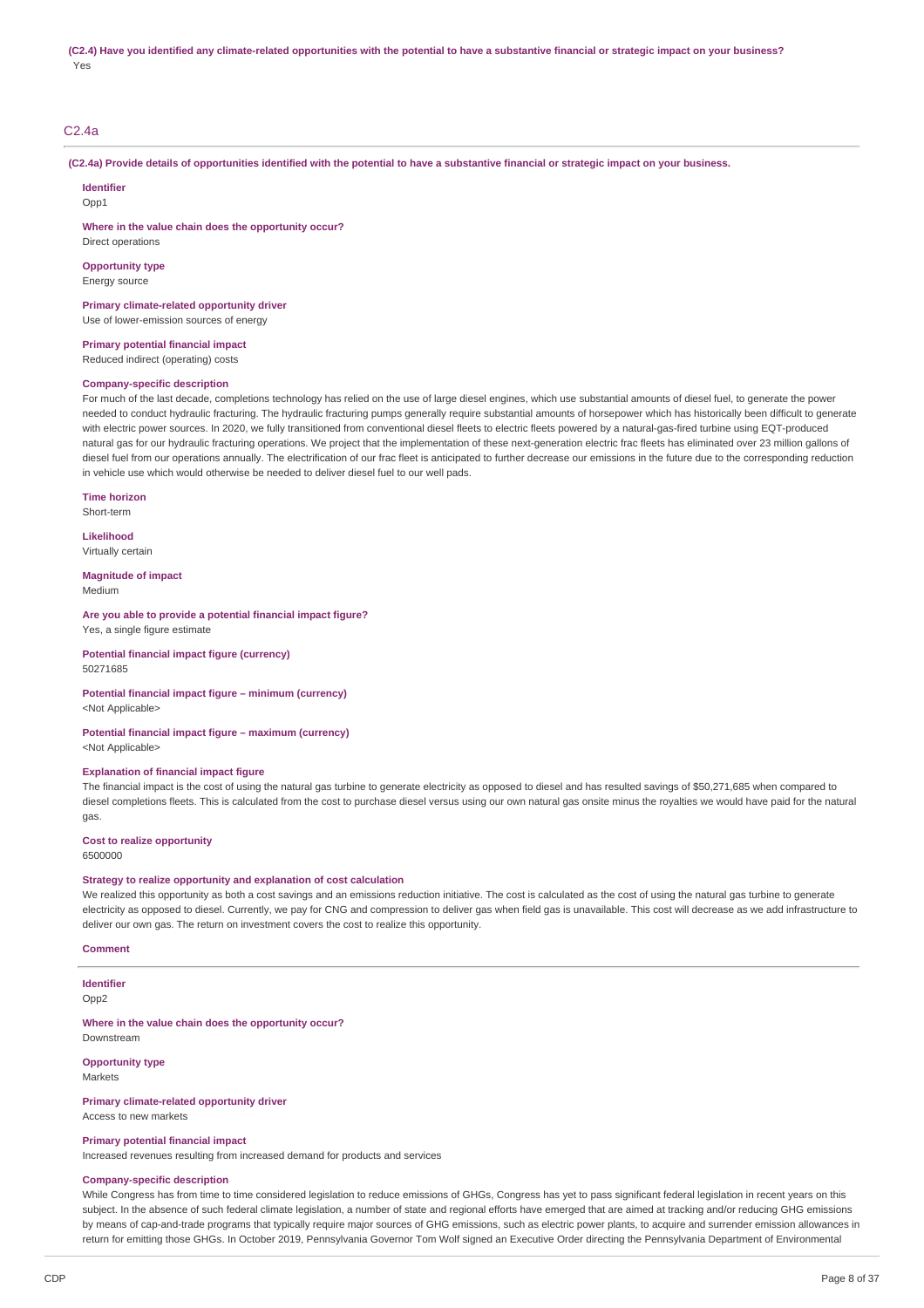## C2.4a

(C2.4a) Provide details of opportunities identified with the potential to have a substantive financial or strategic impact on your business.

**Identifier**  $Onn1$ 

**Where in the value chain does the opportunity occur?**

Direct operations **Opportunity type**

Energy source

**Primary climate-related opportunity driver** Use of lower-emission sources of energy

**Primary potential financial impact** Reduced indirect (operating) costs

## **Company-specific description**

For much of the last decade, completions technology has relied on the use of large diesel engines, which use substantial amounts of diesel fuel, to generate the power needed to conduct hydraulic fracturing. The hydraulic fracturing pumps generally require substantial amounts of horsepower which has historically been difficult to generate with electric power sources. In 2020, we fully transitioned from conventional diesel fleets to electric fleets powered by a natural-gas-fired turbine using EQT-produced natural gas for our hydraulic fracturing operations. We project that the implementation of these next-generation electric frac fleets has eliminated over 23 million gallons of diesel fuel from our operations annually. The electrification of our frac fleet is anticipated to further decrease our emissions in the future due to the corresponding reduction in vehicle use which would otherwise be needed to deliver diesel fuel to our well pads.

**Time horizon** Short-term

**Likelihood** Virtually certain

**Magnitude of impact** Medium

#### **Are you able to provide a potential financial impact figure?**

Yes, a single figure estimate

**Potential financial impact figure (currency)** 50271685

#### **Potential financial impact figure – minimum (currency)** <Not Applicable>

**Potential financial impact figure – maximum (currency)**

<Not Applicable>

### **Explanation of financial impact figure**

The financial impact is the cost of using the natural gas turbine to generate electricity as opposed to diesel and has resulted savings of \$50,271,685 when compared to diesel completions fleets. This is calculated from the cost to purchase diesel versus using our own natural gas onsite minus the royalties we would have paid for the natural gas.

## **Cost to realize opportunity**

6500000

#### **Strategy to realize opportunity and explanation of cost calculation**

We realized this opportunity as both a cost savings and an emissions reduction initiative. The cost is calculated as the cost of using the natural gas turbine to generate electricity as opposed to diesel. Currently, we pay for CNG and compression to deliver gas when field gas is unavailable. This cost will decrease as we add infrastructure to deliver our own gas. The return on investment covers the cost to realize this opportunity.

**Comment**

**Identifier** Opp<sub>2</sub>

**Where in the value chain does the opportunity occur?** Downstream

**Opportunity type** Markets

**Primary climate-related opportunity driver**

Access to new markets

**Primary potential financial impact**

Increased revenues resulting from increased demand for products and services

### **Company-specific description**

While Congress has from time to time considered legislation to reduce emissions of GHGs, Congress has yet to pass significant federal legislation in recent years on this subject. In the absence of such federal climate legislation, a number of state and regional efforts have emerged that are aimed at tracking and/or reducing GHG emissions by means of cap-and-trade programs that typically require major sources of GHG emissions, such as electric power plants, to acquire and surrender emission allowances in return for emitting those GHGs. In October 2019, Pennsylvania Governor Tom Wolf signed an Executive Order directing the Pennsylvania Department of Environmental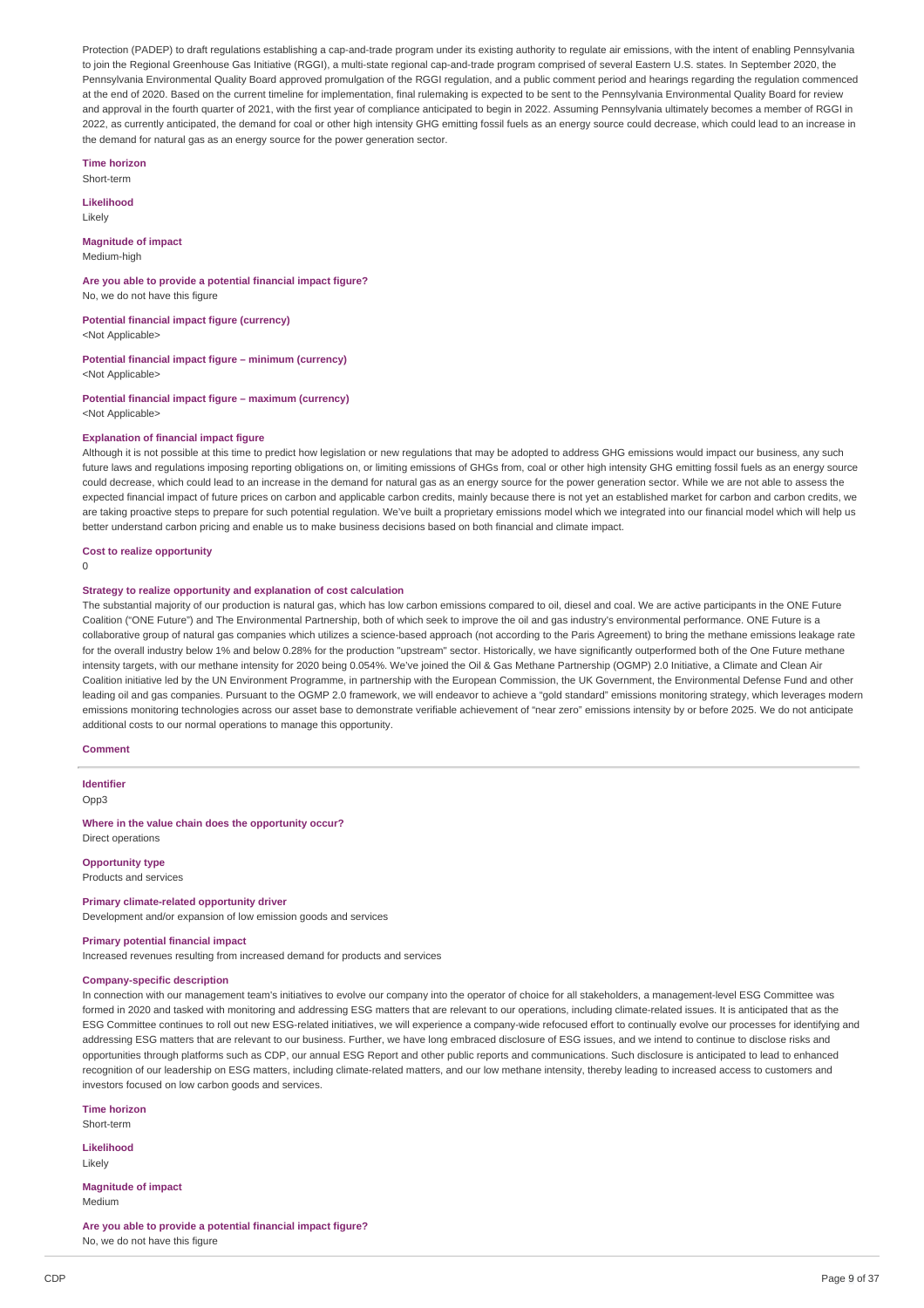Protection (PADEP) to draft regulations establishing a cap-and-trade program under its existing authority to regulate air emissions, with the intent of enabling Pennsylvania to join the Regional Greenhouse Gas Initiative (RGGI), a multi-state regional cap-and-trade program comprised of several Eastern U.S. states. In September 2020, the Pennsylvania Environmental Quality Board approved promulgation of the RGGI regulation, and a public comment period and hearings regarding the regulation commenced at the end of 2020. Based on the current timeline for implementation, final rulemaking is expected to be sent to the Pennsylvania Environmental Quality Board for review and approval in the fourth quarter of 2021, with the first year of compliance anticipated to begin in 2022. Assuming Pennsylvania ultimately becomes a member of RGGI in 2022, as currently anticipated, the demand for coal or other high intensity GHG emitting fossil fuels as an energy source could decrease, which could lead to an increase in the demand for natural gas as an energy source for the power generation sector.

**Time horizon** Short-term

**Likelihood**

Likely

**Magnitude of impact** Medium-high

**Are you able to provide a potential financial impact figure?** No, we do not have this figure

**Potential financial impact figure (currency)**

<Not Applicable>

**Potential financial impact figure – minimum (currency)** <Not Applicable>

**Potential financial impact figure – maximum (currency)** <Not Applicable>

#### **Explanation of financial impact figure**

Although it is not possible at this time to predict how legislation or new regulations that may be adopted to address GHG emissions would impact our business, any such future laws and regulations imposing reporting obligations on, or limiting emissions of GHGs from, coal or other high intensity GHG emitting fossil fuels as an energy source could decrease, which could lead to an increase in the demand for natural gas as an energy source for the power generation sector. While we are not able to assess the expected financial impact of future prices on carbon and applicable carbon credits, mainly because there is not yet an established market for carbon and carbon credits, we are taking proactive steps to prepare for such potential regulation. We've built a proprietary emissions model which we integrated into our financial model which will help us better understand carbon pricing and enable us to make business decisions based on both financial and climate impact.

#### **Cost to realize opportunity**

 $\Omega$ 

### **Strategy to realize opportunity and explanation of cost calculation**

The substantial majority of our production is natural gas, which has low carbon emissions compared to oil, diesel and coal. We are active participants in the ONE Future Coalition ("ONE Future") and The Environmental Partnership, both of which seek to improve the oil and gas industry's environmental performance. ONE Future is a collaborative group of natural gas companies which utilizes a science-based approach (not according to the Paris Agreement) to bring the methane emissions leakage rate for the overall industry below 1% and below 0.28% for the production "upstream" sector. Historically, we have significantly outperformed both of the One Future methane intensity targets, with our methane intensity for 2020 being 0.054%. We've joined the Oil & Gas Methane Partnership (OGMP) 2.0 Initiative, a Climate and Clean Air Coalition initiative led by the UN Environment Programme, in partnership with the European Commission, the UK Government, the Environmental Defense Fund and other leading oil and gas companies. Pursuant to the OGMP 2.0 framework, we will endeavor to achieve a "gold standard" emissions monitoring strategy, which leverages modern emissions monitoring technologies across our asset base to demonstrate verifiable achievement of "near zero" emissions intensity by or before 2025. We do not anticipate additional costs to our normal operations to manage this opportunity.

#### **Comment**

**Identifier**

Opp3

#### **Where in the value chain does the opportunity occur?** Direct operations

**Opportunity type**

Products and services

## **Primary climate-related opportunity driver**

Development and/or expansion of low emission goods and services

## **Primary potential financial impact**

Increased revenues resulting from increased demand for products and services

#### **Company-specific description**

In connection with our management team's initiatives to evolve our company into the operator of choice for all stakeholders, a management-level ESG Committee was formed in 2020 and tasked with monitoring and addressing ESG matters that are relevant to our operations, including climate-related issues. It is anticipated that as the ESG Committee continues to roll out new ESG-related initiatives, we will experience a company-wide refocused effort to continually evolve our processes for identifying and addressing ESG matters that are relevant to our business. Further, we have long embraced disclosure of ESG issues, and we intend to continue to disclose risks and opportunities through platforms such as CDP, our annual ESG Report and other public reports and communications. Such disclosure is anticipated to lead to enhanced recognition of our leadership on ESG matters, including climate-related matters, and our low methane intensity, thereby leading to increased access to customers and investors focused on low carbon goods and services.

**Time horizon**

Short-term

**Likelihood** Likely

**Magnitude of impact** Medium

**Are you able to provide a potential financial impact figure?** No, we do not have this figure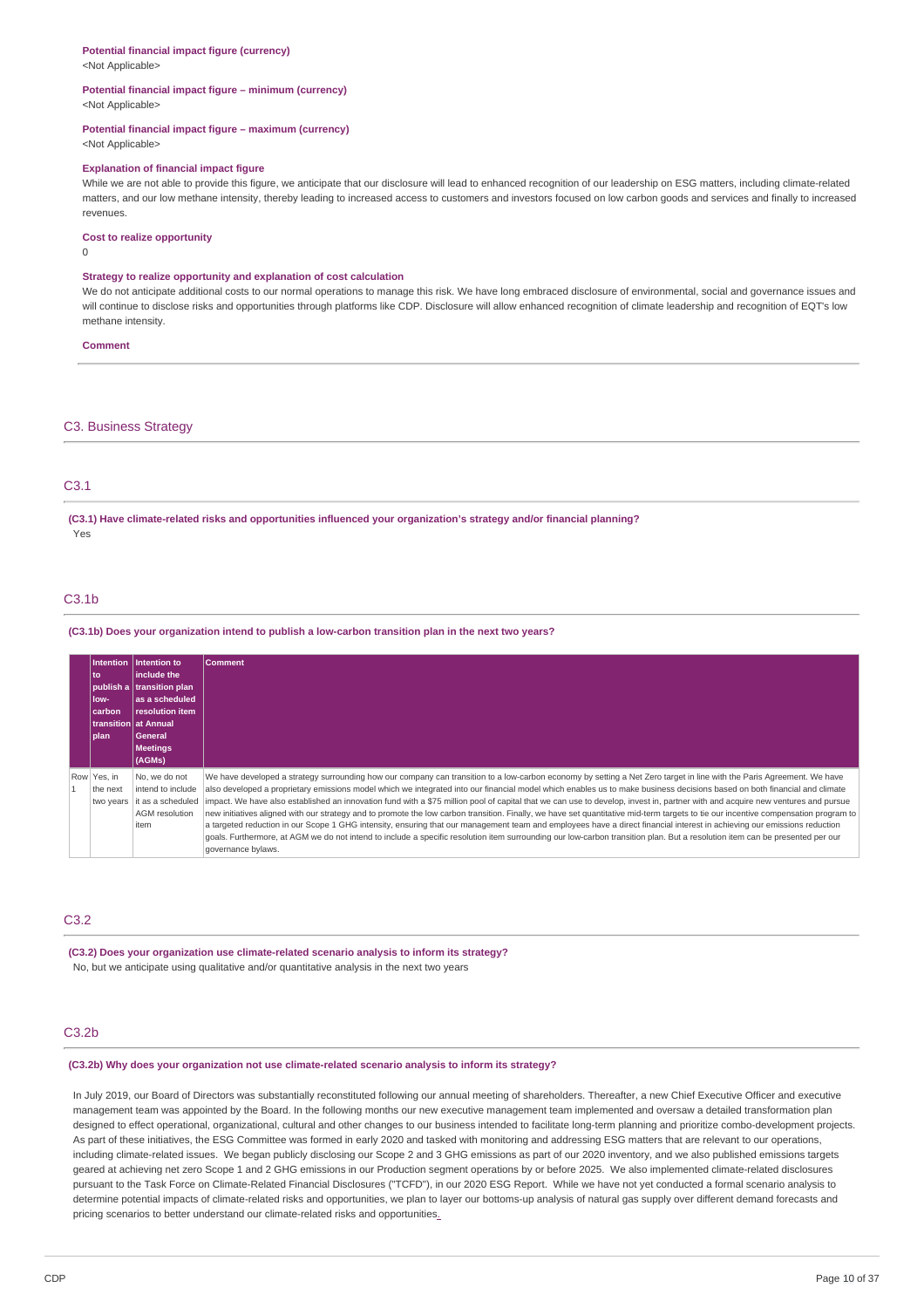# <Not Applicable> **Potential financial impact figure – minimum (currency)** <Not Applicable> **Potential financial impact figure – maximum (currency)** <Not Applicable> **Explanation of financial impact figure** While we are not able to provide this figure, we anticipate that our disclosure will lead to enhanced recognition of our leadership on ESG matters, including climate-related matters, and our low methane intensity, thereby leading to increased access to customers and investors focused on low carbon goods and services and finally to increased revenues. **Cost to realize opportunity** 0 **Strategy to realize opportunity and explanation of cost calculation** We do not anticipate additional costs to our normal operations to manage this risk. We have long embraced disclosure of environmental, social and governance issues and will continue to disclose risks and opportunities through platforms like CDP. Disclosure will allow enhanced recognition of climate leadership and recognition of EQT's low methane intensity. **Comment**

## C3. Business Strategy

**Potential financial impact figure (currency)**

# C3.1

**(C3.1) Have climate-related risks and opportunities influenced your organization's strategy and/or financial planning?** Yes

# $C3.1<sub>b</sub>$

**(C3.1b) Does your organization intend to publish a low-carbon transition plan in the next two years?**

| to<br>low-<br>carbon<br><b>plan</b>  | Intention lintention to<br>linclude the<br>publish a transition plan<br>las a scheduled<br>resolution item<br><b>transition lat Annual</b><br><b>General</b><br><b>Meetings</b><br>(AGMs) | Comment                                                                                                                                                                                                                                                                                                                                                                                                                                                                                                                                                                                                                                                                                                                                                                                                                                                                                                                                                                                                                                                                                                         |
|--------------------------------------|-------------------------------------------------------------------------------------------------------------------------------------------------------------------------------------------|-----------------------------------------------------------------------------------------------------------------------------------------------------------------------------------------------------------------------------------------------------------------------------------------------------------------------------------------------------------------------------------------------------------------------------------------------------------------------------------------------------------------------------------------------------------------------------------------------------------------------------------------------------------------------------------------------------------------------------------------------------------------------------------------------------------------------------------------------------------------------------------------------------------------------------------------------------------------------------------------------------------------------------------------------------------------------------------------------------------------|
| Row Yes, in<br>the next<br>two years | No. we do not<br>intend to include<br>it as a scheduled<br><b>AGM</b> resolution<br>item                                                                                                  | We have developed a strategy surrounding how our company can transition to a low-carbon economy by setting a Net Zero target in line with the Paris Agreement. We have<br>also developed a proprietary emissions model which we integrated into our financial model which enables us to make business decisions based on both financial and climate<br>impact. We have also established an innovation fund with a \$75 million pool of capital that we can use to develop, invest in, partner with and acquire new ventures and pursue<br>new initiatives aligned with our strategy and to promote the low carbon transition. Finally, we have set quantitative mid-term targets to tie our incentive compensation program to<br>a targeted reduction in our Scope 1 GHG intensity, ensuring that our management team and employees have a direct financial interest in achieving our emissions reduction<br>goals. Furthermore, at AGM we do not intend to include a specific resolution item surrounding our low-carbon transition plan. But a resolution item can be presented per our<br>governance bylaws. |

## C3.2

**(C3.2) Does your organization use climate-related scenario analysis to inform its strategy?** No, but we anticipate using qualitative and/or quantitative analysis in the next two years

## C3.2b

## **(C3.2b) Why does your organization not use climate-related scenario analysis to inform its strategy?**

In July 2019, our Board of Directors was substantially reconstituted following our annual meeting of shareholders. Thereafter, a new Chief Executive Officer and executive management team was appointed by the Board. In the following months our new executive management team implemented and oversaw a detailed transformation plan designed to effect operational, organizational, cultural and other changes to our business intended to facilitate long-term planning and prioritize combo-development projects. As part of these initiatives, the ESG Committee was formed in early 2020 and tasked with monitoring and addressing ESG matters that are relevant to our operations, including climate-related issues. We began publicly disclosing our Scope 2 and 3 GHG emissions as part of our 2020 inventory, and we also published emissions targets geared at achieving net zero Scope 1 and 2 GHG emissions in our Production segment operations by or before 2025. We also implemented climate-related disclosures pursuant to the Task Force on Climate-Related Financial Disclosures ("TCFD"), in our 2020 ESG Report. While we have not yet conducted a formal scenario analysis to determine potential impacts of climate-related risks and opportunities, we plan to layer our bottoms-up analysis of natural gas supply over different demand forecasts and pricing scenarios to better understand our climate-related risks and opportunitie[s.](https://cdp.credit360.com/surveys/2021/dbbr64mv/146577#_msocom_1)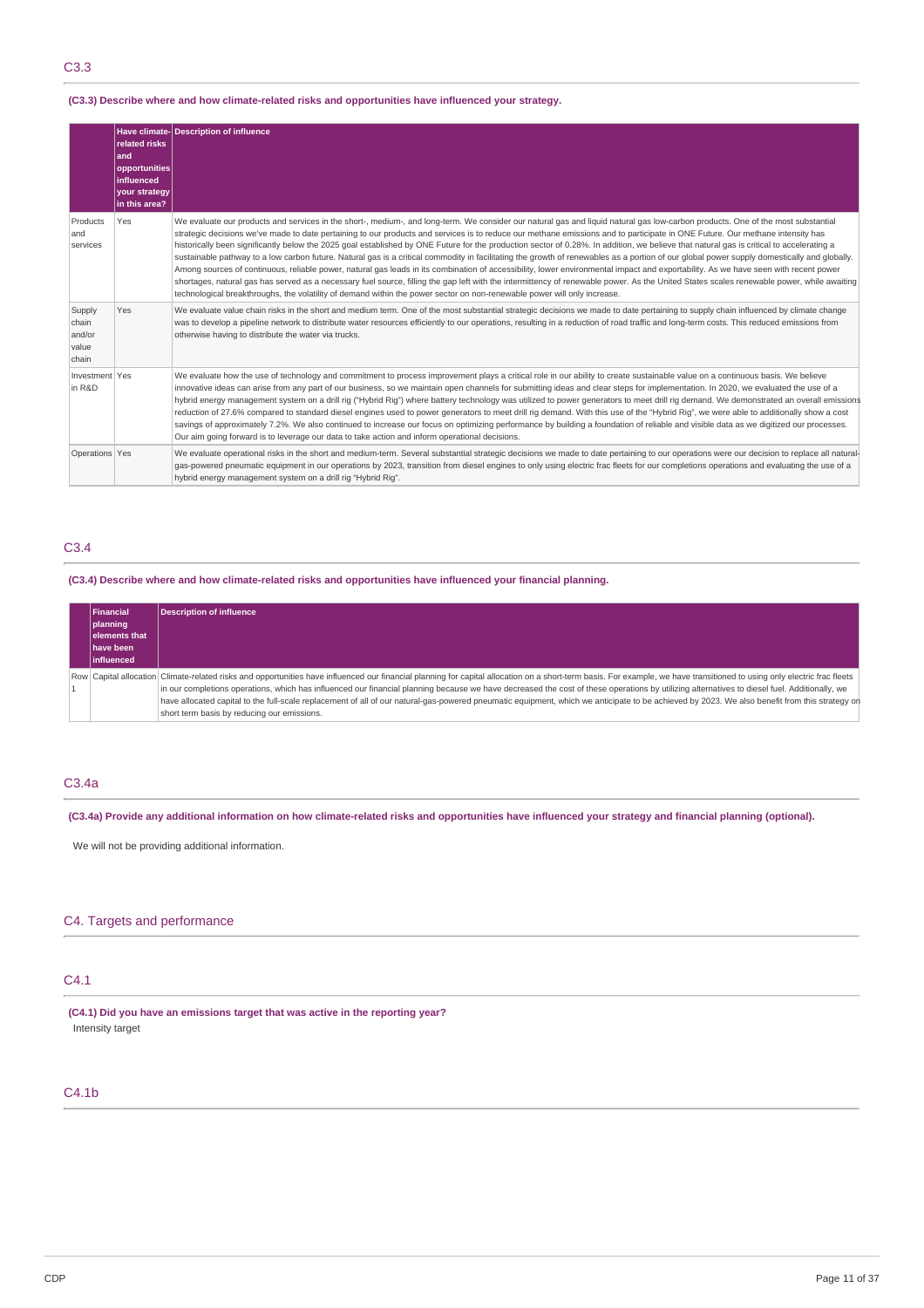# C3.3

## **(C3.3) Describe where and how climate-related risks and opportunities have influenced your strategy.**

|                                             | related risks<br>and<br>opportunities<br>influenced<br>your strategy<br>in this area? | Have climate-Description of influence                                                                                                                                                                                                                                                                                                                                                                                                                                                                                                                                                                                                                                                                                                                                                                                                                                                                                                                                                                                                                                                                                                                                                                                                                                        |
|---------------------------------------------|---------------------------------------------------------------------------------------|------------------------------------------------------------------------------------------------------------------------------------------------------------------------------------------------------------------------------------------------------------------------------------------------------------------------------------------------------------------------------------------------------------------------------------------------------------------------------------------------------------------------------------------------------------------------------------------------------------------------------------------------------------------------------------------------------------------------------------------------------------------------------------------------------------------------------------------------------------------------------------------------------------------------------------------------------------------------------------------------------------------------------------------------------------------------------------------------------------------------------------------------------------------------------------------------------------------------------------------------------------------------------|
| Products<br>and<br>services                 | Yes                                                                                   | We evaluate our products and services in the short-, medium-, and long-term. We consider our natural gas and liquid natural gas low-carbon products. One of the most substantial<br>strategic decisions we've made to date pertaining to our products and services is to reduce our methane emissions and to participate in ONE Future. Our methane intensity has<br>historically been significantly below the 2025 goal established by ONE Future for the production sector of 0.28%. In addition, we believe that natural gas is critical to accelerating a<br>sustainable pathway to a low carbon future. Natural gas is a critical commodity in facilitating the growth of renewables as a portion of our global power supply domestically and globally.<br>Among sources of continuous, reliable power, natural gas leads in its combination of accessibility, lower environmental impact and exportability. As we have seen with recent power<br>shortages, natural gas has served as a necessary fuel source, filling the gap left with the intermittency of renewable power. As the United States scales renewable power, while awaiting<br>technological breakthroughs, the volatility of demand within the power sector on non-renewable power will only increase. |
| Supply<br>chain<br>and/or<br>value<br>chain | Yes                                                                                   | We evaluate value chain risks in the short and medium term. One of the most substantial strategic decisions we made to date pertaining to supply chain influenced by climate change<br>was to develop a pipeline network to distribute water resources efficiently to our operations, resulting in a reduction of road traffic and long-term costs. This reduced emissions from<br>otherwise having to distribute the water via trucks.                                                                                                                                                                                                                                                                                                                                                                                                                                                                                                                                                                                                                                                                                                                                                                                                                                      |
| Investment Yes<br>in R&D                    |                                                                                       | We evaluate how the use of technology and commitment to process improvement plays a critical role in our ability to create sustainable value on a continuous basis. We believe<br>innovative ideas can arise from any part of our business, so we maintain open channels for submitting ideas and clear steps for implementation. In 2020, we evaluated the use of a<br>hybrid energy management system on a drill rig ("Hybrid Rig") where battery technology was utilized to power generators to meet drill rig demand. We demonstrated an overall emissions<br>reduction of 27.6% compared to standard diesel engines used to power generators to meet drill rig demand. With this use of the "Hybrid Rig", we were able to additionally show a cost<br>savings of approximately 7.2%. We also continued to increase our focus on optimizing performance by building a foundation of reliable and visible data as we digitized our processes.<br>Our aim going forward is to leverage our data to take action and inform operational decisions.                                                                                                                                                                                                                           |
| Operations Yes                              |                                                                                       | We evaluate operational risks in the short and medium-term. Several substantial strategic decisions we made to date pertaining to our operations were our decision to replace all natural-<br>gas-powered pneumatic equipment in our operations by 2023, transition from diesel engines to only using electric frac fleets for our completions operations and evaluating the use of a<br>hybrid energy management system on a drill rig "Hybrid Rig".                                                                                                                                                                                                                                                                                                                                                                                                                                                                                                                                                                                                                                                                                                                                                                                                                        |

# C3.4

# **(C3.4) Describe where and how climate-related risks and opportunities have influenced your financial planning.**

| Financial |                      | Description of influence                                                                                                                                                                                                 |
|-----------|----------------------|--------------------------------------------------------------------------------------------------------------------------------------------------------------------------------------------------------------------------|
|           | planning             |                                                                                                                                                                                                                          |
|           | <b>elements that</b> |                                                                                                                                                                                                                          |
|           | <b>Ihave been</b>    |                                                                                                                                                                                                                          |
|           | linfluenced          |                                                                                                                                                                                                                          |
|           |                      | Row Capital allocation Climate-related risks and opportunities have influenced our financial planning for capital allocation on a short-term basis. For example, we have transitioned to using only electric frac fleets |
|           |                      | in our completions operations, which has influenced our financial planning because we have decreased the cost of these operations by utilizing alternatives to diesel fuel. Additionally, we                             |
|           |                      | have allocated capital to the full-scale replacement of all of our natural-gas-powered pneumatic equipment, which we anticipate to be achieved by 2023. We also benefit from this strategy on                            |
|           |                      | short term basis by reducing our emissions.                                                                                                                                                                              |

# C3.4a

(C3.4a) Provide any additional information on how climate-related risks and opportunities have influenced your strategy and financial planning (optional).

We will not be providing additional information.

# C4. Targets and performance

# C4.1

**(C4.1) Did you have an emissions target that was active in the reporting year?** Intensity target

# C4.1b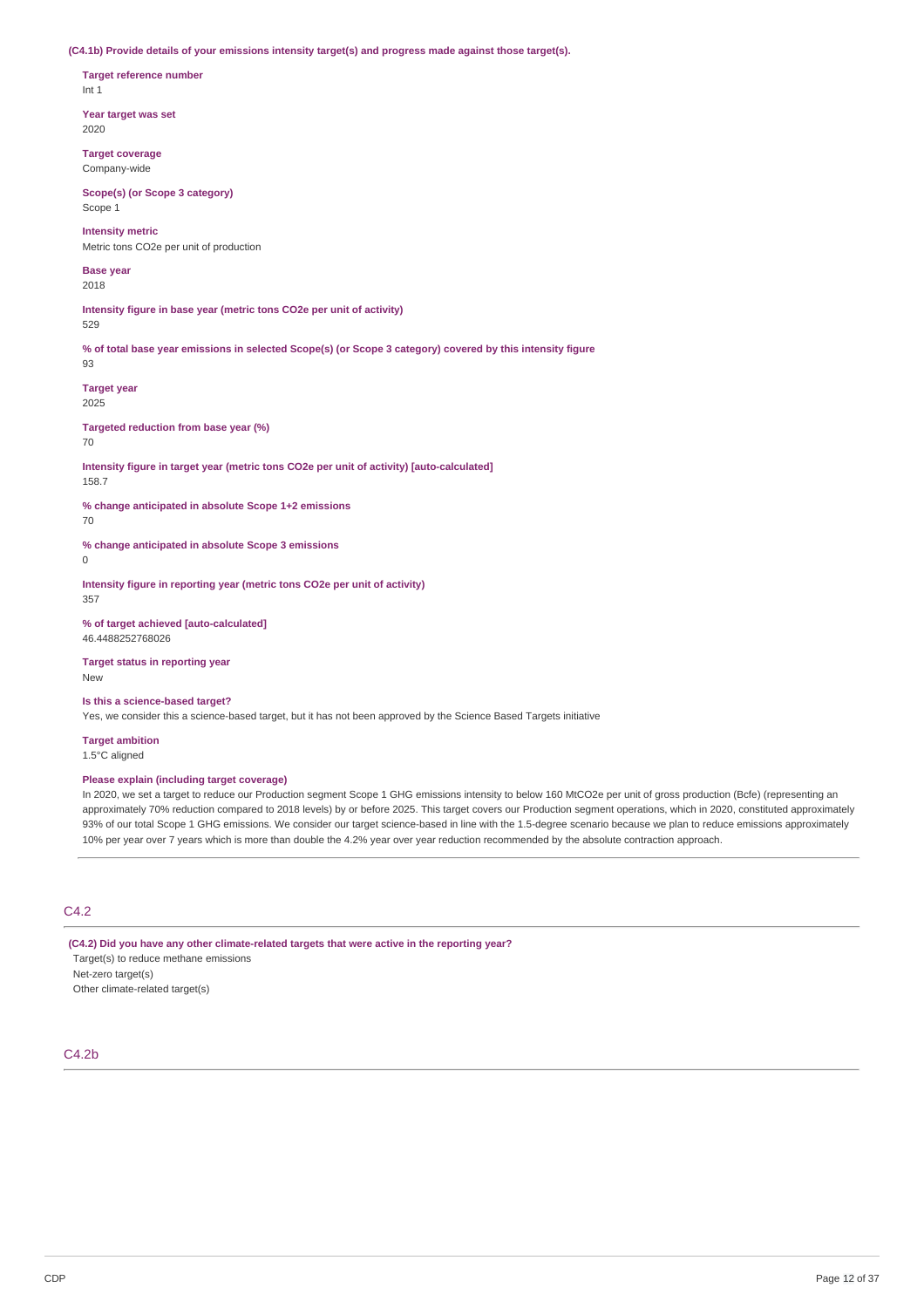**(C4.1b) Provide details of your emissions intensity target(s) and progress made against those target(s).**

**Target reference number** Int 1

**Year target was set** 2020

**Target coverage** Company-wide

**Scope(s) (or Scope 3 category)** Scope 1

**Intensity metric** Metric tons CO2e per unit of production

**Base year** 2018

**Intensity figure in base year (metric tons CO2e per unit of activity)** 529

% of total base year emissions in selected Scope(s) (or Scope 3 category) covered by this intensity figure 93

**Target year** 2025

**Targeted reduction from base year (%)**

70

**Intensity figure in target year (metric tons CO2e per unit of activity) [auto-calculated]** 158.7

**% change anticipated in absolute Scope 1+2 emissions** 70

**% change anticipated in absolute Scope 3 emissions**

 $\Omega$ 

**Intensity figure in reporting year (metric tons CO2e per unit of activity)** 357

**% of target achieved [auto-calculated]** 46.4488252768026

**Target status in reporting year** New

**Is this a science-based target?**

Yes, we consider this a science-based target, but it has not been approved by the Science Based Targets initiative

**Target ambition** 1.5°C aligned

**Please explain (including target coverage)**

In 2020, we set a target to reduce our Production segment Scope 1 GHG emissions intensity to below 160 MtCO2e per unit of gross production (Bcfe) (representing an approximately 70% reduction compared to 2018 levels) by or before 2025. This target covers our Production segment operations, which in 2020, constituted approximately 93% of our total Scope 1 GHG emissions. We consider our target science-based in line with the 1.5-degree scenario because we plan to reduce emissions approximately 10% per year over 7 years which is more than double the 4.2% year over year reduction recommended by the absolute contraction approach.

# C4.2

**(C4.2) Did you have any other climate-related targets that were active in the reporting year?** Target(s) to reduce methane emissions

Net-zero target(s)

Other climate-related target(s)

## C4.2b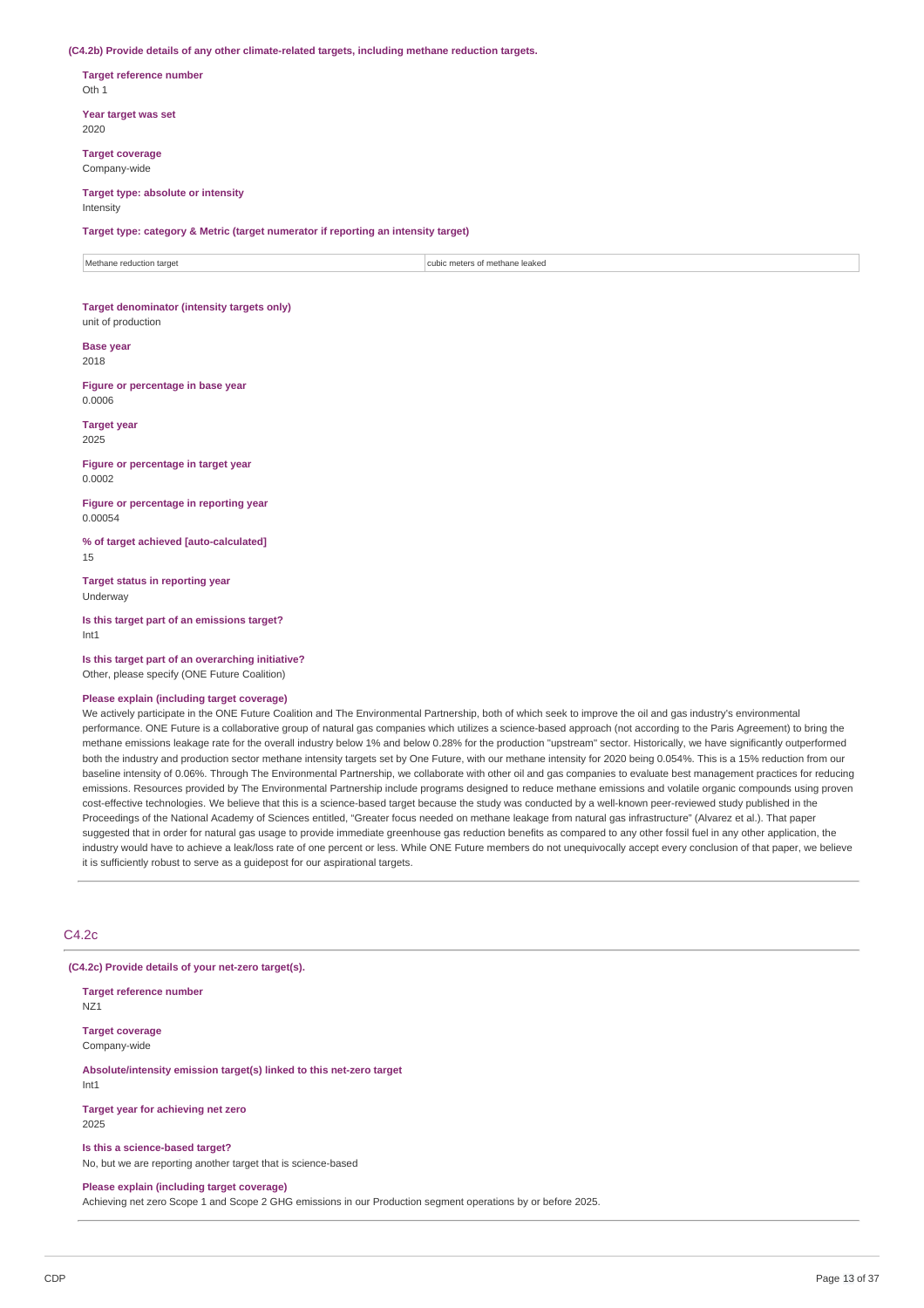#### **(C4.2b) Provide details of any other climate-related targets, including methane reduction targets.**

**Target reference number** Oth 1

**Year target was set** 2020

**Target coverage** Company-wide

#### **Target type: absolute or intensity** Intensity

**Target type: category & Metric (target numerator if reporting an intensity target)**

Methane reduction target cubic meters of methane leaked

#### **Target denominator (intensity targets only)** unit of production

**Base year**

2018

**Figure or percentage in base year** 0.0006

**Target year** 2025

**Figure or percentage in target year** 0.0002

**Figure or percentage in reporting year** 0.00054

**% of target achieved [auto-calculated]** 15

**Target status in reporting year** Underway

**Is this target part of an emissions target?** Int1

**Is this target part of an overarching initiative?** Other, please specify (ONE Future Coalition)

#### **Please explain (including target coverage)**

We actively participate in the ONE Future Coalition and The Environmental Partnership, both of which seek to improve the oil and gas industry's environmental performance. ONE Future is a collaborative group of natural gas companies which utilizes a science-based approach (not according to the Paris Agreement) to bring the methane emissions leakage rate for the overall industry below 1% and below 0.28% for the production "upstream" sector. Historically, we have significantly outperformed both the industry and production sector methane intensity targets set by One Future, with our methane intensity for 2020 being 0.054%. This is a 15% reduction from our baseline intensity of 0.06%. Through The Environmental Partnership, we collaborate with other oil and gas companies to evaluate best management practices for reducing emissions. Resources provided by The Environmental Partnership include programs designed to reduce methane emissions and volatile organic compounds using proven cost-effective technologies. We believe that this is a science-based target because the study was conducted by a well-known peer-reviewed study published in the Proceedings of the National Academy of Sciences entitled, "Greater focus needed on methane leakage from natural gas infrastructure" (Alvarez et al.). That paper suggested that in order for natural gas usage to provide immediate greenhouse gas reduction benefits as compared to any other fossil fuel in any other application, the industry would have to achieve a leak/loss rate of one percent or less. While ONE Future members do not unequivocally accept every conclusion of that paper, we believe it is sufficiently robust to serve as a guidepost for our aspirational targets.

## C4.2c

**(C4.2c) Provide details of your net-zero target(s).**

**Target reference number** NZ1

**Target coverage** Company-wide

**Absolute/intensity emission target(s) linked to this net-zero target** Int1

**Target year for achieving net zero** 2025

**Is this a science-based target?**

No, but we are reporting another target that is science-based

# **Please explain (including target coverage)**

Achieving net zero Scope 1 and Scope 2 GHG emissions in our Production segment operations by or before 2025.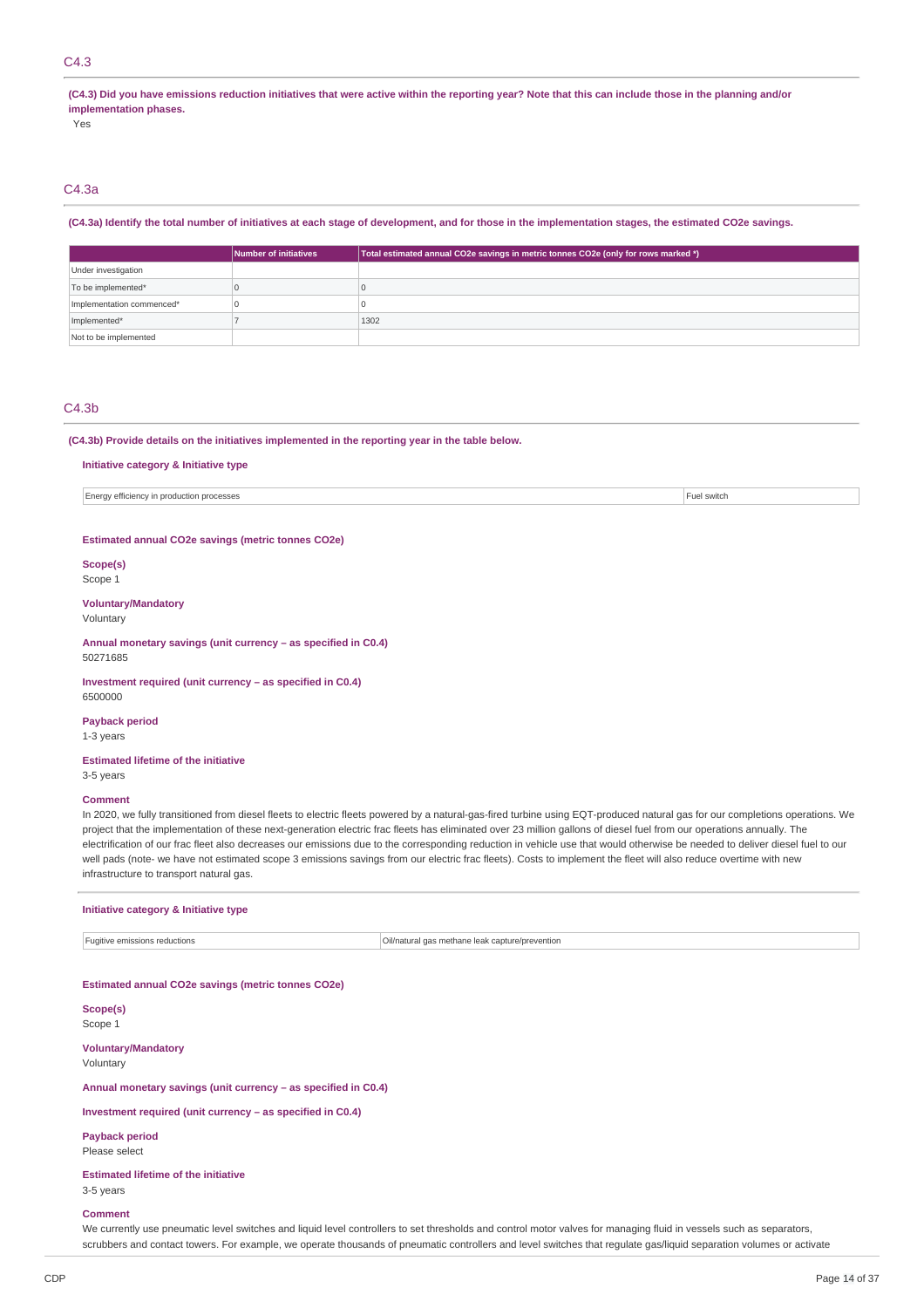# C4.3

(C4.3) Did you have emissions reduction initiatives that were active within the reporting year? Note that this can include those in the planning and/or **implementation phases.**

Yes

# C4.3a

#### (C4.3a) Identify the total number of initiatives at each stage of development, and for those in the implementation stages, the estimated CO2e savings.

|                           | Number of initiatives | Total estimated annual CO2e savings in metric tonnes CO2e (only for rows marked *) |
|---------------------------|-----------------------|------------------------------------------------------------------------------------|
| Under investigation       |                       |                                                                                    |
| To be implemented*        |                       |                                                                                    |
| Implementation commenced* |                       |                                                                                    |
| Implemented*              |                       | 1302                                                                               |
| Not to be implemented     |                       |                                                                                    |

## C4.3b

#### **(C4.3b) Provide details on the initiatives implemented in the reporting year in the table below.**

#### **Initiative category & Initiative type**

Energy efficiency in production processes Fuel switch

#### **Estimated annual CO2e savings (metric tonnes CO2e)**

**Scope(s)** Scope 1

### **Voluntary/Mandatory** Voluntary

**Annual monetary savings (unit currency – as specified in C0.4)** 50271685

#### **Investment required (unit currency – as specified in C0.4)** 6500000

**Payback period**

1-3 years

#### **Estimated lifetime of the initiative** 3-5 years

#### **Comment**

In 2020, we fully transitioned from diesel fleets to electric fleets powered by a natural-gas-fired turbine using EQT-produced natural gas for our completions operations. We project that the implementation of these next-generation electric frac fleets has eliminated over 23 million gallons of diesel fuel from our operations annually. The electrification of our frac fleet also decreases our emissions due to the corresponding reduction in vehicle use that would otherwise be needed to deliver diesel fuel to our well pads (note- we have not estimated scope 3 emissions savings from our electric frac fleets). Costs to implement the fleet will also reduce overtime with new infrastructure to transport natural gas.

#### **Initiative category & Initiative type**

Fugitive emissions reductions **COVID-100** Cill/natural gas methane leak capture/prevention

#### **Estimated annual CO2e savings (metric tonnes CO2e)**

**Scope(s)** Scope 1

**Voluntary/Mandatory** Voluntary

## **Annual monetary savings (unit currency – as specified in C0.4)**

**Investment required (unit currency – as specified in C0.4)**

**Payback period** Please select

**Estimated lifetime of the initiative**

3-5 years

#### **Comment**

We currently use pneumatic level switches and liquid level controllers to set thresholds and control motor valves for managing fluid in vessels such as separators, scrubbers and contact towers. For example, we operate thousands of pneumatic controllers and level switches that regulate gas/liquid separation volumes or activate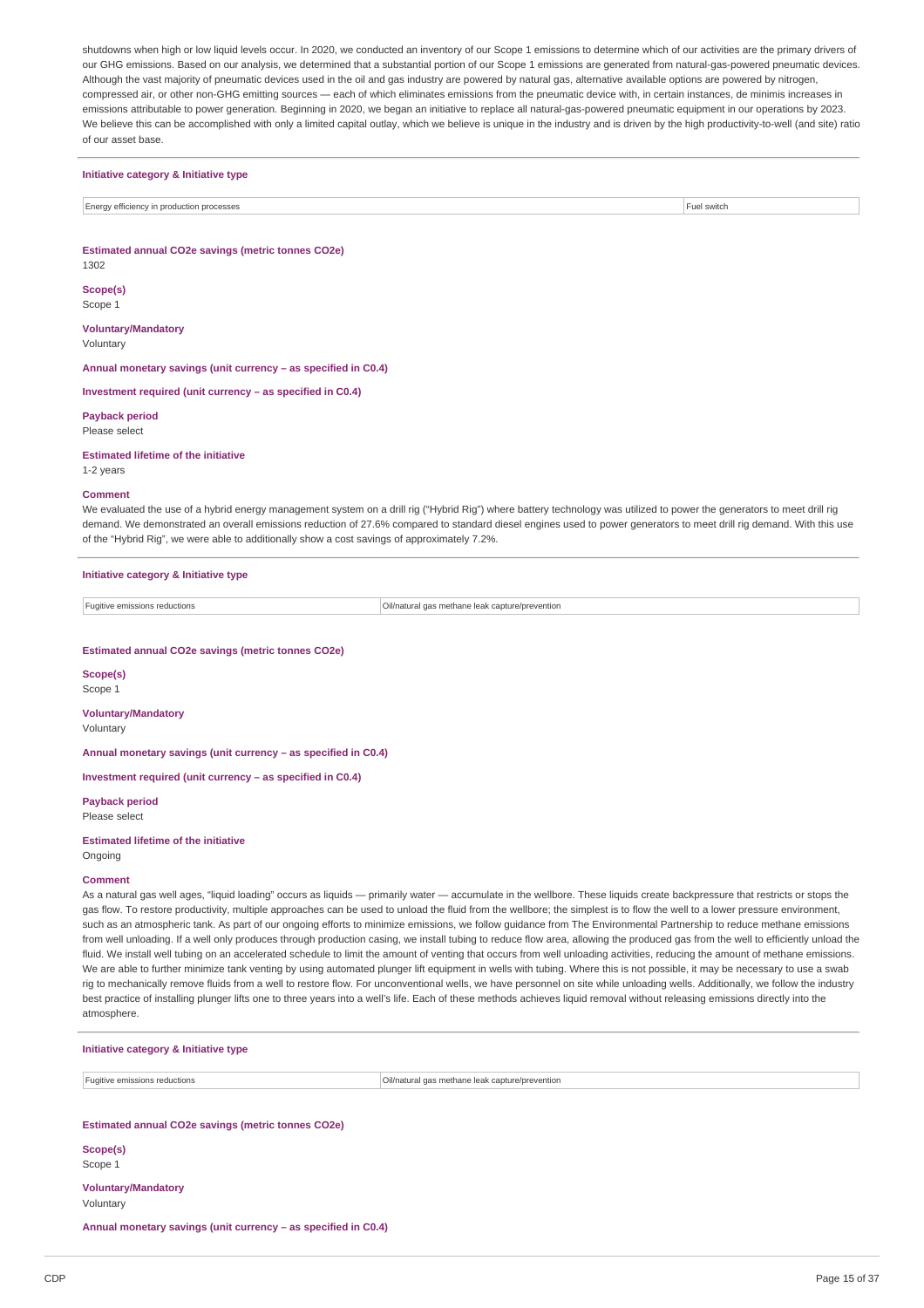shutdowns when high or low liquid levels occur. In 2020, we conducted an inventory of our Scope 1 emissions to determine which of our activities are the primary drivers of our GHG emissions. Based on our analysis, we determined that a substantial portion of our Scope 1 emissions are generated from natural-gas-powered pneumatic devices. Although the vast majority of pneumatic devices used in the oil and gas industry are powered by natural gas, alternative available options are powered by nitrogen, compressed air, or other non-GHG emitting sources — each of which eliminates emissions from the pneumatic device with, in certain instances, de minimis increases in emissions attributable to power generation. Beginning in 2020, we began an initiative to replace all natural-gas-powered pneumatic equipment in our operations by 2023. We believe this can be accomplished with only a limited capital outlay, which we believe is unique in the industry and is driven by the high productivity-to-well (and site) ratio of our asset base.

#### **Initiative category & Initiative type**

Energy efficiency in production processes Fuel switch in the switch of the switch state of the switch state of the switch state of the switch state of the switch state of the switch state of the switch state of the switch

**Estimated annual CO2e savings (metric tonnes CO2e)** 1302

**Scope(s)**

Scope 1

**Voluntary/Mandatory** Voluntary

**Annual monetary savings (unit currency – as specified in C0.4)**

**Investment required (unit currency – as specified in C0.4)**

**Payback period** Please select

#### **Estimated lifetime of the initiative**

1-2 years

#### **Comment**

We evaluated the use of a hybrid energy management system on a drill rig ("Hybrid Rig") where battery technology was utilized to power the generators to meet drill rig demand. We demonstrated an overall emissions reduction of 27.6% compared to standard diesel engines used to power generators to meet drill rig demand. With this use of the "Hybrid Rig", we were able to additionally show a cost savings of approximately 7.2%.

## **Initiative category & Initiative type**

Fugitive emissions reductions Oil/natural gas methane leak capture/prevention

#### **Estimated annual CO2e savings (metric tonnes CO2e)**

**Scope(s)** Scope 1

**Voluntary/Mandatory** Voluntary

**Annual monetary savings (unit currency – as specified in C0.4)**

**Investment required (unit currency – as specified in C0.4)**

**Payback period** Please select

#### **Estimated lifetime of the initiative**

Ongoing

#### **Comment**

As a natural gas well ages, "liquid loading" occurs as liquids — primarily water — accumulate in the wellbore. These liquids create backpressure that restricts or stops the gas flow. To restore productivity, multiple approaches can be used to unload the fluid from the wellbore; the simplest is to flow the well to a lower pressure environment, such as an atmospheric tank. As part of our ongoing efforts to minimize emissions, we follow guidance from The Environmental Partnership to reduce methane emissions from well unloading. If a well only produces through production casing, we install tubing to reduce flow area, allowing the produced gas from the well to efficiently unload the fluid. We install well tubing on an accelerated schedule to limit the amount of venting that occurs from well unloading activities, reducing the amount of methane emissions. We are able to further minimize tank venting by using automated plunger lift equipment in wells with tubing. Where this is not possible, it may be necessary to use a swab rig to mechanically remove fluids from a well to restore flow. For unconventional wells, we have personnel on site while unloading wells. Additionally, we follow the industry best practice of installing plunger lifts one to three years into a well's life. Each of these methods achieves liquid removal without releasing emissions directly into the atmosphere.

|  |  |  | Initiative category & Initiative type |  |
|--|--|--|---------------------------------------|--|
|--|--|--|---------------------------------------|--|

Fugitive emissions reductions **COLL ACCOLL ACCOLL ACCOLL ACCOLL** FUGION CONTENTING CONTENTS ON CONTENTS OF CONTENTS OF CONTENTS OF CONTENTS OF CONTENTS OF CONTENTS OF CONTENTS OF CONTENTS OF CONTENTS OF CONTENTS OF CONTENT

#### **Estimated annual CO2e savings (metric tonnes CO2e)**

**Scope(s)** Scope 1

# **Voluntary/Mandatory**

Voluntary

**Annual monetary savings (unit currency – as specified in C0.4)**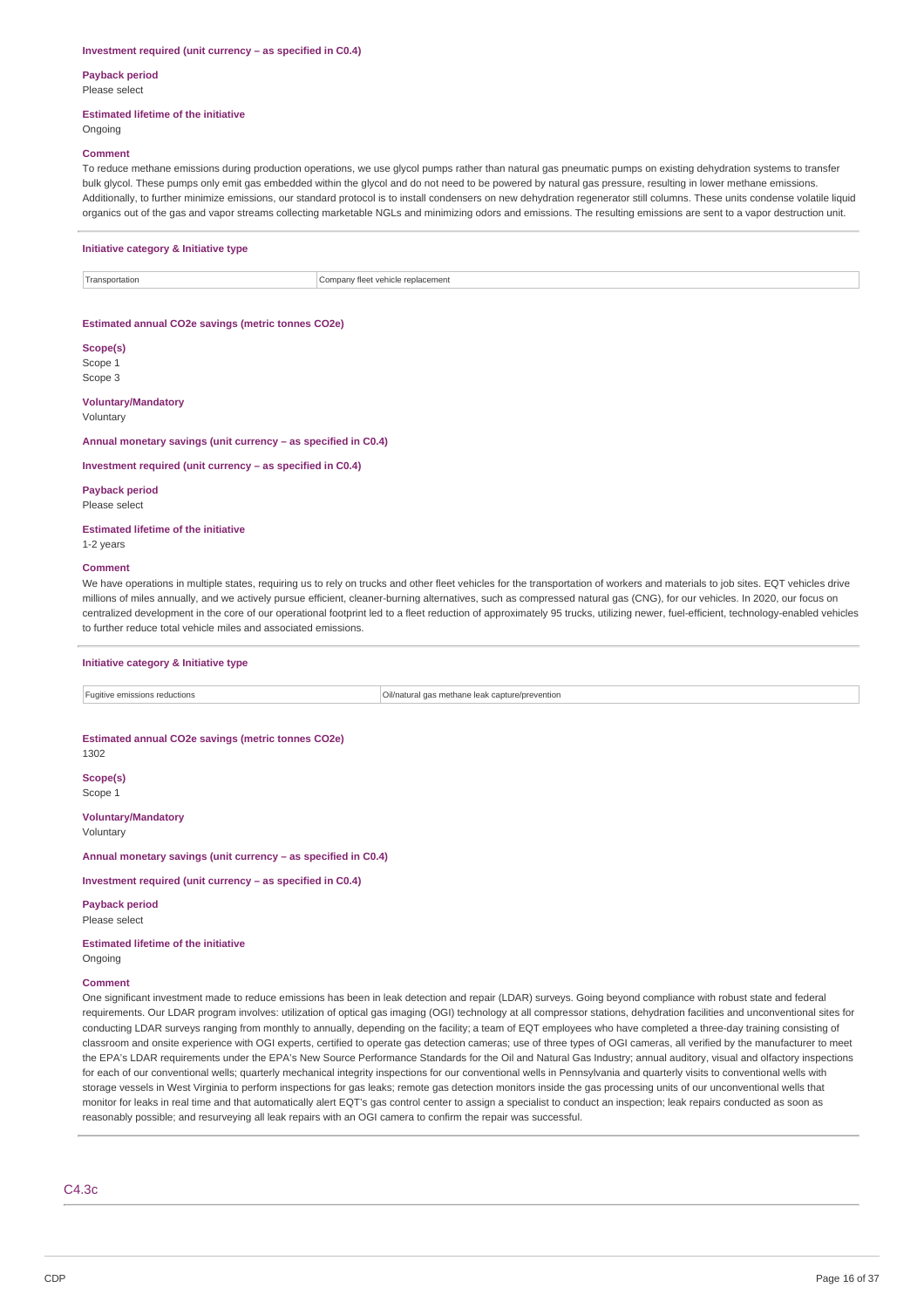#### **Investment required (unit currency – as specified in C0.4)**

# **Payback period**

Please select

## **Estimated lifetime of the initiative**

## **Ongoing**

#### **Comment**

To reduce methane emissions during production operations, we use glycol pumps rather than natural gas pneumatic pumps on existing dehydration systems to transfer bulk glycol. These pumps only emit gas embedded within the glycol and do not need to be powered by natural gas pressure, resulting in lower methane emissions Additionally, to further minimize emissions, our standard protocol is to install condensers on new dehydration regenerator still columns. These units condense volatile liquid organics out of the gas and vapor streams collecting marketable NGLs and minimizing odors and emissions. The resulting emissions are sent to a vapor destruction unit.

## **Initiative category & Initiative type**

Transportation Company fleet vehicle replacement

#### **Estimated annual CO2e savings (metric tonnes CO2e)**

**Scope(s)** Scope 1 Scope 3

#### **Voluntary/Mandatory**

Voluntary

**Annual monetary savings (unit currency – as specified in C0.4)**

**Investment required (unit currency – as specified in C0.4)**

**Payback period** Please select

**Estimated lifetime of the initiative** 1-2 years

#### **Comment**

We have operations in multiple states, requiring us to rely on trucks and other fleet vehicles for the transportation of workers and materials to job sites. EQT vehicles drive millions of miles annually, and we actively pursue efficient, cleaner-burning alternatives, such as compressed natural gas (CNG), for our vehicles. In 2020, our focus on centralized development in the core of our operational footprint led to a fleet reduction of approximately 95 trucks, utilizing newer, fuel-efficient, technology-enabled vehicles to further reduce total vehicle miles and associated emissions.

#### **Initiative category & Initiative type**

Fugitive emissions reductions Oil/natural gas methane leak capture/prevention

## **Estimated annual CO2e savings (metric tonnes CO2e)**

1302

**Scope(s)** Scope 1

**Voluntary/Mandatory** Voluntary

**Annual monetary savings (unit currency – as specified in C0.4)**

**Investment required (unit currency – as specified in C0.4)**

**Payback period** Please select

**Estimated lifetime of the initiative** Ongoing

### **Comment**

One significant investment made to reduce emissions has been in leak detection and repair (LDAR) surveys. Going beyond compliance with robust state and federal requirements. Our LDAR program involves: utilization of optical gas imaging (OGI) technology at all compressor stations, dehydration facilities and unconventional sites for conducting LDAR surveys ranging from monthly to annually, depending on the facility; a team of EQT employees who have completed a three-day training consisting of classroom and onsite experience with OGI experts, certified to operate gas detection cameras; use of three types of OGI cameras, all verified by the manufacturer to meet the EPA's LDAR requirements under the EPA's New Source Performance Standards for the Oil and Natural Gas Industry; annual auditory, visual and olfactory inspections for each of our conventional wells; quarterly mechanical integrity inspections for our conventional wells in Pennsylvania and quarterly visits to conventional wells with storage vessels in West Virginia to perform inspections for gas leaks; remote gas detection monitors inside the gas processing units of our unconventional wells that monitor for leaks in real time and that automatically alert EQT's gas control center to assign a specialist to conduct an inspection; leak repairs conducted as soon as reasonably possible; and resurveying all leak repairs with an OGI camera to confirm the repair was successful.

C4.3c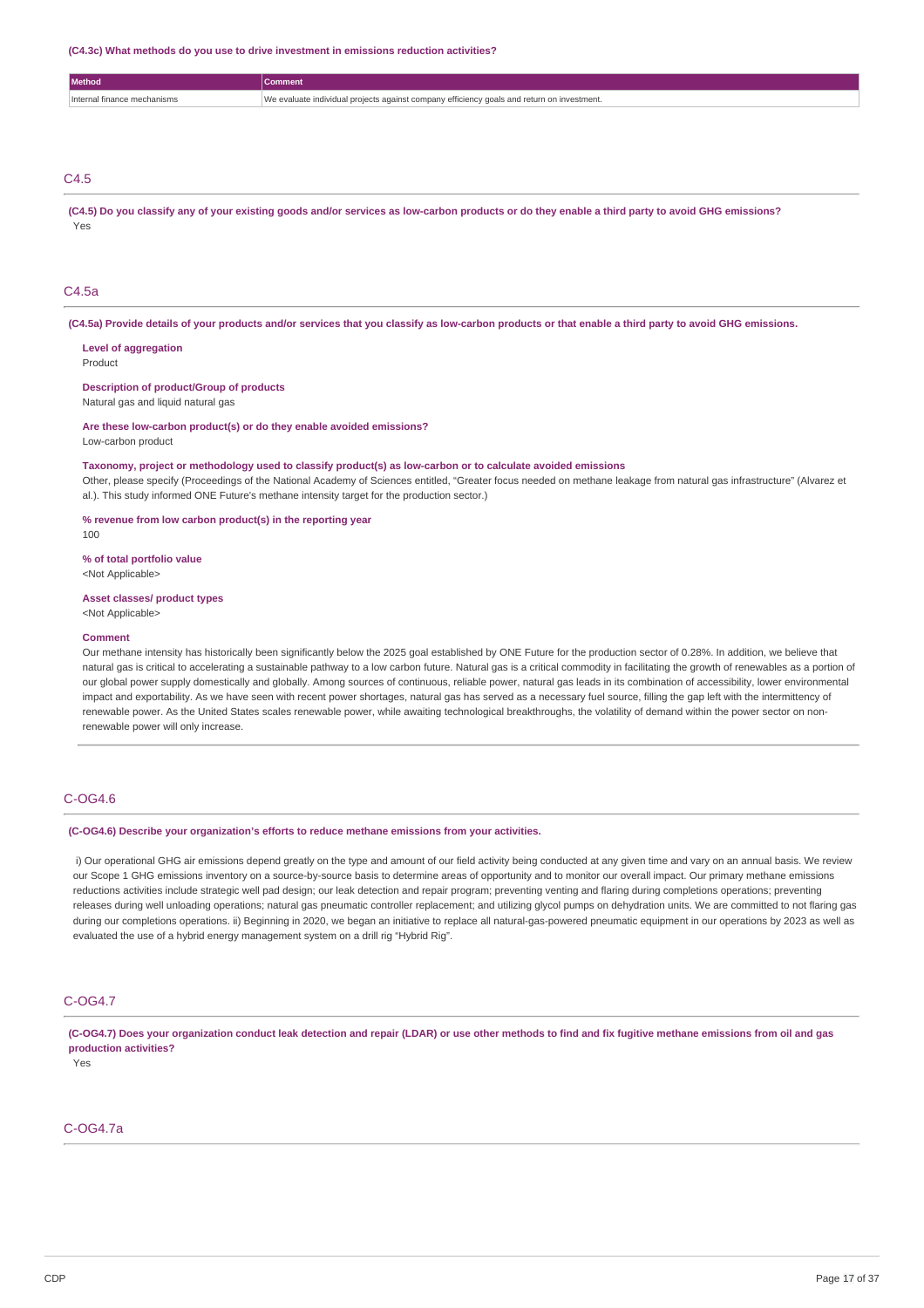#### **(C4.3c) What methods do you use to drive investment in emissions reduction activities?**

| <b><i><u>Method</u></i></b> | Comment                                                                                               |
|-----------------------------|-------------------------------------------------------------------------------------------------------|
| .                           | efficiency<br>ndividual nroiects<br>compan<br>1.000<br><b>POPULA</b><br>estment.<br>all lot CUII<br>. |
|                             |                                                                                                       |

# C4.5

(C4.5) Do you classify any of your existing goods and/or services as low-carbon products or do they enable a third party to avoid GHG emissions? Yes

## C4.5a

(C4.5a) Provide details of your products and/or services that you classify as low-carbon products or that enable a third party to avoid GHG emissions.

**Level of aggregation** Product

**Description of product/Group of products**

Natural gas and liquid natural gas

**Are these low-carbon product(s) or do they enable avoided emissions?**

Low-carbon product

**Taxonomy, project or methodology used to classify product(s) as low-carbon or to calculate avoided emissions**

Other, please specify (Proceedings of the National Academy of Sciences entitled, "Greater focus needed on methane leakage from natural gas infrastructure" (Alvarez et al.). This study informed ONE Future's methane intensity target for the production sector.)

**% revenue from low carbon product(s) in the reporting year**

100

**% of total portfolio value**

<Not Applicable>

**Asset classes/ product types** <Not Applicable>

#### **Comment**

Our methane intensity has historically been significantly below the 2025 goal established by ONE Future for the production sector of 0.28%. In addition, we believe that natural gas is critical to accelerating a sustainable pathway to a low carbon future. Natural gas is a critical commodity in facilitating the growth of renewables as a portion of our global power supply domestically and globally. Among sources of continuous, reliable power, natural gas leads in its combination of accessibility, lower environmental impact and exportability. As we have seen with recent power shortages, natural gas has served as a necessary fuel source, filling the gap left with the intermittency of renewable power. As the United States scales renewable power, while awaiting technological breakthroughs, the volatility of demand within the power sector on nonrenewable power will only increase.

## C-OG4.6

**(C-OG4.6) Describe your organization's efforts to reduce methane emissions from your activities.**

i) Our operational GHG air emissions depend greatly on the type and amount of our field activity being conducted at any given time and vary on an annual basis. We review our Scope 1 GHG emissions inventory on a source-by-source basis to determine areas of opportunity and to monitor our overall impact. Our primary methane emissions reductions activities include strategic well pad design; our leak detection and repair program; preventing venting and flaring during completions operations; preventing releases during well unloading operations; natural gas pneumatic controller replacement; and utilizing glycol pumps on dehydration units. We are committed to not flaring gas during our completions operations. ii) Beginning in 2020, we began an initiative to replace all natural-gas-powered pneumatic equipment in our operations by 2023 as well as evaluated the use of a hybrid energy management system on a drill rig "Hybrid Rig".

## C-OG4.7

(C-OG4.7) Does your organization conduct leak detection and repair (LDAR) or use other methods to find and fix fugitive methane emissions from oil and gas **production activities?**

Yes

# C-OG4.7a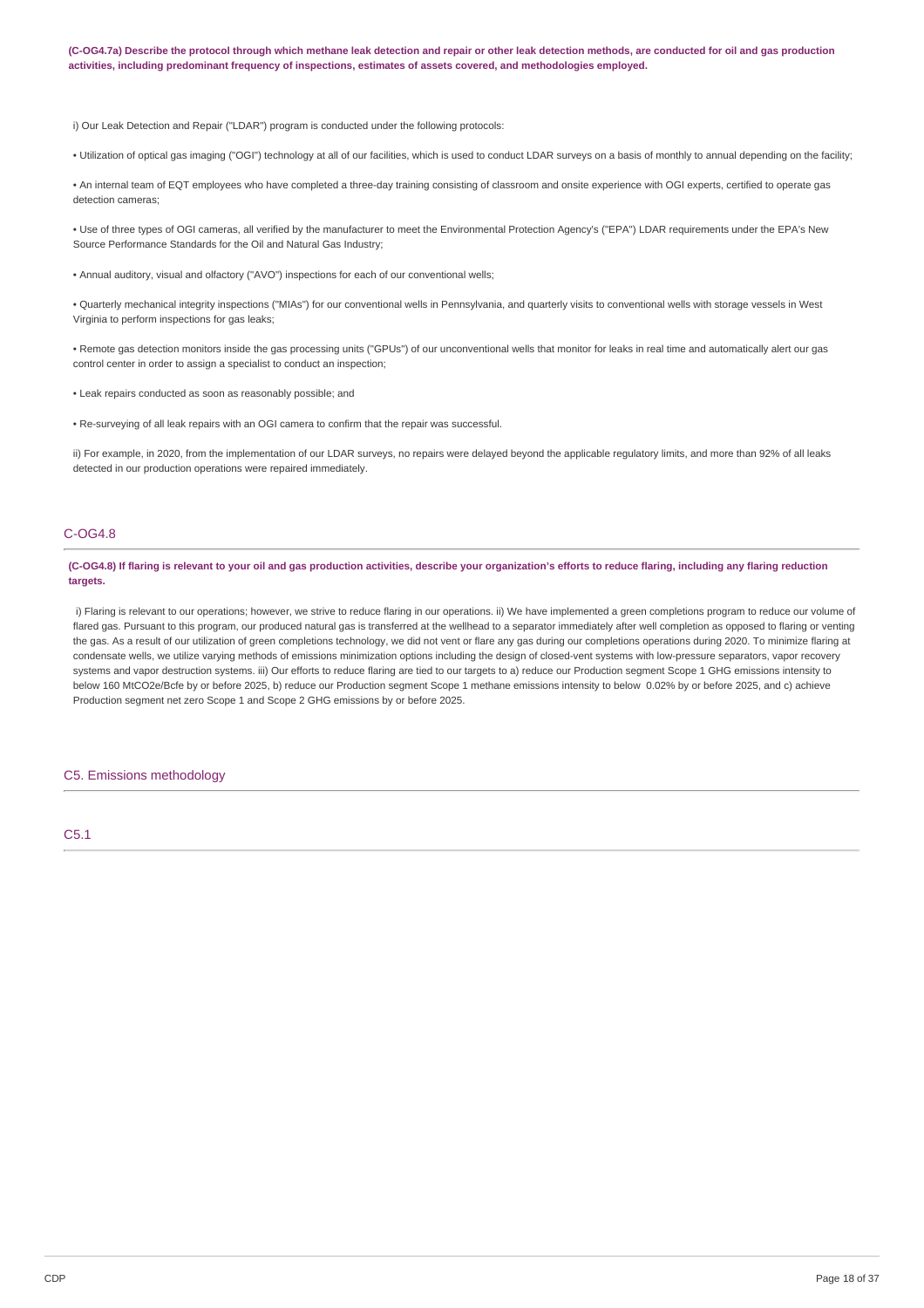(C-OG4.7a) Describe the protocol through which methane leak detection and repair or other leak detection methods, are conducted for oil and gas production **activities, including predominant frequency of inspections, estimates of assets covered, and methodologies employed.**

i) Our Leak Detection and Repair ("LDAR") program is conducted under the following protocols:

• Utilization of optical gas imaging ("OGI") technology at all of our facilities, which is used to conduct LDAR surveys on a basis of monthly to annual depending on the facility;

• An internal team of EQT employees who have completed a three-day training consisting of classroom and onsite experience with OGI experts, certified to operate gas detection cameras;

• Use of three types of OGI cameras, all verified by the manufacturer to meet the Environmental Protection Agency's ("EPA") LDAR requirements under the EPA's New Source Performance Standards for the Oil and Natural Gas Industry;

• Annual auditory, visual and olfactory ("AVO") inspections for each of our conventional wells;

• Quarterly mechanical integrity inspections ("MIAs") for our conventional wells in Pennsylvania, and quarterly visits to conventional wells with storage vessels in West Virginia to perform inspections for gas leaks;

• Remote gas detection monitors inside the gas processing units ("GPUs") of our unconventional wells that monitor for leaks in real time and automatically alert our gas control center in order to assign a specialist to conduct an inspection;

• Leak repairs conducted as soon as reasonably possible; and

• Re-surveying of all leak repairs with an OGI camera to confirm that the repair was successful.

ii) For example, in 2020, from the implementation of our LDAR surveys, no repairs were delayed beyond the applicable regulatory limits, and more than 92% of all leaks detected in our production operations were repaired immediately.

## C-OG4.8

(C-OG4.8) If flaring is relevant to your oil and gas production activities, describe your organization's efforts to reduce flaring, including any flaring reduction **targets.**

i) Flaring is relevant to our operations; however, we strive to reduce flaring in our operations. ii) We have implemented a green completions program to reduce our volume of flared gas. Pursuant to this program, our produced natural gas is transferred at the wellhead to a separator immediately after well completion as opposed to flaring or venting the gas. As a result of our utilization of green completions technology, we did not vent or flare any gas during our completions operations during 2020. To minimize flaring at condensate wells, we utilize varying methods of emissions minimization options including the design of closed-vent systems with low-pressure separators, vapor recovery systems and vapor destruction systems. iii) Our efforts to reduce flaring are tied to our targets to a) reduce our Production segment Scope 1 GHG emissions intensity to below 160 MtCO2e/Bcfe by or before 2025, b) reduce our Production segment Scope 1 methane emissions intensity to below 0.02% by or before 2025, and c) achieve Production segment net zero Scope 1 and Scope 2 GHG emissions by or before 2025.

## C5. Emissions methodology

C5.1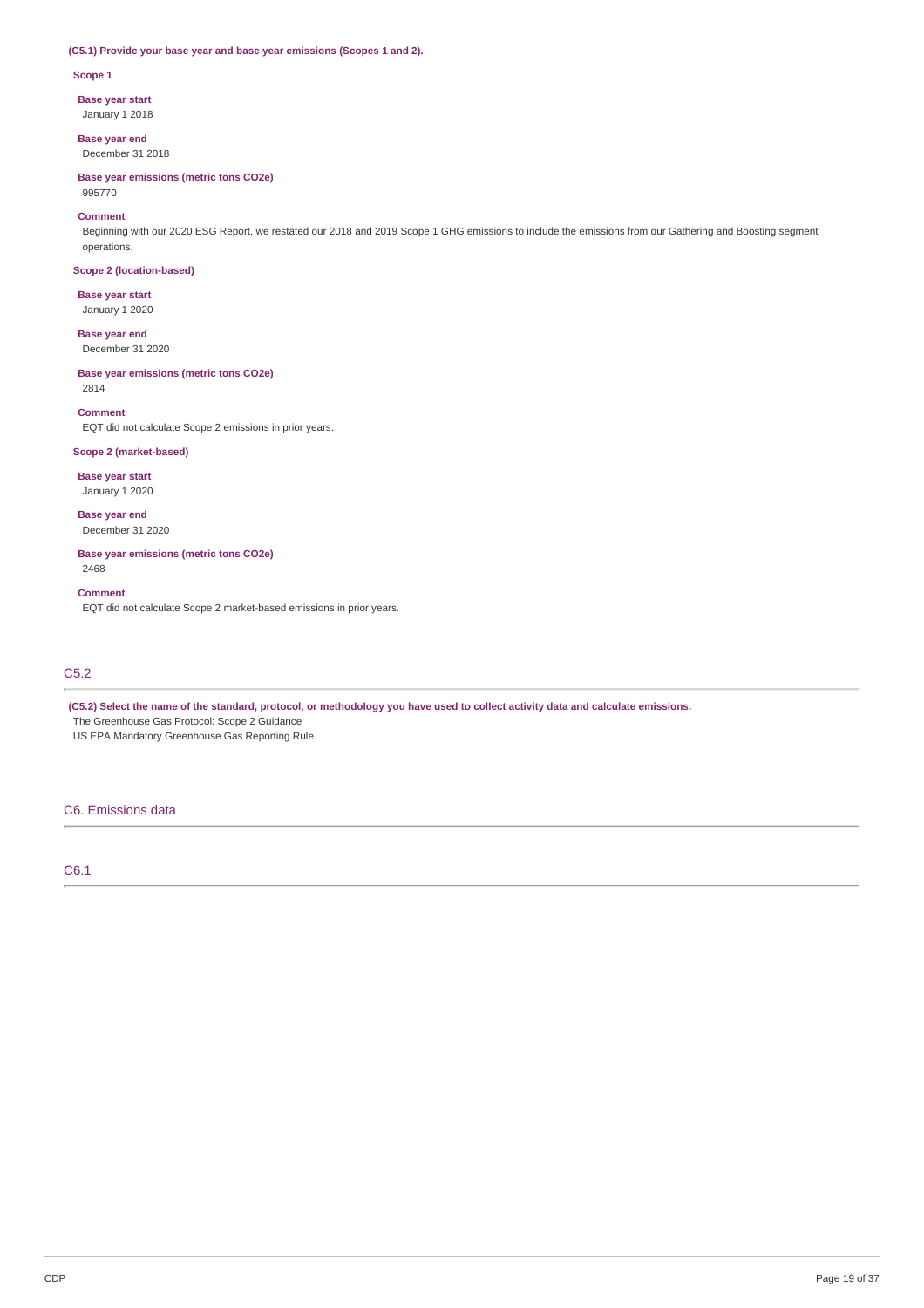## **(C5.1) Provide your base year and base year emissions (Scopes 1 and 2).**

#### **Scope 1**

**Base year start**

January 1 2018

**Base year end** December 31 2018

**Base year emissions (metric tons CO2e)** 995770

#### **Comment**

Beginning with our 2020 ESG Report, we restated our 2018 and 2019 Scope 1 GHG emissions to include the emissions from our Gathering and Boosting segment operations.

## **Scope 2 (location-based)**

**Base year start** January 1 2020

**Base year end** December 31 2020

## **Base year emissions (metric tons CO2e)**

2814

#### **Comment**

EQT did not calculate Scope 2 emissions in prior years.

## **Scope 2 (market-based)**

**Base year start**

January 1 2020

**Base year end** December 31 2020

**Base year emissions (metric tons CO2e)** 2468

### **Comment**

EQT did not calculate Scope 2 market-based emissions in prior years.

# C5.2

(C5.2) Select the name of the standard, protocol, or methodology you have used to collect activity data and calculate emissions.

The Greenhouse Gas Protocol: Scope 2 Guidance

US EPA Mandatory Greenhouse Gas Reporting Rule

## C6. Emissions data

C6.1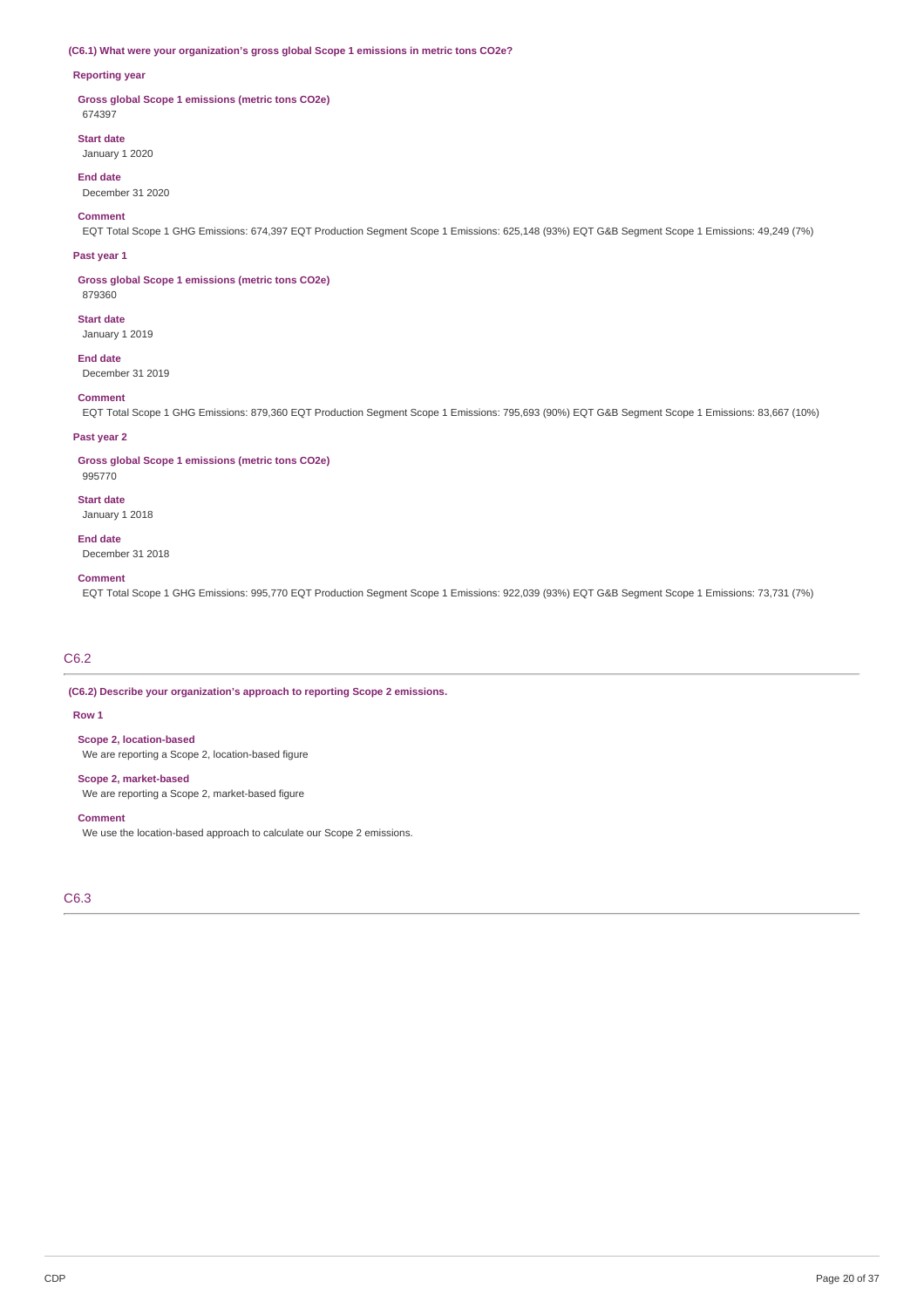## **(C6.1) What were your organization's gross global Scope 1 emissions in metric tons CO2e?**

#### **Reporting year**

**Gross global Scope 1 emissions (metric tons CO2e)** 674397

#### **Start date**

January 1 2020

# **End date**

December 31 2020

## **Comment**

EQT Total Scope 1 GHG Emissions: 674,397 EQT Production Segment Scope 1 Emissions: 625,148 (93%) EQT G&B Segment Scope 1 Emissions: 49,249 (7%)

#### **Past year 1**

**Gross global Scope 1 emissions (metric tons CO2e)** 879360

# **Start date**

January 1 2019

#### **End date**

December 31 2019

# **Comment**

EQT Total Scope 1 GHG Emissions: 879,360 EQT Production Segment Scope 1 Emissions: 795,693 (90%) EQT G&B Segment Scope 1 Emissions: 83,667 (10%)

## **Past year 2**

**Gross global Scope 1 emissions (metric tons CO2e)**

# 995770

**Start date** January 1 2018

#### **End date**

December 31 2018

#### **Comment**

EQT Total Scope 1 GHG Emissions: 995,770 EQT Production Segment Scope 1 Emissions: 922,039 (93%) EQT G&B Segment Scope 1 Emissions: 73,731 (7%)

# C6.2

**(C6.2) Describe your organization's approach to reporting Scope 2 emissions.**

#### **Row 1**

**Scope 2, location-based**

We are reporting a Scope 2, location-based figure

## **Scope 2, market-based**

We are reporting a Scope 2, market-based figure

#### **Comment**

We use the location-based approach to calculate our Scope 2 emissions.

C6.3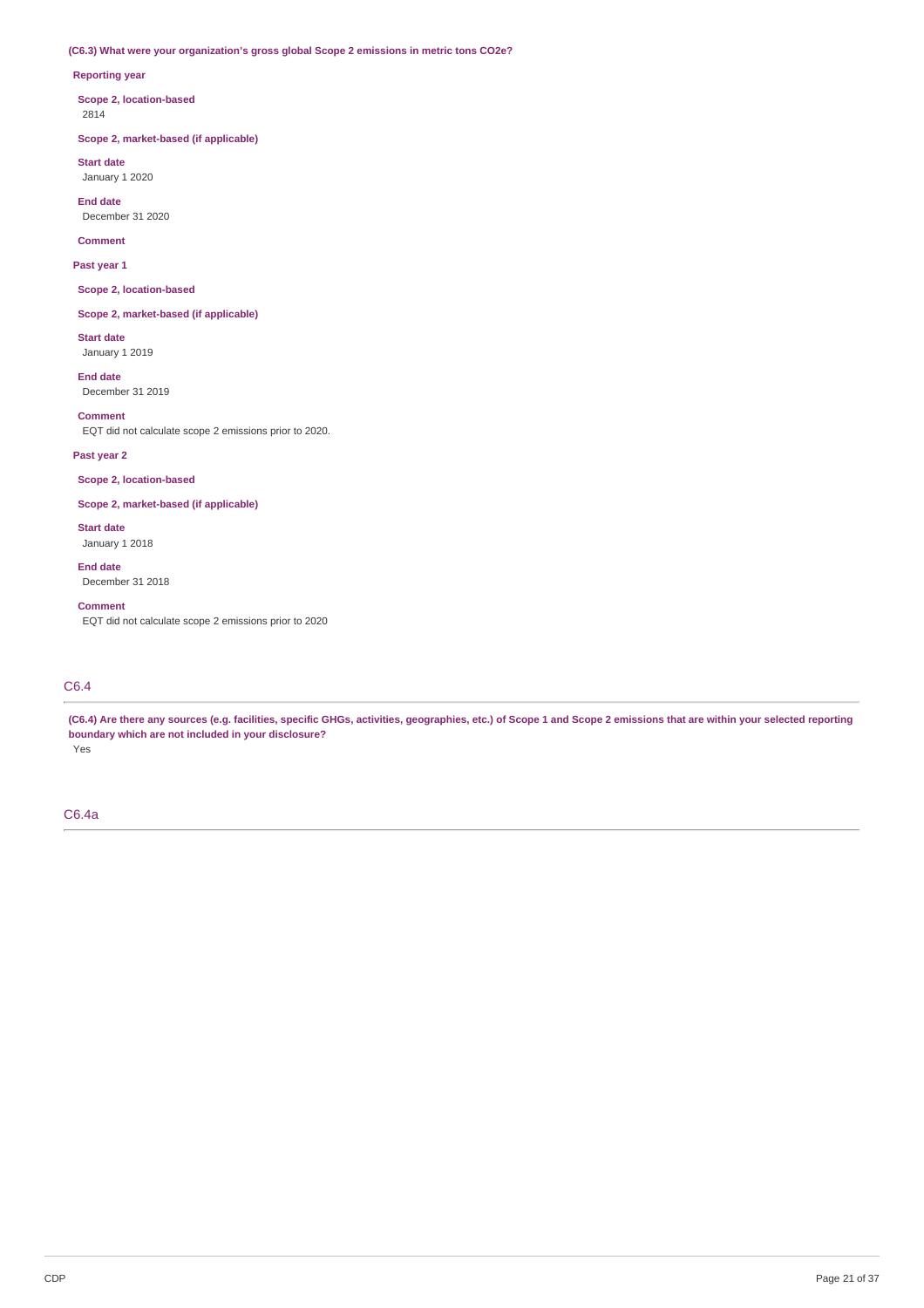## **(C6.3) What were your organization's gross global Scope 2 emissions in metric tons CO2e?**

## **Reporting year**

**Scope 2, location-based** 2814

**Scope 2, market-based (if applicable)**

**Start date** January 1 2020

**End date** December 31 2020

**Comment**

**Past year 1**

**Scope 2, location-based**

**Scope 2, market-based (if applicable)**

**Start date** January 1 2019

**End date** December 31 2019

**Comment** EQT did not calculate scope 2 emissions prior to 2020.

**Past year 2**

**Scope 2, location-based**

**Scope 2, market-based (if applicable)**

**Start date** January 1 2018

**End date** December 31 2018

**Comment**

EQT did not calculate scope 2 emissions prior to 2020

# C6.4

(C6.4) Are there any sources (e.g. facilities, specific GHGs, activities, geographies, etc.) of Scope 1 and Scope 2 emissions that are within your selected reporting **boundary which are not included in your disclosure?**

Yes

C6.4a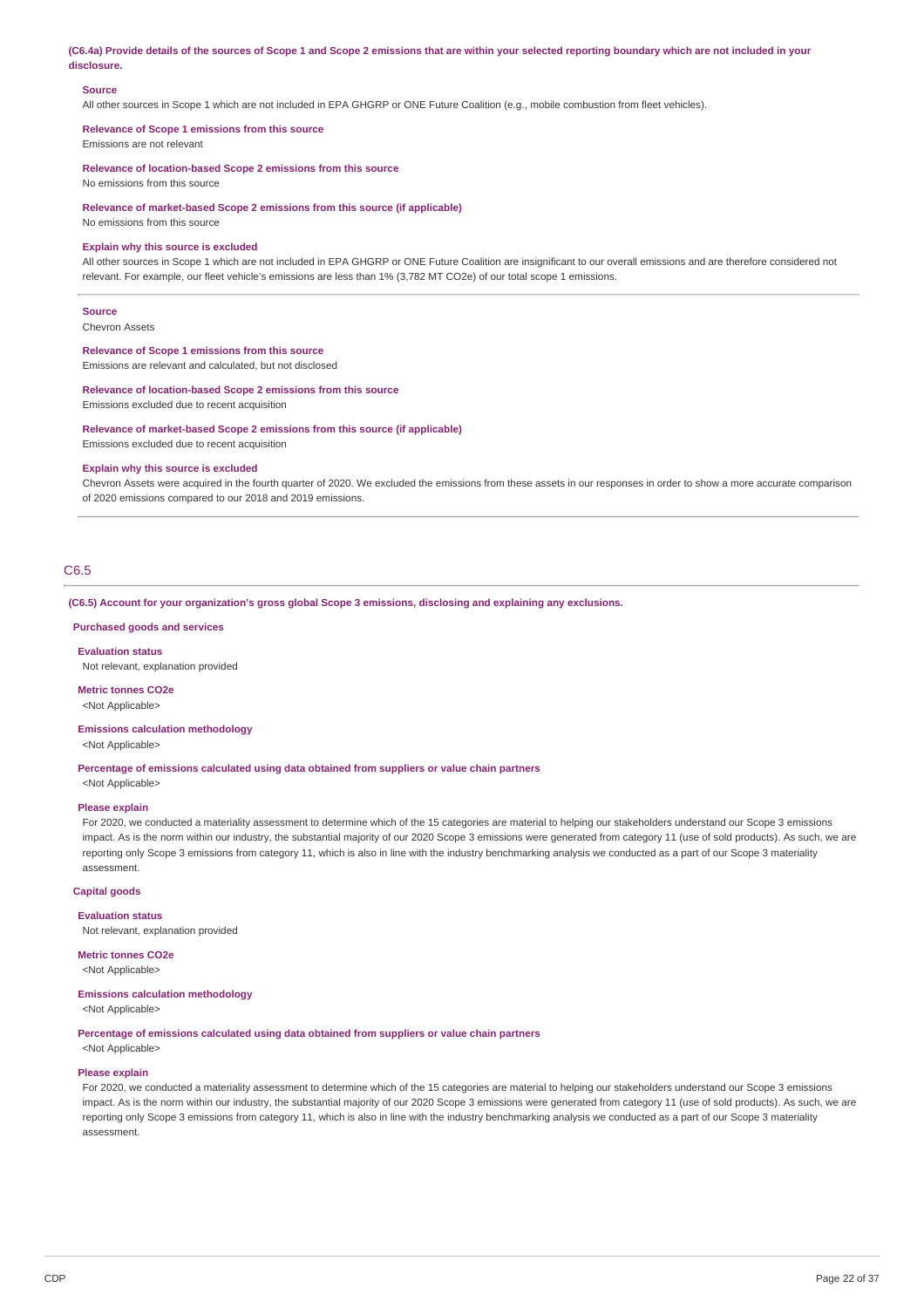(C6.4a) Provide details of the sources of Scope 1 and Scope 2 emissions that are within your selected reporting boundary which are not included in your **disclosure.**

## **Source**

All other sources in Scope 1 which are not included in EPA GHGRP or ONE Future Coalition (e.g., mobile combustion from fleet vehicles).

**Relevance of Scope 1 emissions from this source** Emissions are not relevant

**Relevance of location-based Scope 2 emissions from this source**

No emissions from this source

**Relevance of market-based Scope 2 emissions from this source (if applicable)**

No emissions from this source

#### **Explain why this source is excluded**

All other sources in Scope 1 which are not included in EPA GHGRP or ONE Future Coalition are insignificant to our overall emissions and are therefore considered not relevant. For example, our fleet vehicle's emissions are less than 1% (3,782 MT CO2e) of our total scope 1 emissions.

#### **Source**

Chevron Assets

**Relevance of Scope 1 emissions from this source** Emissions are relevant and calculated, but not disclosed

#### **Relevance of location-based Scope 2 emissions from this source**

Emissions excluded due to recent acquisition

#### **Relevance of market-based Scope 2 emissions from this source (if applicable)**

Emissions excluded due to recent acquisition

## **Explain why this source is excluded**

Chevron Assets were acquired in the fourth quarter of 2020. We excluded the emissions from these assets in our responses in order to show a more accurate comparison of 2020 emissions compared to our 2018 and 2019 emissions.

## C6.5

**(C6.5) Account for your organization's gross global Scope 3 emissions, disclosing and explaining any exclusions.**

#### **Purchased goods and services**

**Evaluation status**

Not relevant, explanation provided

**Metric tonnes CO2e** <Not Applicable>

#### **Emissions calculation methodology**

<Not Applicable>

**Percentage of emissions calculated using data obtained from suppliers or value chain partners**

# <Not Applicable> **Please explain**

For 2020, we conducted a materiality assessment to determine which of the 15 categories are material to helping our stakeholders understand our Scope 3 emissions impact. As is the norm within our industry, the substantial majority of our 2020 Scope 3 emissions were generated from category 11 (use of sold products). As such, we are reporting only Scope 3 emissions from category 11, which is also in line with the industry benchmarking analysis we conducted as a part of our Scope 3 materiality assessment.

#### **Capital goods**

**Evaluation status** Not relevant, explanation provided

**Metric tonnes CO2e**

#### <Not Applicable>

## **Emissions calculation methodology**

<Not Applicable>

**Percentage of emissions calculated using data obtained from suppliers or value chain partners**

<Not Applicable>

#### **Please explain**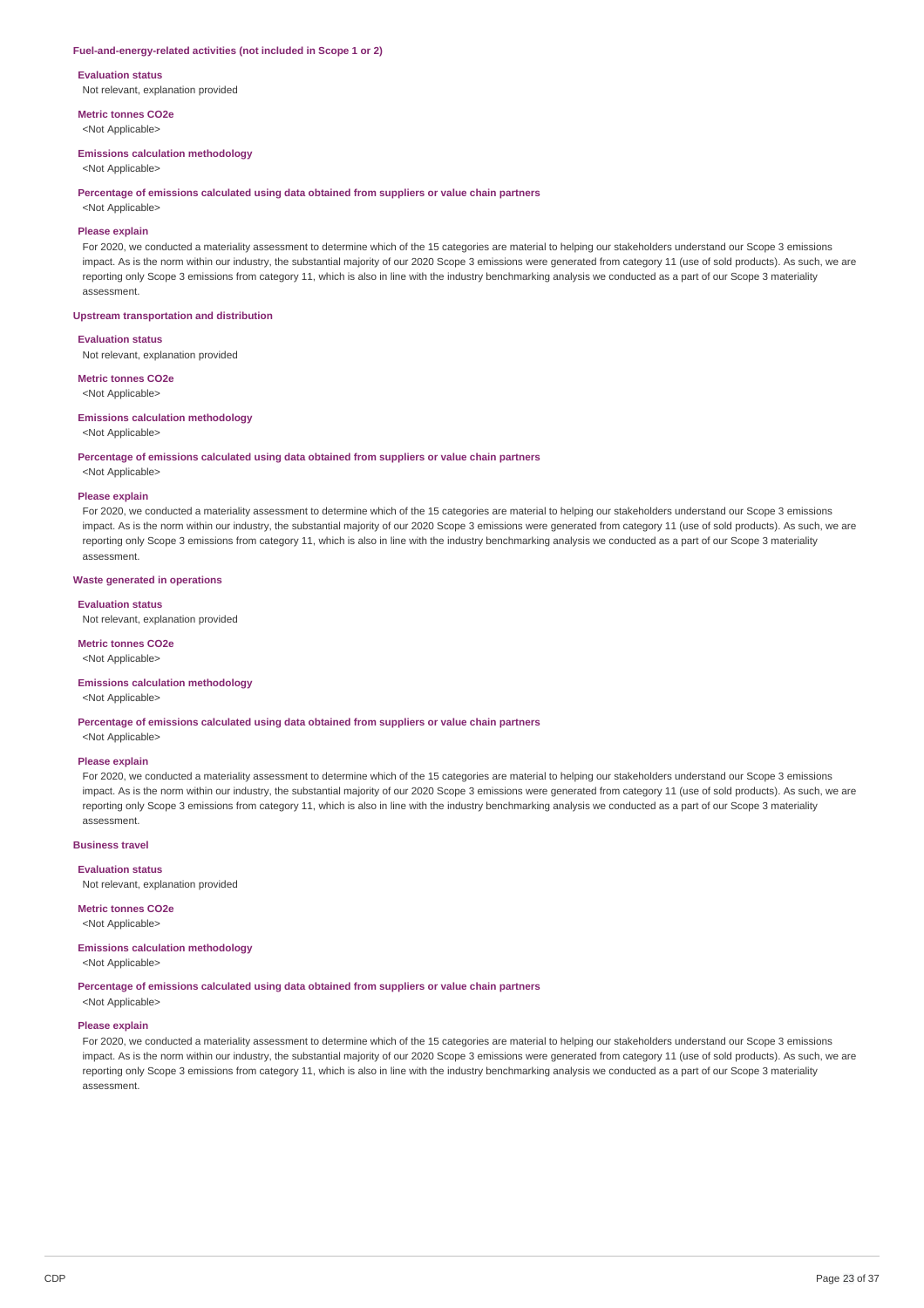#### **Fuel-and-energy-related activities (not included in Scope 1 or 2)**

**Evaluation status**

Not relevant, explanation provided

**Metric tonnes CO2e** <Not Applicable>

#### **Emissions calculation methodology**

<Not Applicable>

#### **Percentage of emissions calculated using data obtained from suppliers or value chain partners**

<Not Applicable>

## **Please explain**

For 2020, we conducted a materiality assessment to determine which of the 15 categories are material to helping our stakeholders understand our Scope 3 emissions impact. As is the norm within our industry, the substantial majority of our 2020 Scope 3 emissions were generated from category 11 (use of sold products). As such, we are reporting only Scope 3 emissions from category 11, which is also in line with the industry benchmarking analysis we conducted as a part of our Scope 3 materiality assessment.

## **Upstream transportation and distribution**

**Evaluation status**

Not relevant, explanation provided

**Metric tonnes CO2e** <Not Applicable>

# **Emissions calculation methodology**

<Not Applicable>

#### **Percentage of emissions calculated using data obtained from suppliers or value chain partners**

<Not Applicable>

#### **Please explain**

For 2020, we conducted a materiality assessment to determine which of the 15 categories are material to helping our stakeholders understand our Scope 3 emissions impact. As is the norm within our industry, the substantial majority of our 2020 Scope 3 emissions were generated from category 11 (use of sold products). As such, we are reporting only Scope 3 emissions from category 11, which is also in line with the industry benchmarking analysis we conducted as a part of our Scope 3 materiality assessment.

## **Waste generated in operations**

#### **Evaluation status**

Not relevant, explanation provided

#### **Metric tonnes CO2e**

<Not Applicable>

#### **Emissions calculation methodology**

<Not Applicable>

**Percentage of emissions calculated using data obtained from suppliers or value chain partners**

<Not Applicable>

## **Please explain**

For 2020, we conducted a materiality assessment to determine which of the 15 categories are material to helping our stakeholders understand our Scope 3 emissions impact. As is the norm within our industry, the substantial majority of our 2020 Scope 3 emissions were generated from category 11 (use of sold products). As such, we are reporting only Scope 3 emissions from category 11, which is also in line with the industry benchmarking analysis we conducted as a part of our Scope 3 materiality assessment.

#### **Business travel**

**Evaluation status** Not relevant, explanation provided

## **Metric tonnes CO2e**

<Not Applicable>

#### **Emissions calculation methodology**

<Not Applicable>

**Percentage of emissions calculated using data obtained from suppliers or value chain partners**

# <Not Applicable>

# **Please explain**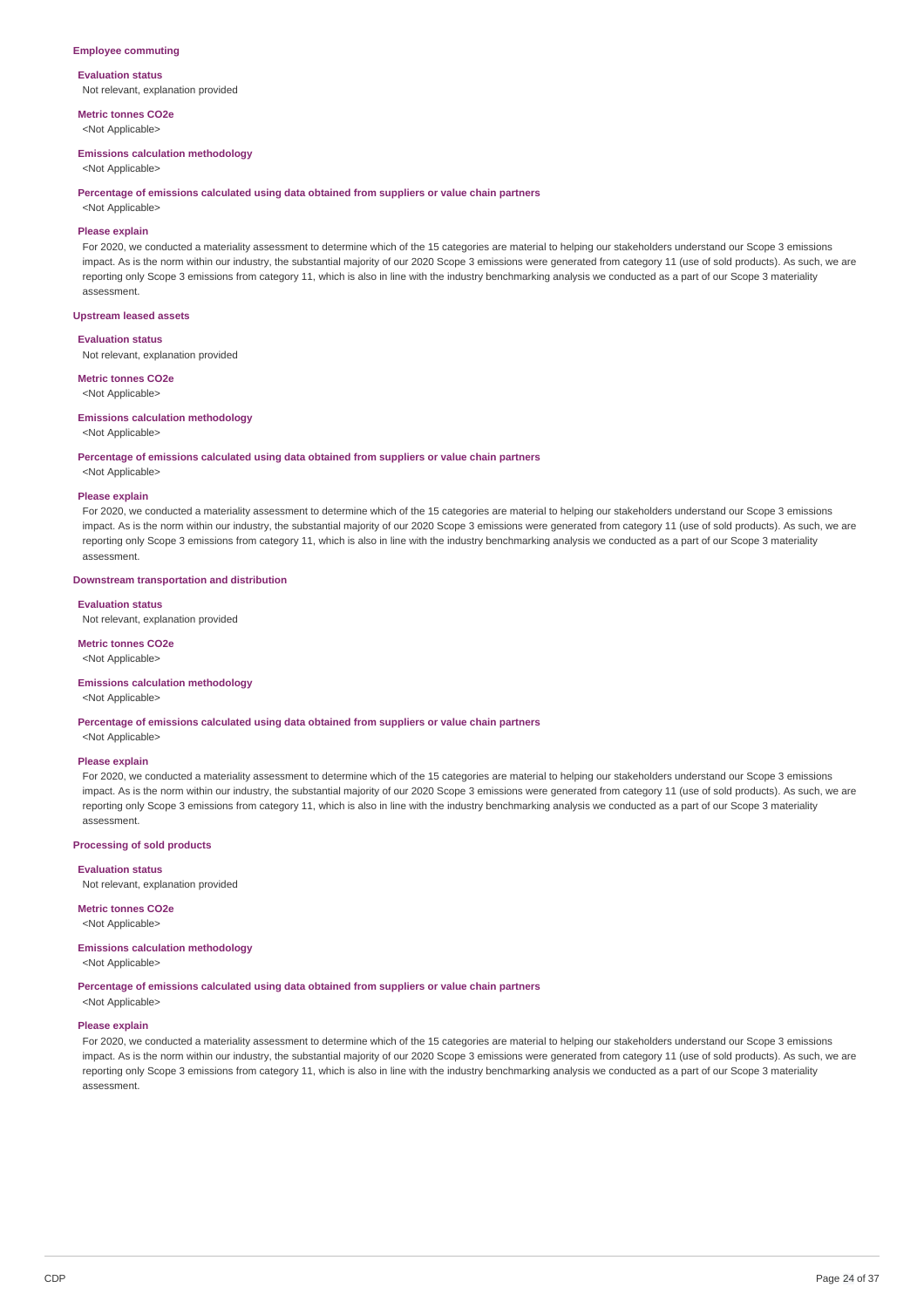### **Employee commuting**

**Evaluation status** Not relevant, explanation provided

**Metric tonnes CO2e** <Not Applicable>

# **Emissions calculation methodology**

<Not Applicable>

#### **Percentage of emissions calculated using data obtained from suppliers or value chain partners**

<Not Applicable>

## **Please explain**

For 2020, we conducted a materiality assessment to determine which of the 15 categories are material to helping our stakeholders understand our Scope 3 emissions impact. As is the norm within our industry, the substantial majority of our 2020 Scope 3 emissions were generated from category 11 (use of sold products). As such, we are reporting only Scope 3 emissions from category 11, which is also in line with the industry benchmarking analysis we conducted as a part of our Scope 3 materiality assessment.

### **Upstream leased assets**

#### **Evaluation status**

Not relevant, explanation provided

# **Metric tonnes CO2e**

<Not Applicable>

# **Emissions calculation methodology**

#### <Not Applicable>

#### **Percentage of emissions calculated using data obtained from suppliers or value chain partners**

<Not Applicable>

#### **Please explain**

For 2020, we conducted a materiality assessment to determine which of the 15 categories are material to helping our stakeholders understand our Scope 3 emissions impact. As is the norm within our industry, the substantial majority of our 2020 Scope 3 emissions were generated from category 11 (use of sold products). As such, we are reporting only Scope 3 emissions from category 11, which is also in line with the industry benchmarking analysis we conducted as a part of our Scope 3 materiality assessment.

## **Downstream transportation and distribution**

#### **Evaluation status**

Not relevant, explanation provided

#### **Metric tonnes CO2e**

<Not Applicable>

#### **Emissions calculation methodology**

<Not Applicable>

**Percentage of emissions calculated using data obtained from suppliers or value chain partners**

<Not Applicable>

#### **Please explain**

For 2020, we conducted a materiality assessment to determine which of the 15 categories are material to helping our stakeholders understand our Scope 3 emissions impact. As is the norm within our industry, the substantial majority of our 2020 Scope 3 emissions were generated from category 11 (use of sold products). As such, we are reporting only Scope 3 emissions from category 11, which is also in line with the industry benchmarking analysis we conducted as a part of our Scope 3 materiality assessment.

#### **Processing of sold products**

**Evaluation status**

Not relevant, explanation provided

# **Metric tonnes CO2e**

<Not Applicable>

#### **Emissions calculation methodology**

<Not Applicable>

**Percentage of emissions calculated using data obtained from suppliers or value chain partners**

# <Not Applicable>

# **Please explain**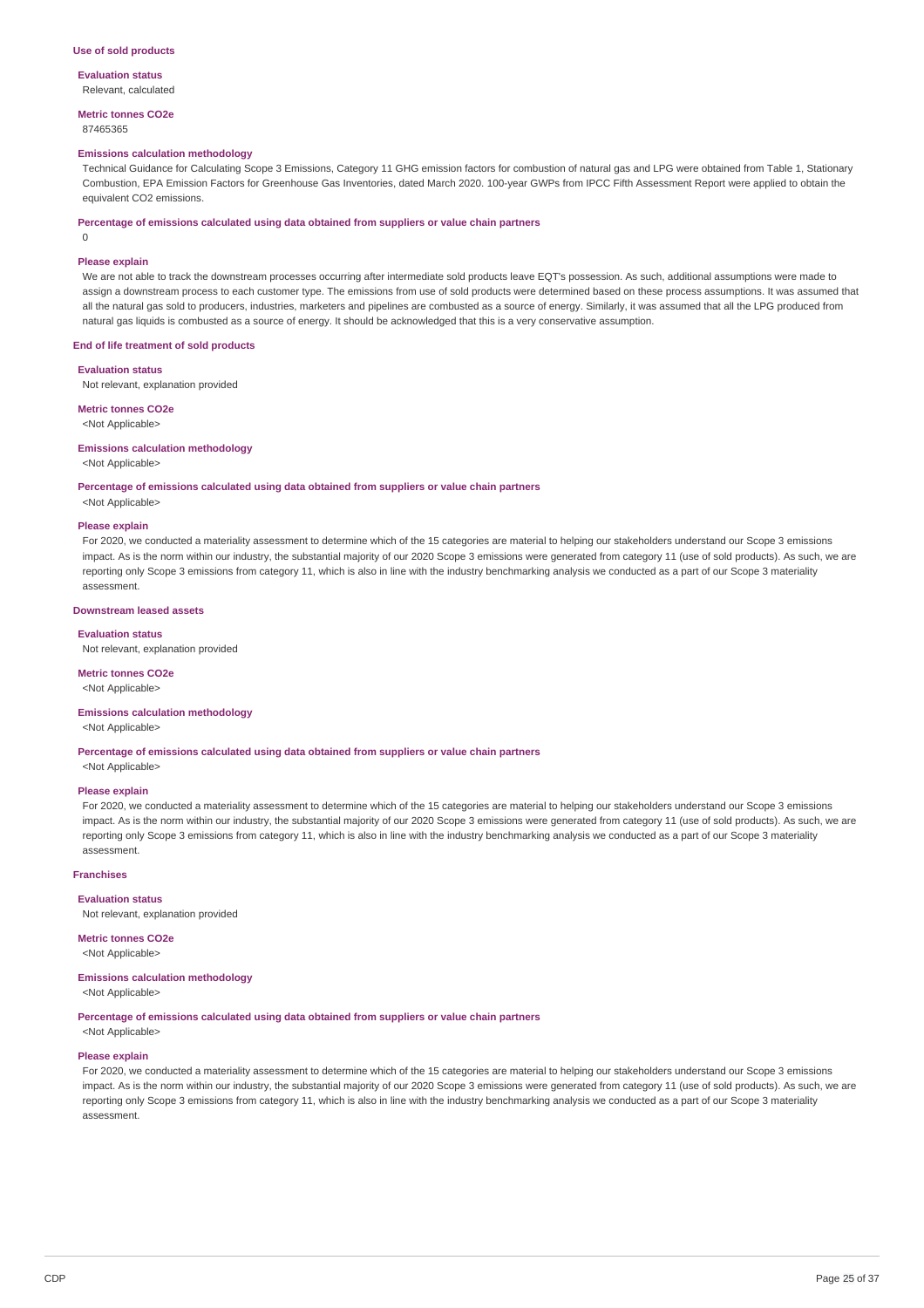#### **Use of sold products**

**Evaluation status** Relevant, calculated

**Metric tonnes CO2e** 87465365

#### **Emissions calculation methodology**

Technical Guidance for Calculating Scope 3 Emissions, Category 11 GHG emission factors for combustion of natural gas and LPG were obtained from Table 1, Stationary Combustion, EPA Emission Factors for Greenhouse Gas Inventories, dated March 2020. 100-year GWPs from IPCC Fifth Assessment Report were applied to obtain the equivalent CO2 emissions.

#### **Percentage of emissions calculated using data obtained from suppliers or value chain partners**

 $\Omega$ 

# **Please explain**

We are not able to track the downstream processes occurring after intermediate sold products leave EQT's possession. As such, additional assumptions were made to assign a downstream process to each customer type. The emissions from use of sold products were determined based on these process assumptions. It was assumed that all the natural gas sold to producers, industries, marketers and pipelines are combusted as a source of energy. Similarly, it was assumed that all the LPG produced from natural gas liquids is combusted as a source of energy. It should be acknowledged that this is a very conservative assumption.

#### **End of life treatment of sold products**

**Evaluation status**

Not relevant, explanation provided

**Metric tonnes CO2e**

<Not Applicable>

#### **Emissions calculation methodology**

<Not Applicable>

## **Percentage of emissions calculated using data obtained from suppliers or value chain partners**

<Not Applicable>

#### **Please explain**

For 2020, we conducted a materiality assessment to determine which of the 15 categories are material to helping our stakeholders understand our Scope 3 emissions impact. As is the norm within our industry, the substantial majority of our 2020 Scope 3 emissions were generated from category 11 (use of sold products). As such, we are reporting only Scope 3 emissions from category 11, which is also in line with the industry benchmarking analysis we conducted as a part of our Scope 3 materiality assessment.

## **Downstream leased assets**

#### **Evaluation status**

Not relevant, explanation provided

#### **Metric tonnes CO2e**

<Not Applicable>

# **Emissions calculation methodology**

<Not Applicable>

#### **Percentage of emissions calculated using data obtained from suppliers or value chain partners**

<Not Applicable>

#### **Please explain**

For 2020, we conducted a materiality assessment to determine which of the 15 categories are material to helping our stakeholders understand our Scope 3 emissions impact. As is the norm within our industry, the substantial majority of our 2020 Scope 3 emissions were generated from category 11 (use of sold products). As such, we are reporting only Scope 3 emissions from category 11, which is also in line with the industry benchmarking analysis we conducted as a part of our Scope 3 materiality assessment.

#### **Franchises**

#### **Evaluation status**

Not relevant, explanation provided

## **Metric tonnes CO2e**

<Not Applicable>

# **Emissions calculation methodology**

<Not Applicable>

**Percentage of emissions calculated using data obtained from suppliers or value chain partners** <Not Applicable>

#### **Please explain**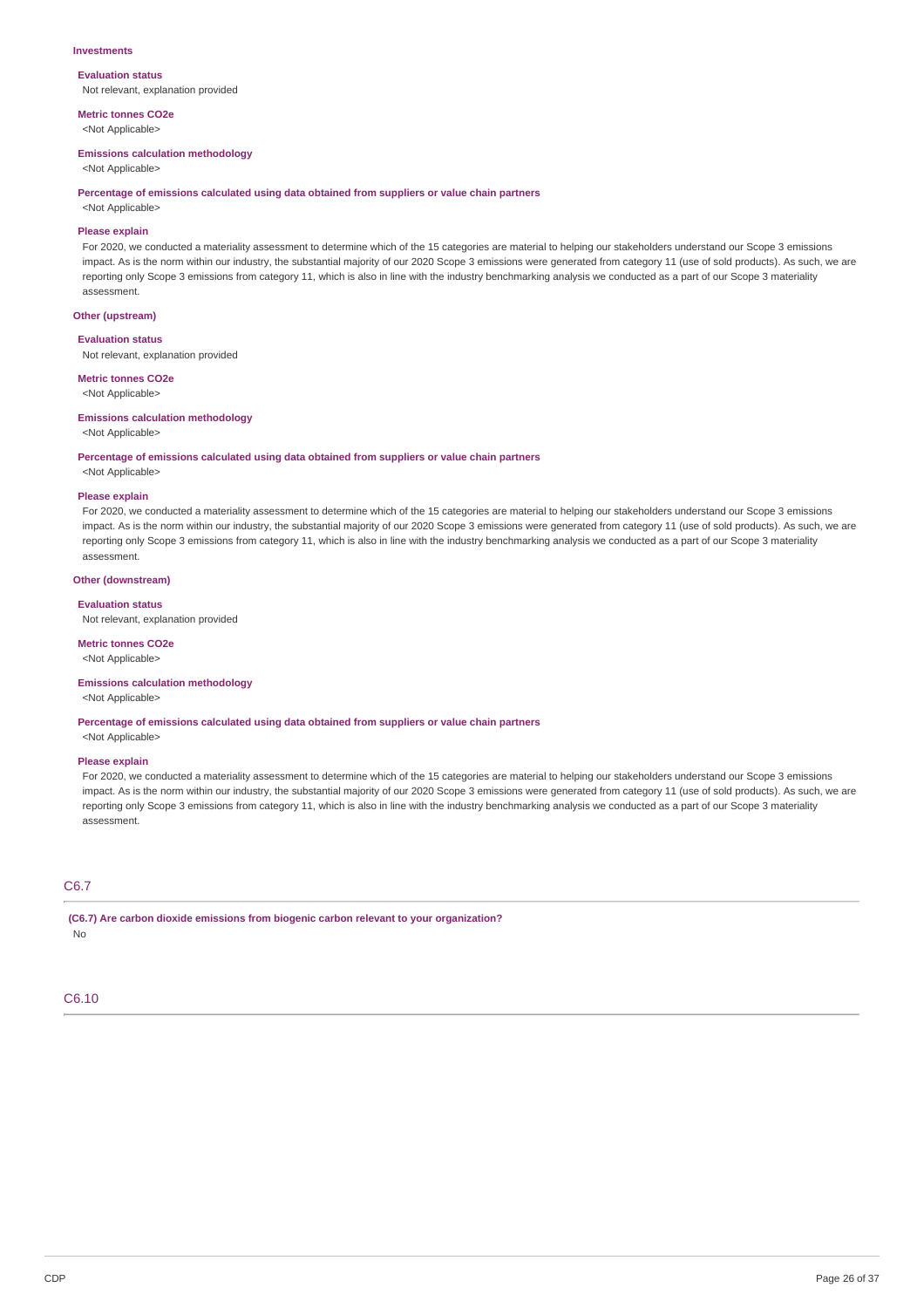#### **Investments**

**Evaluation status** Not relevant, explanation provided

**Metric tonnes CO2e** <Not Applicable>

#### **Emissions calculation methodology**

<Not Applicable>

#### **Percentage of emissions calculated using data obtained from suppliers or value chain partners**

<Not Applicable>

## **Please explain**

For 2020, we conducted a materiality assessment to determine which of the 15 categories are material to helping our stakeholders understand our Scope 3 emissions impact. As is the norm within our industry, the substantial majority of our 2020 Scope 3 emissions were generated from category 11 (use of sold products). As such, we are reporting only Scope 3 emissions from category 11, which is also in line with the industry benchmarking analysis we conducted as a part of our Scope 3 materiality assessment.

## **Other (upstream)**

**Evaluation status**

Not relevant, explanation provided

**Metric tonnes CO2e** <Not Applicable>

# **Emissions calculation methodology**

<Not Applicable>

#### **Percentage of emissions calculated using data obtained from suppliers or value chain partners**

<Not Applicable>

#### **Please explain**

For 2020, we conducted a materiality assessment to determine which of the 15 categories are material to helping our stakeholders understand our Scope 3 emissions impact. As is the norm within our industry, the substantial majority of our 2020 Scope 3 emissions were generated from category 11 (use of sold products). As such, we are reporting only Scope 3 emissions from category 11, which is also in line with the industry benchmarking analysis we conducted as a part of our Scope 3 materiality assessment.

## **Other (downstream)**

#### **Evaluation status**

Not relevant, explanation provided

#### **Metric tonnes CO2e**

<Not Applicable>

#### **Emissions calculation methodology**

<Not Applicable>

**Percentage of emissions calculated using data obtained from suppliers or value chain partners**

<Not Applicable>

#### **Please explain**

For 2020, we conducted a materiality assessment to determine which of the 15 categories are material to helping our stakeholders understand our Scope 3 emissions impact. As is the norm within our industry, the substantial majority of our 2020 Scope 3 emissions were generated from category 11 (use of sold products). As such, we are reporting only Scope 3 emissions from category 11, which is also in line with the industry benchmarking analysis we conducted as a part of our Scope 3 materiality assessment.

# C6.7

**(C6.7) Are carbon dioxide emissions from biogenic carbon relevant to your organization?** No

## C6.10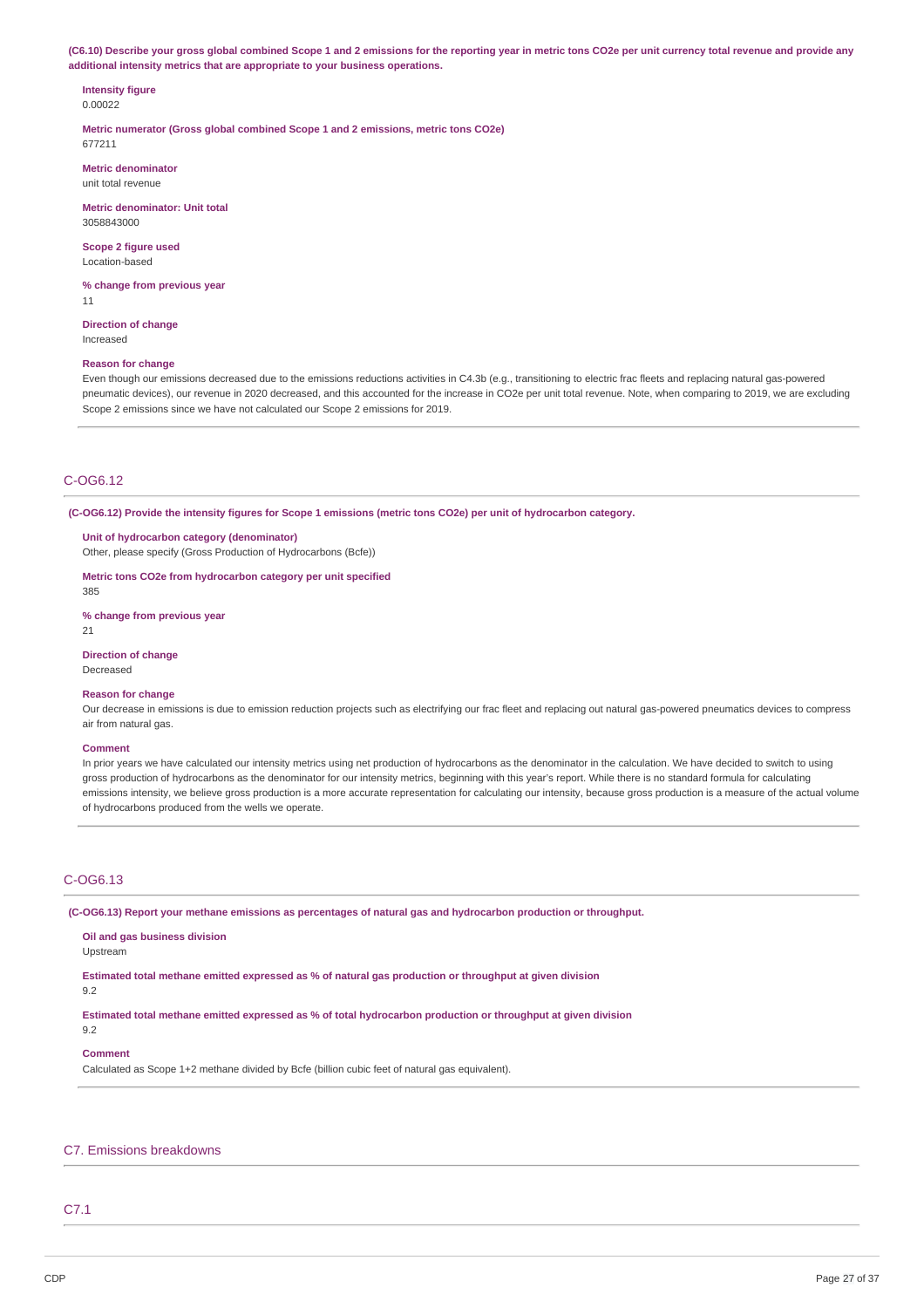(C6.10) Describe your gross global combined Scope 1 and 2 emissions for the reporting year in metric tons CO2e per unit currency total revenue and provide any **additional intensity metrics that are appropriate to your business operations.**

**Intensity figure** 0.00022

**Metric numerator (Gross global combined Scope 1 and 2 emissions, metric tons CO2e)** 677211

**Metric denominator** unit total revenue

**Metric denominator: Unit total** 3058843000

**Scope 2 figure used** Location-based

**% change from previous year** 11

**Direction of change** Increased

### **Reason for change**

Even though our emissions decreased due to the emissions reductions activities in C4.3b (e.g., transitioning to electric frac fleets and replacing natural gas-powered pneumatic devices), our revenue in 2020 decreased, and this accounted for the increase in CO2e per unit total revenue. Note, when comparing to 2019, we are excluding Scope 2 emissions since we have not calculated our Scope 2 emissions for 2019.

## C-OG6.12

(C-OG6.12) Provide the intensity figures for Scope 1 emissions (metric tons CO2e) per unit of hydrocarbon category.

**Unit of hydrocarbon category (denominator)** Other, please specify (Gross Production of Hydrocarbons (Bcfe))

**Metric tons CO2e from hydrocarbon category per unit specified**

385

**% change from previous year**

21

**Direction of change** Decreased

# **Reason for change**

Our decrease in emissions is due to emission reduction projects such as electrifying our frac fleet and replacing out natural gas-powered pneumatics devices to compress air from natural gas.

#### **Comment**

In prior years we have calculated our intensity metrics using net production of hydrocarbons as the denominator in the calculation. We have decided to switch to using gross production of hydrocarbons as the denominator for our intensity metrics, beginning with this year's report. While there is no standard formula for calculating emissions intensity, we believe gross production is a more accurate representation for calculating our intensity, because gross production is a measure of the actual volume of hydrocarbons produced from the wells we operate.

# C-OG6.13

**(C-OG6.13) Report your methane emissions as percentages of natural gas and hydrocarbon production or throughput.**

**Oil and gas business division**

Upstream

**Estimated total methane emitted expressed as % of natural gas production or throughput at given division**

9.2

9.2

**Estimated total methane emitted expressed as % of total hydrocarbon production or throughput at given division**

#### **Comment**

Calculated as Scope 1+2 methane divided by Bcfe (billion cubic feet of natural gas equivalent).

## C7. Emissions breakdowns

## C7.1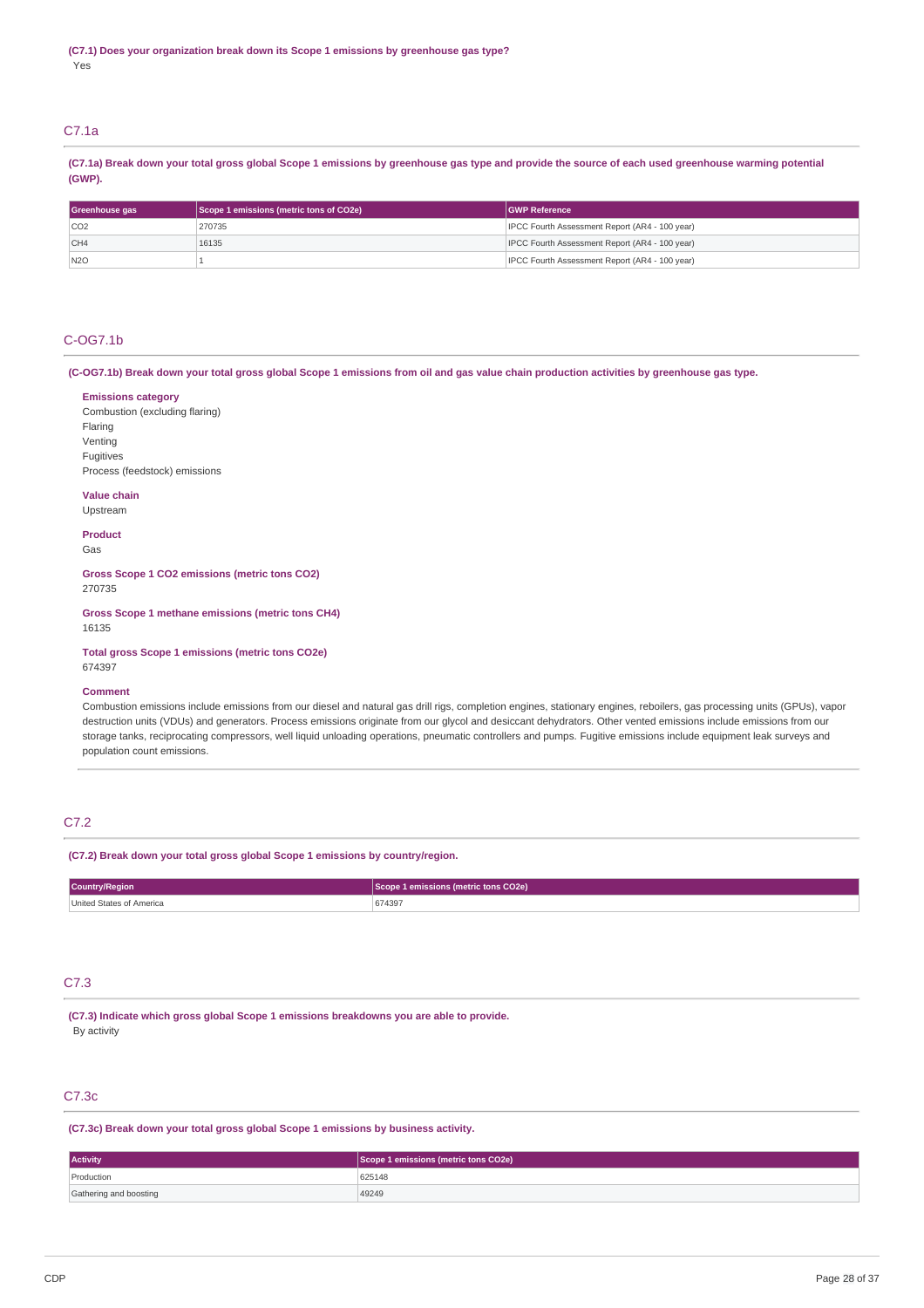# C7.1a

(C7.1a) Break down your total gross global Scope 1 emissions by greenhouse gas type and provide the source of each used greenhouse warming potential **(GWP).**

| Greenhouse gas  | Scope 1 emissions (metric tons of CO2e) | <b>GWP Reference</b>                           |
|-----------------|-----------------------------------------|------------------------------------------------|
| CO <sub>2</sub> | 270735                                  | IPCC Fourth Assessment Report (AR4 - 100 year) |
| CH4             | 16135                                   | IPCC Fourth Assessment Report (AR4 - 100 year) |
| N2O             |                                         | IPCC Fourth Assessment Report (AR4 - 100 year) |

## C-OG7.1b

(C-OG7.1b) Break down your total gross global Scope 1 emissions from oil and gas value chain production activities by greenhouse gas type.

## **Emissions category**

Combustion (excluding flaring) Flaring Venting Fugitives Process (feedstock) emissions

## **Value chain**

Upstream

# **Product**

Gas

**Gross Scope 1 CO2 emissions (metric tons CO2)** 270735

**Gross Scope 1 methane emissions (metric tons CH4)** 16135

**Total gross Scope 1 emissions (metric tons CO2e)** 674397

#### **Comment**

Combustion emissions include emissions from our diesel and natural gas drill rigs, completion engines, stationary engines, reboilers, gas processing units (GPUs), vapor destruction units (VDUs) and generators. Process emissions originate from our glycol and desiccant dehydrators. Other vented emissions include emissions from our storage tanks, reciprocating compressors, well liquid unloading operations, pneumatic controllers and pumps. Fugitive emissions include equipment leak surveys and population count emissions.

# C7.2

**(C7.2) Break down your total gross global Scope 1 emissions by country/region.**

| <b>Country/Region</b>                | e 1 emissions (metric tons CO2e) |  |  |
|--------------------------------------|----------------------------------|--|--|
| <b>United States</b><br>≅ of America | 674397                           |  |  |

# C7.3

**(C7.3) Indicate which gross global Scope 1 emissions breakdowns you are able to provide.** By activity

# C7.3c

**(C7.3c) Break down your total gross global Scope 1 emissions by business activity.**

| <b>Activity</b>        | Scope 1 emissions (metric tons CO2e) |  |
|------------------------|--------------------------------------|--|
| Production             | 625148                               |  |
| Gathering and boosting | 49249                                |  |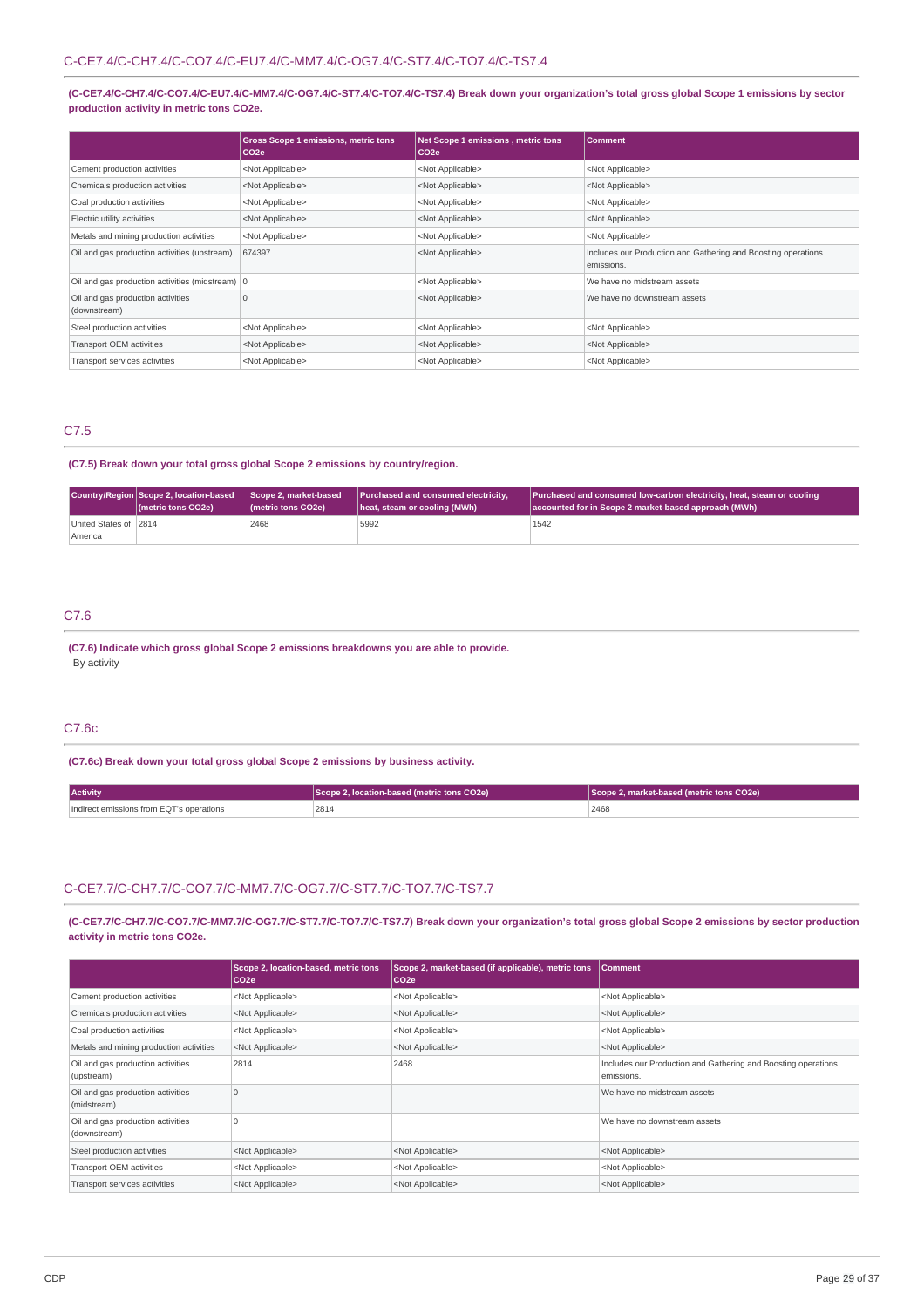## (C-CE7.4/C-CH7.4/C-CO7.4/C-EU7.4/C-MM7.4/C-OG7.4/C-ST7.4/C-TO7.4/C-TS7.4) Break down your organization's total gross global Scope 1 emissions by sector **production activity in metric tons CO2e.**

|                                                   | <b>Gross Scope 1 emissions, metric tons</b><br>CO <sub>2e</sub> | Net Scope 1 emissions, metric tons<br>CO <sub>2e</sub> | <b>Comment</b>                                                              |
|---------------------------------------------------|-----------------------------------------------------------------|--------------------------------------------------------|-----------------------------------------------------------------------------|
| Cement production activities                      | <not applicable=""></not>                                       | <not applicable=""></not>                              | <not applicable=""></not>                                                   |
| Chemicals production activities                   | <not applicable=""></not>                                       | <not applicable=""></not>                              | <not applicable=""></not>                                                   |
| Coal production activities                        | <not applicable=""></not>                                       | <not applicable=""></not>                              | <not applicable=""></not>                                                   |
| Electric utility activities                       | <not applicable=""></not>                                       | <not applicable=""></not>                              | <not applicable=""></not>                                                   |
| Metals and mining production activities           | <not applicable=""></not>                                       | <not applicable=""></not>                              | <not applicable=""></not>                                                   |
| Oil and gas production activities (upstream)      | 674397                                                          | <not applicable=""></not>                              | Includes our Production and Gathering and Boosting operations<br>emissions. |
| Oil and gas production activities (midstream)   0 |                                                                 | <not applicable=""></not>                              | We have no midstream assets                                                 |
| Oil and gas production activities<br>(downstream) | 10                                                              | <not applicable=""></not>                              | We have no downstream assets                                                |
| Steel production activities                       | <not applicable=""></not>                                       | <not applicable=""></not>                              | <not applicable=""></not>                                                   |
| Transport OEM activities                          | <not applicable=""></not>                                       | <not applicable=""></not>                              | <not applicable=""></not>                                                   |
| Transport services activities                     | <not applicable=""></not>                                       | <not applicable=""></not>                              | <not applicable=""></not>                                                   |

# C7.5

## **(C7.5) Break down your total gross global Scope 2 emissions by country/region.**

|                        | Country/Region Scope 2, location-based<br>(metric tons CO2e) | Scope 2. market-based<br>( <i>I</i> metric tons CO <sub>2</sub> e) | <b>Purchased and consumed electricity.</b><br>heat, steam or cooling (MWh) | Purchased and consumed low-carbon electricity, heat, steam or cooling<br>accounted for in Scope 2 market-based approach (MWh) |
|------------------------|--------------------------------------------------------------|--------------------------------------------------------------------|----------------------------------------------------------------------------|-------------------------------------------------------------------------------------------------------------------------------|
| United States of 12814 |                                                              | 2468                                                               | 5992                                                                       | 1542                                                                                                                          |
| America                |                                                              |                                                                    |                                                                            |                                                                                                                               |

# C7.6

**(C7.6) Indicate which gross global Scope 2 emissions breakdowns you are able to provide.** By activity

# C7.6c

**(C7.6c) Break down your total gross global Scope 2 emissions by business activity.**

| <b>Activity</b>                          | Scope 2, location-based (metric tons CO2e) | Scope 2, market-based (metric tons CO2e) |  |
|------------------------------------------|--------------------------------------------|------------------------------------------|--|
| Indirect emissions from EQT's operations | 2814                                       | 2468<br>____                             |  |

# C-CE7.7/C-CH7.7/C-CO7.7/C-MM7.7/C-OG7.7/C-ST7.7/C-TO7.7/C-TS7.7

(C-CE7.7/C-CH7.7/C-CO7.7/C-MM7.7/C-OG7.7/C-ST7.7/C-TO7.7/C-TS7.7) Break down your organization's total gross global Scope 2 emissions by sector production **activity in metric tons CO2e.**

|                                                   | Scope 2, location-based, metric tons<br>CO <sub>2e</sub> | Scope 2, market-based (if applicable), metric tons<br>CO <sub>2e</sub> | <b>Comment</b>                                                              |
|---------------------------------------------------|----------------------------------------------------------|------------------------------------------------------------------------|-----------------------------------------------------------------------------|
| Cement production activities                      | <not applicable=""></not>                                | <not applicable=""></not>                                              | <not applicable=""></not>                                                   |
| Chemicals production activities                   | <not applicable=""></not>                                | <not applicable=""></not>                                              | <not applicable=""></not>                                                   |
| Coal production activities                        | <not applicable=""></not>                                | <not applicable=""></not>                                              | <not applicable=""></not>                                                   |
| Metals and mining production activities           | <not applicable=""></not>                                | <not applicable=""></not>                                              | <not applicable=""></not>                                                   |
| Oil and gas production activities<br>(upstream)   | 2814                                                     | 2468                                                                   | Includes our Production and Gathering and Boosting operations<br>emissions. |
| Oil and gas production activities<br>(midstream)  | $\Omega$                                                 |                                                                        | We have no midstream assets                                                 |
| Oil and gas production activities<br>(downstream) | n                                                        |                                                                        | We have no downstream assets                                                |
| Steel production activities                       | <not applicable=""></not>                                | <not applicable=""></not>                                              | <not applicable=""></not>                                                   |
| Transport OEM activities                          | <not applicable=""></not>                                | <not applicable=""></not>                                              | <not applicable=""></not>                                                   |
| Transport services activities                     | <not applicable=""></not>                                | <not applicable=""></not>                                              | <not applicable=""></not>                                                   |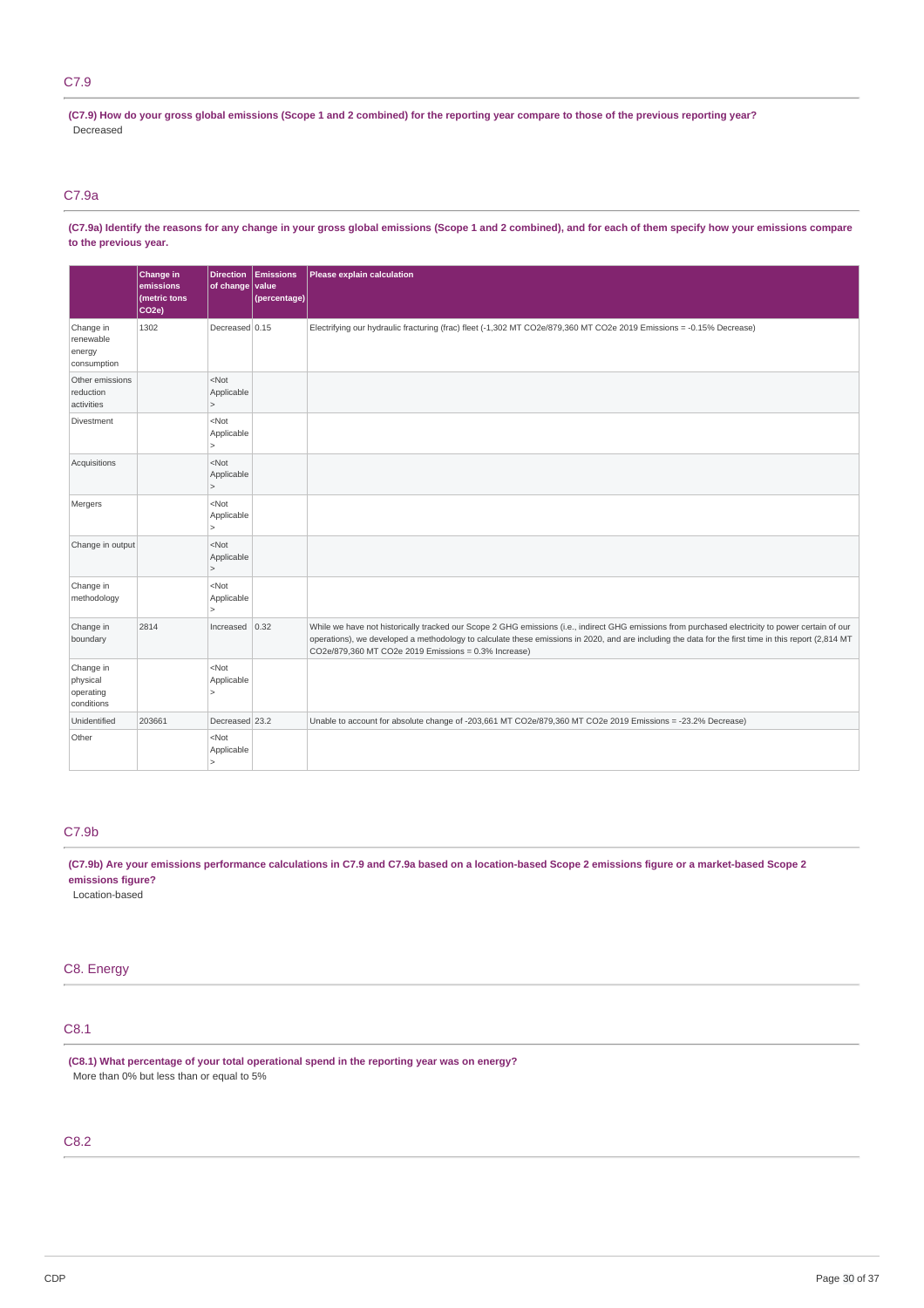# C7.9

(C7.9) How do your gross global emissions (Scope 1 and 2 combined) for the reporting year compare to those of the previous reporting year? Decreased

# C7.9a

(C7.9a) Identify the reasons for any change in your gross global emissions (Scope 1 and 2 combined), and for each of them specify how your emissions compare **to the previous year.**

|                                                  | Change in<br>emissions<br>(metric tons<br>CO <sub>2e</sub> ) | <b>Direction</b><br>of change value   | Emissions<br>(percentage) | Please explain calculation                                                                                                                                                                                                                                                                                                                                        |
|--------------------------------------------------|--------------------------------------------------------------|---------------------------------------|---------------------------|-------------------------------------------------------------------------------------------------------------------------------------------------------------------------------------------------------------------------------------------------------------------------------------------------------------------------------------------------------------------|
| Change in<br>renewable<br>energy<br>consumption  | 1302                                                         | Decreased 0.15                        |                           | Electrifying our hydraulic fracturing (frac) fleet (-1,302 MT CO2e/879,360 MT CO2e 2019 Emissions = -0.15% Decrease)                                                                                                                                                                                                                                              |
| Other emissions<br>reduction<br>activities       |                                                              | $<$ Not<br>Applicable<br>$\geq$       |                           |                                                                                                                                                                                                                                                                                                                                                                   |
| Divestment                                       |                                                              | $<$ Not<br>Applicable<br>$\geq$       |                           |                                                                                                                                                                                                                                                                                                                                                                   |
| Acquisitions                                     |                                                              | $<$ Not<br>Applicable<br>$\geq$       |                           |                                                                                                                                                                                                                                                                                                                                                                   |
| Mergers                                          |                                                              | $<$ Not<br>Applicable<br>$\geq$       |                           |                                                                                                                                                                                                                                                                                                                                                                   |
| Change in output                                 |                                                              | $<$ Not<br>Applicable<br>$\geq$       |                           |                                                                                                                                                                                                                                                                                                                                                                   |
| Change in<br>methodology                         |                                                              | $<$ Not<br>Applicable                 |                           |                                                                                                                                                                                                                                                                                                                                                                   |
| Change in<br>boundary                            | 2814                                                         | Increased                             | 0.32                      | While we have not historically tracked our Scope 2 GHG emissions (i.e., indirect GHG emissions from purchased electricity to power certain of our<br>operations), we developed a methodology to calculate these emissions in 2020, and are including the data for the first time in this report (2,814 MT<br>CO2e/879,360 MT CO2e 2019 Emissions = 0.3% Increase) |
| Change in<br>physical<br>operating<br>conditions |                                                              | $<$ Not<br>Applicable<br>$\geq$       |                           |                                                                                                                                                                                                                                                                                                                                                                   |
| Unidentified                                     | 203661                                                       | Decreased 23.2                        |                           | Unable to account for absolute change of -203,661 MT CO2e/879,360 MT CO2e 2019 Emissions = -23.2% Decrease)                                                                                                                                                                                                                                                       |
| Other                                            |                                                              | $<$ Not<br>Applicable<br>$\mathbf{r}$ |                           |                                                                                                                                                                                                                                                                                                                                                                   |

# C7.9b

(C7.9b) Are your emissions performance calculations in C7.9 and C7.9a based on a location-based Scope 2 emissions figure or a market-based Scope 2 **emissions figure?**

Location-based

# C8. Energy

# C8.1

**(C8.1) What percentage of your total operational spend in the reporting year was on energy?** More than 0% but less than or equal to 5%

# C8.2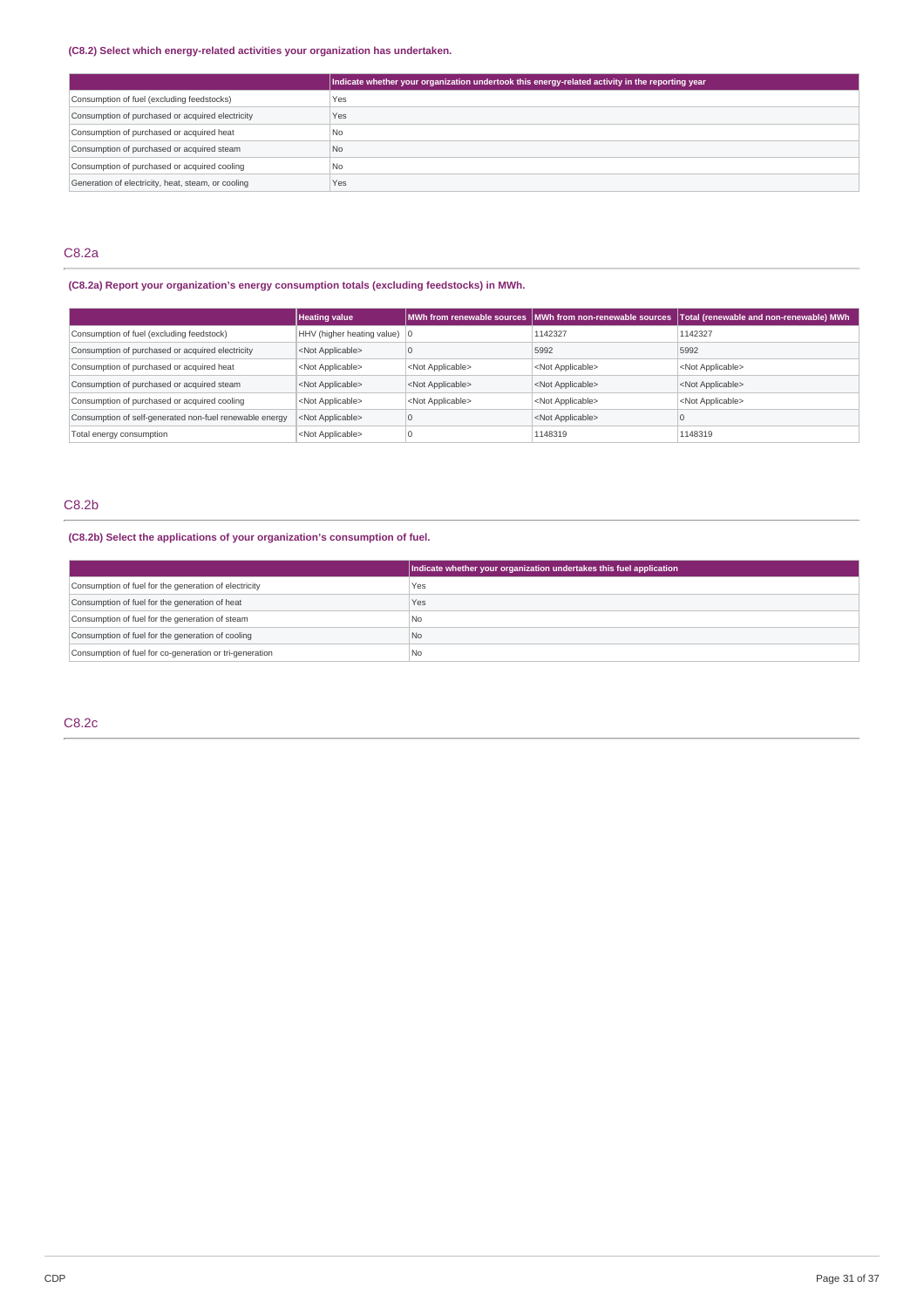## **(C8.2) Select which energy-related activities your organization has undertaken.**

|                                                    | Indicate whether your organization undertook this energy-related activity in the reporting year |
|----------------------------------------------------|-------------------------------------------------------------------------------------------------|
| Consumption of fuel (excluding feedstocks)         | Yes                                                                                             |
| Consumption of purchased or acquired electricity   | Yes                                                                                             |
| Consumption of purchased or acquired heat          | l No                                                                                            |
| Consumption of purchased or acquired steam         | No.                                                                                             |
| Consumption of purchased or acquired cooling       | No.                                                                                             |
| Generation of electricity, heat, steam, or cooling | Yes                                                                                             |

# C8.2a

# **(C8.2a) Report your organization's energy consumption totals (excluding feedstocks) in MWh.**

|                                                         | <b>Heating value</b>                   |                           |                           | MWh from renewable sources MWh from non-renewable sources Total (renewable and non-renewable) MWh |
|---------------------------------------------------------|----------------------------------------|---------------------------|---------------------------|---------------------------------------------------------------------------------------------------|
| Consumption of fuel (excluding feedstock)               | HHV (higher heating value) $ 0\rangle$ |                           | 1142327                   | 1142327                                                                                           |
| Consumption of purchased or acquired electricity        | <not applicable=""></not>              |                           | 5992                      | 5992                                                                                              |
| Consumption of purchased or acquired heat               | <not applicable=""></not>              | <not applicable=""></not> | <not applicable=""></not> | <not applicable=""></not>                                                                         |
| Consumption of purchased or acquired steam              | <not applicable=""></not>              | <not applicable=""></not> | <not applicable=""></not> | <not applicable=""></not>                                                                         |
| Consumption of purchased or acquired cooling            | <not applicable=""></not>              | <not applicable=""></not> | <not applicable=""></not> | <not applicable=""></not>                                                                         |
| Consumption of self-generated non-fuel renewable energy | <not applicable=""></not>              |                           | <not applicable=""></not> |                                                                                                   |
| Total energy consumption                                | <not applicable=""></not>              |                           | 1148319                   | 1148319                                                                                           |

# C8.2b

# **(C8.2b) Select the applications of your organization's consumption of fuel.**

|                                                         | Indicate whether your organization undertakes this fuel application |
|---------------------------------------------------------|---------------------------------------------------------------------|
| Consumption of fuel for the generation of electricity   | Yes                                                                 |
| Consumption of fuel for the generation of heat          | Yes                                                                 |
| Consumption of fuel for the generation of steam         | l No                                                                |
| Consumption of fuel for the generation of cooling       | l No                                                                |
| Consumption of fuel for co-generation or tri-generation | l No                                                                |

# C8.2c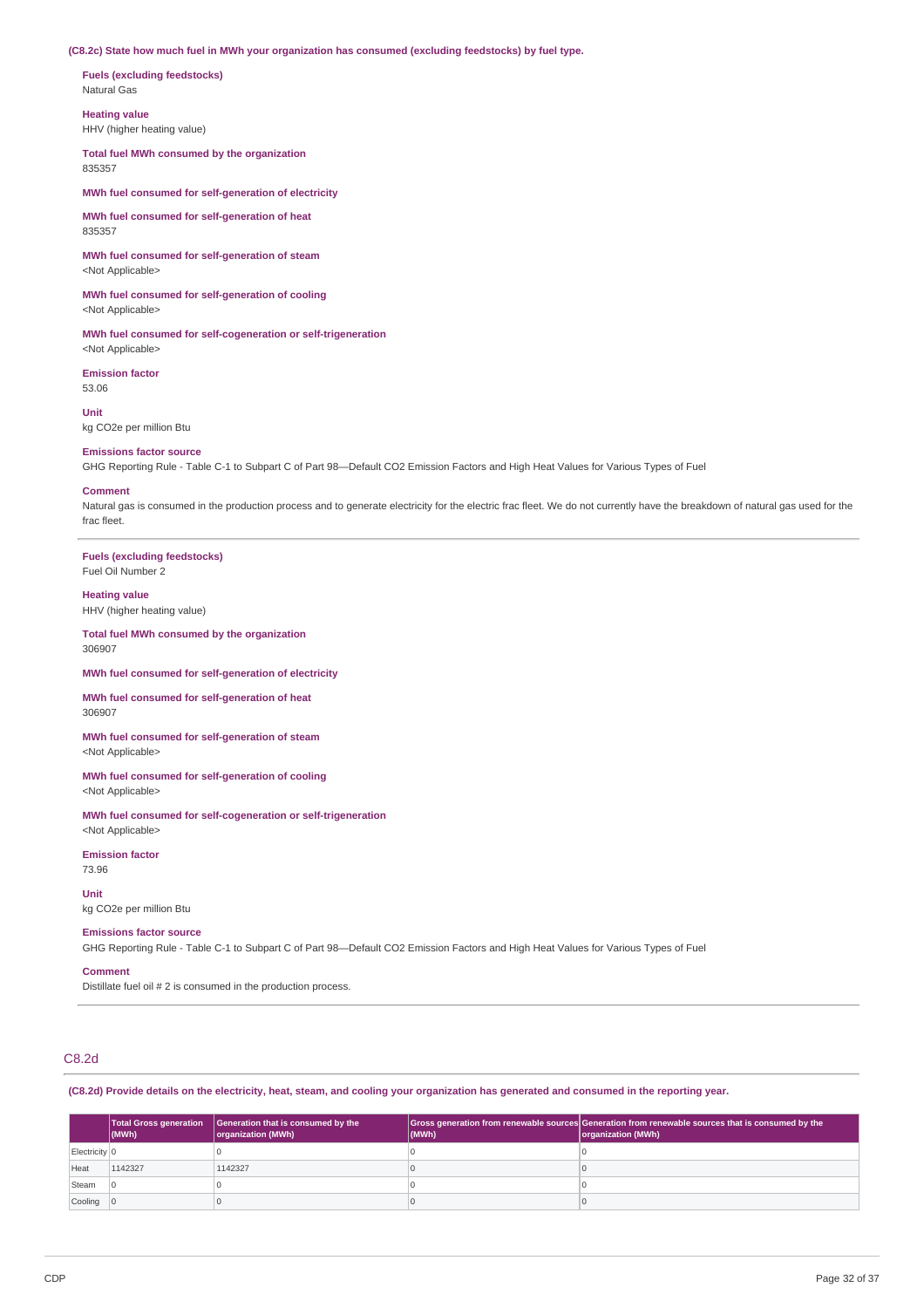#### **(C8.2c) State how much fuel in MWh your organization has consumed (excluding feedstocks) by fuel type.**

**Fuels (excluding feedstocks)** Natural Gas

**Heating value**

HHV (higher heating value)

**Total fuel MWh consumed by the organization** 835357

**MWh fuel consumed for self-generation of electricity**

**MWh fuel consumed for self-generation of heat** 835357

**MWh fuel consumed for self-generation of steam** <Not Applicable>

**MWh fuel consumed for self-generation of cooling** <Not Applicable>

**MWh fuel consumed for self-cogeneration or self-trigeneration** <Not Applicable>

**Emission factor** 53.06

**Unit** kg CO2e per million Btu

#### **Emissions factor source**

GHG Reporting Rule - Table C-1 to Subpart C of Part 98—Default CO2 Emission Factors and High Heat Values for Various Types of Fuel

#### **Comment**

Natural gas is consumed in the production process and to generate electricity for the electric frac fleet. We do not currently have the breakdown of natural gas used for the frac fleet.

**Fuels (excluding feedstocks)** Fuel Oil Number 2

## **Heating value**

HHV (higher heating value)

**Total fuel MWh consumed by the organization** 306907

#### **MWh fuel consumed for self-generation of electricity**

**MWh fuel consumed for self-generation of heat** 306907

**MWh fuel consumed for self-generation of steam** <Not Applicable>

#### **MWh fuel consumed for self-generation of cooling**

<Not Applicable>

**MWh fuel consumed for self-cogeneration or self-trigeneration** <Not Applicable>

**Emission factor**

73.96 **Unit**

kg CO2e per million Btu

#### **Emissions factor source**

GHG Reporting Rule - Table C-1 to Subpart C of Part 98—Default CO2 Emission Factors and High Heat Values for Various Types of Fuel

## **Comment**

Distillate fuel oil # 2 is consumed in the production process.

# C8.2d

(C8.2d) Provide details on the electricity, heat, steam, and cooling your organization has generated and consumed in the reporting year.

|                          | <b>Total Gross generation</b><br>$\vert$ (MWh) | Generation that is consumed by the<br>organization (MWh) | (MWh) | Gross generation from renewable sources Generation from renewable sources that is consumed by the<br>organization (MWh) |
|--------------------------|------------------------------------------------|----------------------------------------------------------|-------|-------------------------------------------------------------------------------------------------------------------------|
| Electricity <sup>o</sup> |                                                |                                                          |       |                                                                                                                         |
| Heat                     | 1142327                                        | 1142327                                                  |       |                                                                                                                         |
| Steam                    |                                                |                                                          |       |                                                                                                                         |
| Cooling 0                |                                                |                                                          |       |                                                                                                                         |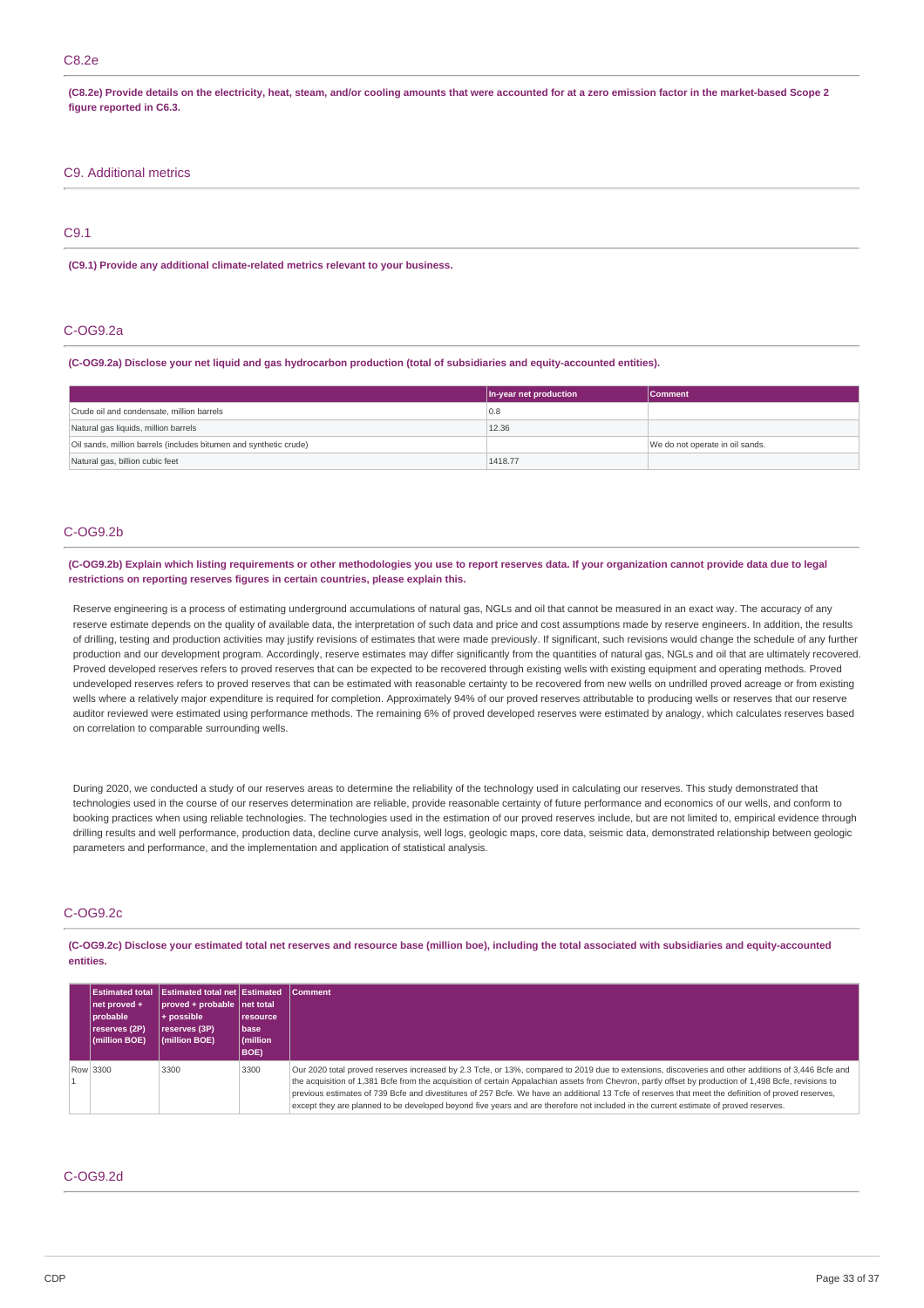## C8.2e

(C8.2e) Provide details on the electricity, heat, steam, and/or cooling amounts that were accounted for at a zero emission factor in the market-based Scope 2 **figure reported in C6.3.**

## C9. Additional metrics

# C9.1

### **(C9.1) Provide any additional climate-related metrics relevant to your business.**

## C-OG9.2a

(C-OG9.2a) Disclose your net liquid and gas hydrocarbon production (total of subsidiaries and equity-accounted entities).

|                                                                   | In-year net production | <b>Comment</b>                  |
|-------------------------------------------------------------------|------------------------|---------------------------------|
| Crude oil and condensate, million barrels                         | 0.8                    |                                 |
| Natural gas liquids, million barrels                              | 12.36                  |                                 |
| Oil sands, million barrels (includes bitumen and synthetic crude) |                        | We do not operate in oil sands. |
| Natural gas, billion cubic feet                                   | 1418.77                |                                 |

## C-OG9.2b

#### (C-OG9.2b) Explain which listing requirements or other methodologies you use to report reserves data. If your organization cannot provide data due to legal **restrictions on reporting reserves figures in certain countries, please explain this.**

Reserve engineering is a process of estimating underground accumulations of natural gas, NGLs and oil that cannot be measured in an exact way. The accuracy of any reserve estimate depends on the quality of available data, the interpretation of such data and price and cost assumptions made by reserve engineers. In addition, the results of drilling, testing and production activities may justify revisions of estimates that were made previously. If significant, such revisions would change the schedule of any further production and our development program. Accordingly, reserve estimates may differ significantly from the quantities of natural gas, NGLs and oil that are ultimately recovered. Proved developed reserves refers to proved reserves that can be expected to be recovered through existing wells with existing equipment and operating methods. Proved undeveloped reserves refers to proved reserves that can be estimated with reasonable certainty to be recovered from new wells on undrilled proved acreage or from existing wells where a relatively major expenditure is required for completion. Approximately 94% of our proved reserves attributable to producing wells or reserves that our reserve auditor reviewed were estimated using performance methods. The remaining 6% of proved developed reserves were estimated by analogy, which calculates reserves based on correlation to comparable surrounding wells.

During 2020, we conducted a study of our reserves areas to determine the reliability of the technology used in calculating our reserves. This study demonstrated that technologies used in the course of our reserves determination are reliable, provide reasonable certainty of future performance and economics of our wells, and conform to booking practices when using reliable technologies. The technologies used in the estimation of our proved reserves include, but are not limited to, empirical evidence through drilling results and well performance, production data, decline curve analysis, well logs, geologic maps, core data, seismic data, demonstrated relationship between geologic parameters and performance, and the implementation and application of statistical analysis.

# C-OG9.2c

(C-OG9.2c) Disclose your estimated total net reserves and resource base (million boe), including the total associated with subsidiaries and equity-accounted **entities.**

| <b>Estimated total</b><br>net proved +<br>probable<br>reserves (2P)<br>(million BOE) | <b>Estimated total net Estimated</b><br>proved + probable net total<br>$+$ possible<br>reserves (3P)<br>(million BOE) | l resource<br>l base<br>(million<br>BOE) | Comment                                                                                                                                                                                                                                                                                                                                                                                                                                                                                                                                                                                                      |
|--------------------------------------------------------------------------------------|-----------------------------------------------------------------------------------------------------------------------|------------------------------------------|--------------------------------------------------------------------------------------------------------------------------------------------------------------------------------------------------------------------------------------------------------------------------------------------------------------------------------------------------------------------------------------------------------------------------------------------------------------------------------------------------------------------------------------------------------------------------------------------------------------|
| Row 3300                                                                             | 3300                                                                                                                  | 3300                                     | Our 2020 total proved reserves increased by 2.3 Tcfe, or 13%, compared to 2019 due to extensions, discoveries and other additions of 3,446 Bcfe and<br>the acquisition of 1,381 Bcfe from the acquisition of certain Appalachian assets from Chevron, partly offset by production of 1,498 Bcfe, revisions to<br>previous estimates of 739 Bcfe and divestitures of 257 Bcfe. We have an additional 13 Tcfe of reserves that meet the definition of proved reserves,<br>except they are planned to be developed beyond five years and are therefore not included in the current estimate of proved reserves. |

# C-OG9.2d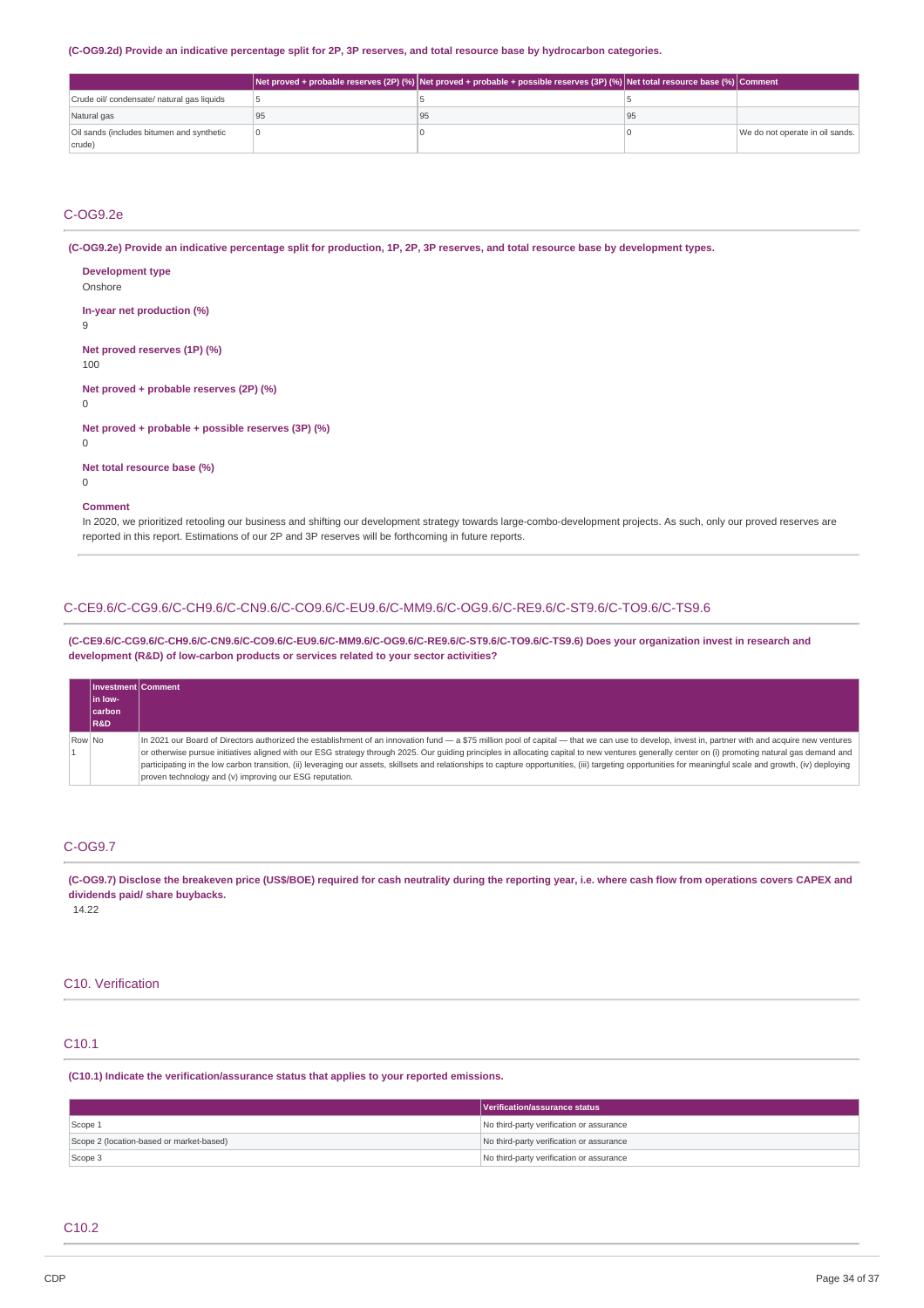#### (C-OG9.2d) Provide an indicative percentage split for 2P, 3P reserves, and total resource base by hydrocarbon categories.

|                                            |    | Net proved + probable reserves (2P) (%)  Net proved + probable + possible reserves (3P) (%)  Net total resource base (%)  Comment |    |                                 |
|--------------------------------------------|----|-----------------------------------------------------------------------------------------------------------------------------------|----|---------------------------------|
| Crude oil/ condensate/ natural gas liquids |    |                                                                                                                                   |    |                                 |
| Natural gas                                | 95 | 95                                                                                                                                | 95 |                                 |
| Oil sands (includes bitumen and synthetic  |    |                                                                                                                                   |    | We do not operate in oil sands. |
| crude)                                     |    |                                                                                                                                   |    |                                 |

# C-OG9.2e

(C-OG9.2e) Provide an indicative percentage split for production, 1P, 2P, 3P reserves, and total resource base by development types.

| <b>Development type</b><br>Onshore                      |
|---------------------------------------------------------|
| In-year net production (%)<br>9                         |
| Net proved reserves (1P) (%)<br>100                     |
| Net proved + probable reserves (2P) (%)<br>0            |
| Net proved + probable + possible reserves (3P) (%)<br>0 |
| Net total resource base (%)<br>0                        |
| Comment                                                 |

In 2020, we prioritized retooling our business and shifting our development strategy towards large-combo-development projects. As such, only our proved reserves are reported in this report. Estimations of our 2P and 3P reserves will be forthcoming in future reports.

# C-CE9.6/C-CG9.6/C-CH9.6/C-CN9.6/C-CO9.6/C-EU9.6/C-MM9.6/C-OG9.6/C-RE9.6/C-ST9.6/C-TO9.6/C-TS9.6

**(C-CE9.6/C-CG9.6/C-CH9.6/C-CN9.6/C-CO9.6/C-EU9.6/C-MM9.6/C-OG9.6/C-RE9.6/C-ST9.6/C-TO9.6/C-TS9.6) Does your organization invest in research and development (R&D) of low-carbon products or services related to your sector activities?**

|        | Il Investment Comment<br>l in Iow-<br><b>carbon</b><br><b>R&amp;D</b> |                                                                                                                                                                                                                                                                                                                                                                                                                                                                                                                                                                                                                                                                                  |
|--------|-----------------------------------------------------------------------|----------------------------------------------------------------------------------------------------------------------------------------------------------------------------------------------------------------------------------------------------------------------------------------------------------------------------------------------------------------------------------------------------------------------------------------------------------------------------------------------------------------------------------------------------------------------------------------------------------------------------------------------------------------------------------|
| Row No |                                                                       | In 2021 our Board of Directors authorized the establishment of an innovation fund - a \$75 million pool of capital - that we can use to develop, invest in, partner with and acquire new ventures<br>or otherwise pursue initiatives aligned with our ESG strategy through 2025. Our guiding principles in allocating capital to new ventures generally center on (i) promoting natural gas demand and<br>participating in the low carbon transition, (ii) leveraging our assets, skillsets and relationships to capture opportunities, (iii) targeting opportunities for meaningful scale and growth, (iv) deploying<br>proven technology and (v) improving our ESG reputation. |

## C-OG9.7

(C-OG9.7) Disclose the breakeven price (US\$/BOE) required for cash neutrality during the reporting year, i.e. where cash flow from operations covers CAPEX and **dividends paid/ share buybacks.**

14.22

# C10. Verification

# C10.1

**(C10.1) Indicate the verification/assurance status that applies to your reported emissions.**

|                                          | Verification/assurance status            |
|------------------------------------------|------------------------------------------|
| Scope 1                                  | No third-party verification or assurance |
| Scope 2 (location-based or market-based) | No third-party verification or assurance |
| Scope 3                                  | No third-party verification or assurance |

## C10.2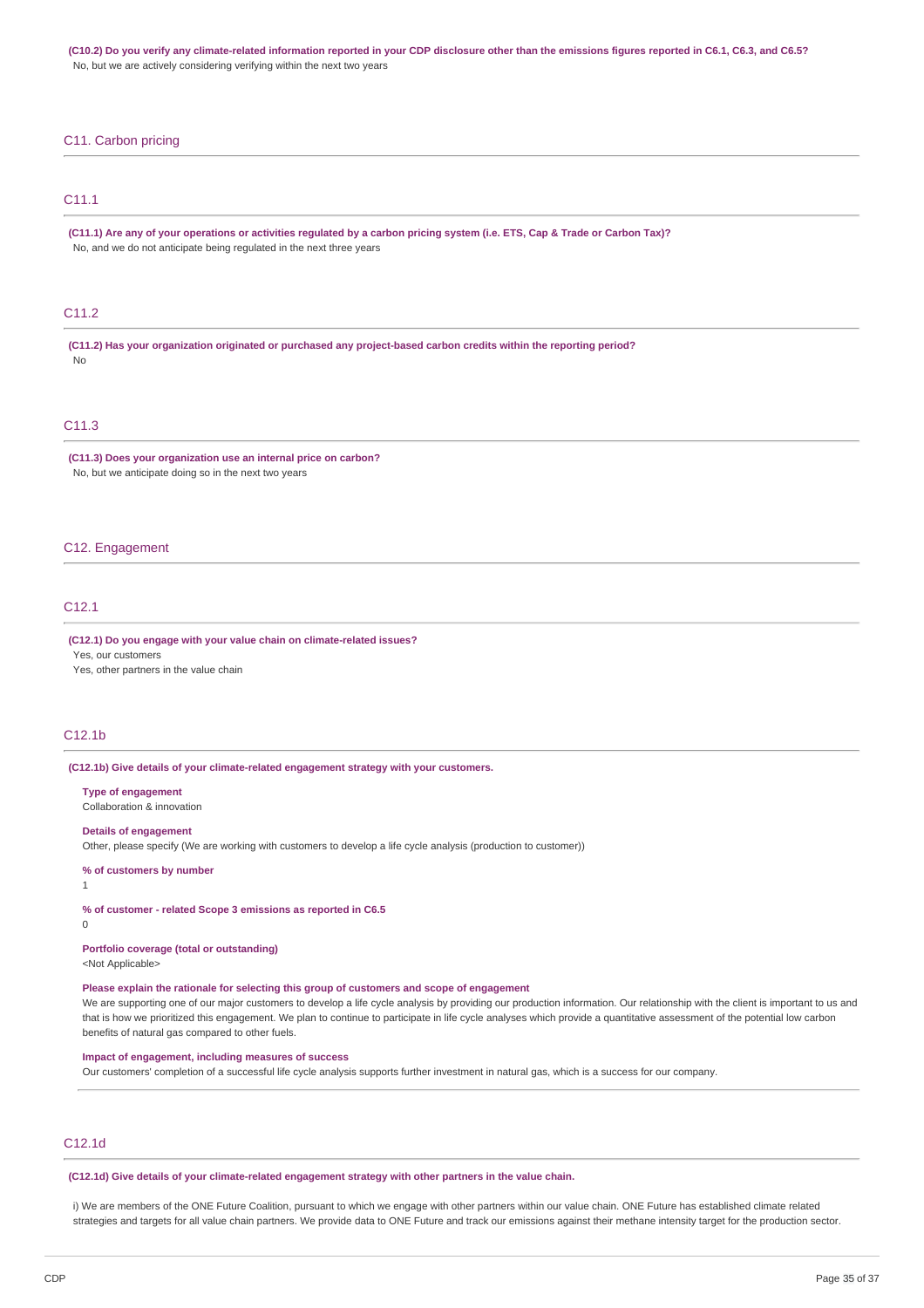(C10.2) Do you verify any climate-related information reported in your CDP disclosure other than the emissions figures reported in C6.1, C6.3, and C6.5? No, but we are actively considering verifying within the next two years

## C11. Carbon pricing

# C11.1

(C11.1) Are any of your operations or activities requlated by a carbon pricing system (i.e. ETS, Cap & Trade or Carbon Tax)? No, and we do not anticipate being regulated in the next three years

# C11.2

**(C11.2) Has your organization originated or purchased any project-based carbon credits within the reporting period?** No

# C11.3

**(C11.3) Does your organization use an internal price on carbon?** No, but we anticipate doing so in the next two years

#### C12. Engagement

# C12.1

#### **(C12.1) Do you engage with your value chain on climate-related issues?**

Yes, our customers

Yes, other partners in the value chain

#### C12.1b

**(C12.1b) Give details of your climate-related engagement strategy with your customers.**

**Type of engagement** Collaboration & innovation

#### **Details of engagement**

Other, please specify (We are working with customers to develop a life cycle analysis (production to customer))

#### **% of customers by number**

1

**% of customer - related Scope 3 emissions as reported in C6.5**

 $\overline{0}$ 

**Portfolio coverage (total or outstanding)**

<Not Applicable>

#### **Please explain the rationale for selecting this group of customers and scope of engagement**

We are supporting one of our major customers to develop a life cycle analysis by providing our production information. Our relationship with the client is important to us and that is how we prioritized this engagement. We plan to continue to participate in life cycle analyses which provide a quantitative assessment of the potential low carbon benefits of natural gas compared to other fuels.

## **Impact of engagement, including measures of success**

Our customers' completion of a successful life cycle analysis supports further investment in natural gas, which is a success for our company.

# C12.1d

**(C12.1d) Give details of your climate-related engagement strategy with other partners in the value chain.**

i) We are members of the ONE Future Coalition, pursuant to which we engage with other partners within our value chain. ONE Future has established climate related strategies and targets for all value chain partners. We provide data to ONE Future and track our emissions against their methane intensity target for the production sector.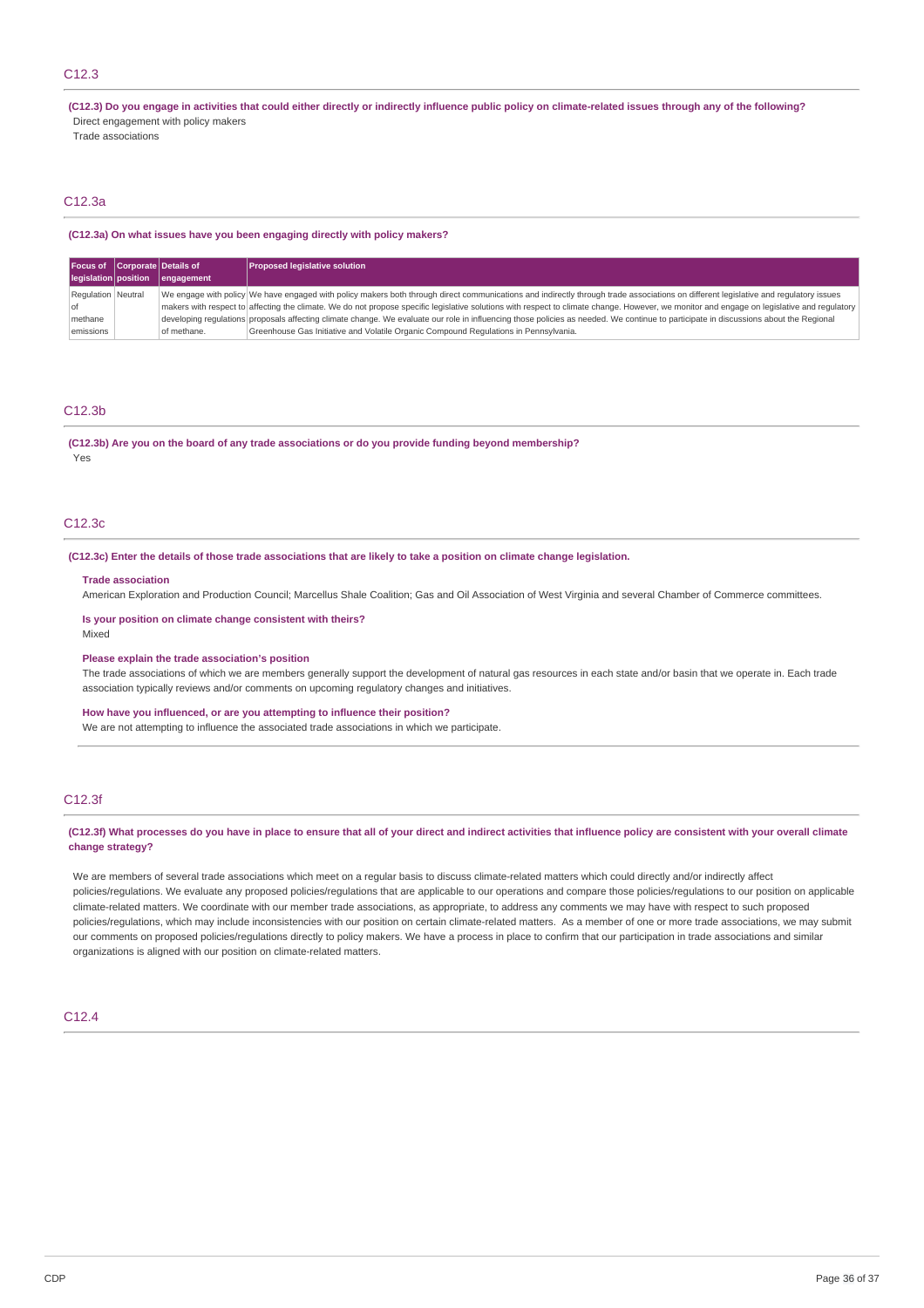# C12.3

(C12.3) Do you engage in activities that could either directly or indirectly influence public policy on climate-related issues through any of the following?

Direct engagement with policy makers

Trade associations

# C12.3a

#### **(C12.3a) On what issues have you been engaging directly with policy makers?**

| Focus of Corporate Details of |             | <b>Proposed legislative solution</b>                                                                                                                                                        |
|-------------------------------|-------------|---------------------------------------------------------------------------------------------------------------------------------------------------------------------------------------------|
| legislation position          | engagement  |                                                                                                                                                                                             |
| Regulation Neutral            |             | We engage with policy We have engaged with policy makers both through direct communications and indirectly through trade associations on different legislative and regulatory issues        |
| $ $ of                        |             | makers with respect to affecting the climate. We do not propose specific legislative solutions with respect to climate change. However, we monitor and engage on legislative and regulatory |
| methane                       |             | developing regulations proposals affecting climate change. We evaluate our role in influencing those policies as needed. We continue to participate in discussions about the Regional       |
| emissions                     | of methane. | Greenhouse Gas Initiative and Volatile Organic Compound Regulations in Pennsylvania.                                                                                                        |

#### C12.3b

**(C12.3b) Are you on the board of any trade associations or do you provide funding beyond membership?** Yes

## C12.3c

#### (C12.3c) Enter the details of those trade associations that are likely to take a position on climate change legislation.

#### **Trade association**

American Exploration and Production Council; Marcellus Shale Coalition; Gas and Oil Association of West Virginia and several Chamber of Commerce committees.

#### **Is your position on climate change consistent with theirs?** Mixed

#### **Please explain the trade association's position**

The trade associations of which we are members generally support the development of natural gas resources in each state and/or basin that we operate in. Each trade association typically reviews and/or comments on upcoming regulatory changes and initiatives.

#### **How have you influenced, or are you attempting to influence their position?**

We are not attempting to influence the associated trade associations in which we participate.

### C12.3f

### (C12.3f) What processes do you have in place to ensure that all of your direct and indirect activities that influence policy are consistent with your overall climate **change strategy?**

We are members of several trade associations which meet on a regular basis to discuss climate-related matters which could directly and/or indirectly affect policies/regulations. We evaluate any proposed policies/regulations that are applicable to our operations and compare those policies/regulations to our position on applicable climate-related matters. We coordinate with our member trade associations, as appropriate, to address any comments we may have with respect to such proposed policies/regulations, which may include inconsistencies with our position on certain climate-related matters. As a member of one or more trade associations, we may submit our comments on proposed policies/regulations directly to policy makers. We have a process in place to confirm that our participation in trade associations and similar organizations is aligned with our position on climate-related matters.

### C12.4